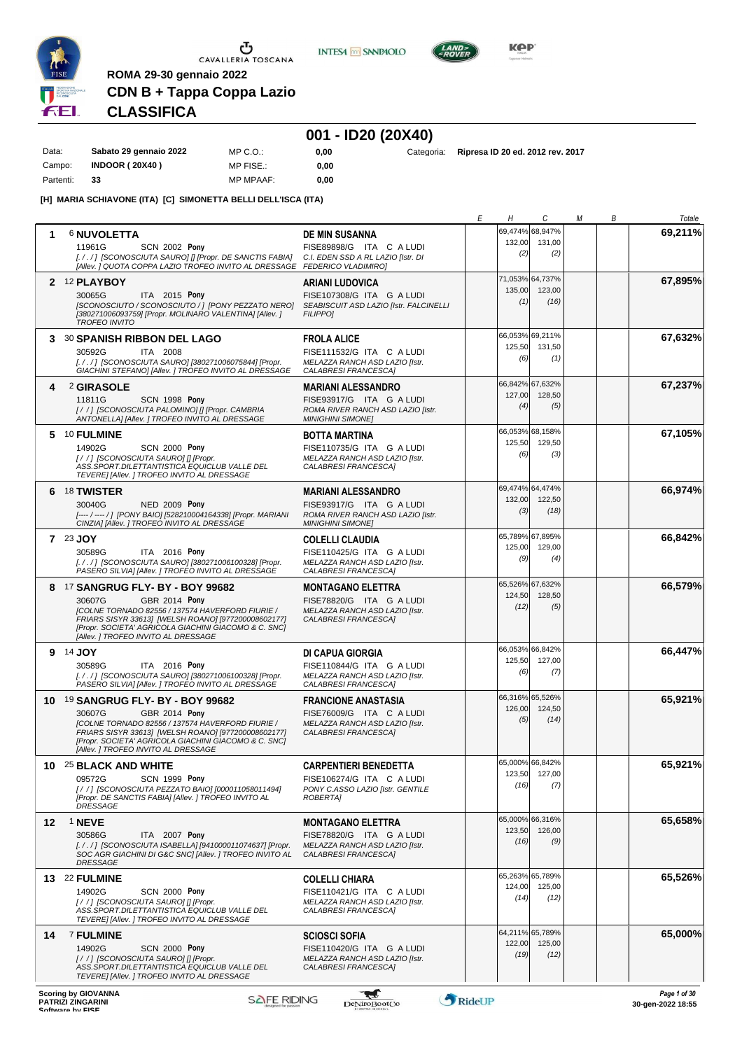

**INTESA** M SANPAOLO



**Kep** 

# **CDN B + Tappa Coppa Lazio CLASSIFICA**

**ROMA 29-30 gennaio 2022**

# **001 - ID20 (20X40)**

| Data:     | Sabato 29 gennaio 2022 | $MP C. Q$ .      | 0.00 |
|-----------|------------------------|------------------|------|
| Campo:    | <b>INDOOR (20X40)</b>  | MP FISE.:        | 0.00 |
| Partenti: | 33                     | <b>MP MPAAF:</b> | 0.00 |

**0,00** Categoria: **Ripresa ID 20 ed. 2012 rev. 2017**

**[H] MARIA SCHIAVONE (ITA) [C] SIMONETTA BELLI DELL'ISCA (ITA)**

|    |                                                                                                               |                                                                     | Е      | Η              | C                         | М | В | Totale            |
|----|---------------------------------------------------------------------------------------------------------------|---------------------------------------------------------------------|--------|----------------|---------------------------|---|---|-------------------|
| 1  | <b>6 NUVOLETTA</b>                                                                                            | <b>DE MIN SUSANNA</b>                                               |        |                | 69,474% 68,947%           |   |   | 69,211%           |
|    | 11961G<br><b>SCN 2002 Pony</b>                                                                                | FISE89898/G ITA C A LUDI                                            |        | 132,00         | 131,00                    |   |   |                   |
|    | [././] [SCONOSCIUTA SAURO] [] [Propr. DE SANCTIS FABIA]                                                       | C.I. EDEN SSD A RL LAZIO IIstr. DI                                  |        | (2)            | (2)                       |   |   |                   |
|    | [Allev.] QUOTA COPPA LAZIO TROFEO INVITO AL DRESSAGE FEDERICO VLADIMIRO]                                      |                                                                     |        |                | 71,053% 64,737%           |   |   |                   |
|    | 2 12 PLAYBOY                                                                                                  | <b>ARIANI LUDOVICA</b>                                              |        | 135,00         | 123,00                    |   |   | 67,895%           |
|    | ITA 2015 Pony<br>30065G<br>[SCONOSCIUTO / SCONOSCIUTO / ] [PONY PEZZATO NERO]                                 | FISE107308/G ITA G A LUDI<br>SEABISCUIT ASD LAZIO [Istr. FALCINELLI |        | (1)            | (16)                      |   |   |                   |
|    | [380271006093759] [Propr. MOLINARO VALENTINA] [Allev.]                                                        | <b>FILIPPO1</b>                                                     |        |                |                           |   |   |                   |
|    | <b>TROFEO INVITO</b>                                                                                          |                                                                     |        |                |                           |   |   |                   |
|    | 3 30 SPANISH RIBBON DEL LAGO                                                                                  | <b>FROLA ALICE</b>                                                  |        | 125,50         | 66,053% 69,211%<br>131,50 |   |   | 67,632%           |
|    | 30592G<br>ITA 2008                                                                                            | FISE111532/G ITA C A LUDI                                           |        | (6)            | (1)                       |   |   |                   |
|    | [././] [SCONOSCIUTA SAURO] [380271006075844] [Propr.<br>GIACHINI STEFANO] [Allev. ] TROFEO INVITO AL DRESSAGE | MELAZZA RANCH ASD LAZIO [Istr.<br>CALABRESI FRANCESCA]              |        |                |                           |   |   |                   |
| 4  | 2 GIRASOLE                                                                                                    | <b>MARIANI ALESSANDRO</b>                                           |        |                | 66,842% 67,632%           |   |   | 67,237%           |
|    | 11811G<br><b>SCN 1998 Pony</b>                                                                                | FISE93917/G ITA G A LUDI                                            |        | 127,00         | 128,50                    |   |   |                   |
|    | [//] [SCONOSCIUTA PALOMINO] [] [Propr. CAMBRIA                                                                | ROMA RIVER RANCH ASD LAZIO [Istr.                                   |        | (4)            | (5)                       |   |   |                   |
|    | ANTONELLA] [Allev. ] TROFEO INVITO AL DRESSAGE                                                                | <b>MINIGHINI SIMONE]</b>                                            |        |                |                           |   |   |                   |
|    | 5 10 FULMINE                                                                                                  | <b>BOTTA MARTINA</b>                                                |        | 125,50         | 66,053% 68,158%<br>129,50 |   |   | 67,105%           |
|    | 14902G<br><b>SCN 2000 Pony</b>                                                                                | FISE110735/G ITA G A LUDI                                           |        | (6)            | (3)                       |   |   |                   |
|    | [//] [SCONOSCIUTA SAURO] [] [Propr.<br>ASS.SPORT.DILETTANTISTICA EQUICLUB VALLE DEL                           | MELAZZA RANCH ASD LAZIO [Istr.<br>CALABRESI FRANCESCA]              |        |                |                           |   |   |                   |
|    | TEVERE] [Allev. ] TROFEO INVITO AL DRESSAGE                                                                   |                                                                     |        |                |                           |   |   |                   |
|    | 6 18 TWISTER                                                                                                  | <b>MARIANI ALESSANDRO</b>                                           |        |                | 69,474% 64,474%           |   |   | 66,974%           |
|    | <b>NED 2009 Pony</b><br>30040G                                                                                | FISE93917/G ITA G A LUDI                                            |        | 132,00         | 122,50                    |   |   |                   |
|    | [---- / ---- / ] [PONY BAIO] [528210004164338] [Propr. MARIANI<br>CINZIA] [Allev. ] TROFEO INVITO AL DRESSAGE | ROMA RIVER RANCH ASD LAZIO [Istr.<br><b>MINIGHINI SIMONEI</b>       |        | (3)            | (18)                      |   |   |                   |
|    |                                                                                                               |                                                                     |        |                | 65,789% 67,895%           |   |   |                   |
|    | 7 23 JOY                                                                                                      | <b>COLELLI CLAUDIA</b>                                              |        | 125,00         | 129,00                    |   |   | 66,842%           |
|    | ITA 2016 Pony<br>30589G<br>[././] [SCONOSCIUTA SAURO] [380271006100328] [Propr.                               | FISE110425/G ITA G A LUDI<br>MELAZZA RANCH ASD LAZIO [Istr.         |        | (9)            | (4)                       |   |   |                   |
|    | PASERO SILVIAI [Allev. ] TROFEO INVITO AL DRESSAGE                                                            | CALABRESI FRANCESCA]                                                |        |                |                           |   |   |                   |
|    | 8 17 SANGRUG FLY- BY - BOY 99682                                                                              | <b>MONTAGANO ELETTRA</b>                                            |        |                | 65,526% 67,632%           |   |   | 66,579%           |
|    | 30607G<br>GBR 2014 Pony                                                                                       | FISE78820/G ITA G A LUDI                                            |        | 124,50         | 128,50                    |   |   |                   |
|    | [COLNE TORNADO 82556 / 137574 HAVERFORD FIURIE /                                                              | MELAZZA RANCH ASD LAZIO [Istr.                                      |        | (12)           | (5)                       |   |   |                   |
|    | FRIARS SISYR 33613] [WELSH ROANO] [977200008602177]<br>[Propr. SOCIETA' AGRICOLA GIACHINI GIACOMO & C. SNC]   | CALABRESI FRANCESCAI                                                |        |                |                           |   |   |                   |
|    | [Allev.] TROFEO INVITO AL DRESSAGE                                                                            |                                                                     |        |                |                           |   |   |                   |
|    | 9 14 JOY                                                                                                      | DI CAPUA GIORGIA                                                    |        |                | 66,053% 66,842%           |   |   | 66,447%           |
|    | 30589G<br>ITA 2016 Pony                                                                                       | FISE110844/G ITA G A LUDI                                           |        | 125,50<br>(6)  | 127,00<br>(7)             |   |   |                   |
|    | [././] [SCONOSCIUTA SAURO] [380271006100328] [Propr.<br>PASERO SILVIA] [Allev. ] TROFEO INVITO AL DRESSAGE    | MELAZZA RANCH ASD LAZIO [Istr.<br>CALABRESI FRANCESCA]              |        |                |                           |   |   |                   |
|    |                                                                                                               |                                                                     |        |                | 66,316% 65,526%           |   |   | 65,921%           |
|    | 10 19 SANGRUG FLY- BY - BOY 99682                                                                             | <b>FRANCIONE ANASTASIA</b>                                          |        | 126,00         | 124,50                    |   |   |                   |
|    | 30607G<br>GBR 2014 Pony<br>[COLNE TORNADO 82556 / 137574 HAVERFORD FIURIE /                                   | FISE76009/G ITA C A LUDI<br>MELAZZA RANCH ASD LAZIO Ilstr.          |        | (5)            | (14)                      |   |   |                   |
|    | FRIARS SISYR 33613] [WELSH ROANO] [977200008602177]                                                           | CALABRESI FRANCESCA]                                                |        |                |                           |   |   |                   |
|    | [Propr. SOCIETA' AGRICOLA GIACHINI GIACOMO & C. SNC]<br>[Allev.] TROFEO INVITO AL DRESSAGE                    |                                                                     |        |                |                           |   |   |                   |
|    | 10 25 BLACK AND WHITE                                                                                         | <b>CARPENTIERI BENEDETTA</b>                                        |        |                | 65,000% 66,842%           |   |   | 65,921%           |
|    | 09572G<br>SCN 1999 Pony                                                                                       | FISE106274/G ITA C A LUDI                                           |        |                | 123,50 127,00             |   |   |                   |
|    | [/ /   [SCONOSCIUTA PEZZATO BAIO] [000011058011494]                                                           | PONY C.ASSO LAZIO [Istr. GENTILE                                    |        | (16)           | (7)                       |   |   |                   |
|    | [Propr. DE SANCTIS FABIA] [Allev. ] TROFEO INVITO AL<br><b>DRESSAGE</b>                                       | <b>ROBERTA]</b>                                                     |        |                |                           |   |   |                   |
|    |                                                                                                               |                                                                     |        |                | 65,000% 66,316%           |   |   | 65,658%           |
| 12 | <sup>1</sup> NEVE<br>30586G<br>ITA 2007 Pony                                                                  | <b>MONTAGANO ELETTRA</b><br>FISE78820/G ITA G A LUDI                |        | 123,50         | 126,00                    |   |   |                   |
|    | [././] [SCONOSCIUTA ISABELLA] [941000011074637] [Propr.                                                       | MELAZZA RANCH ASD LAZIO [Istr.                                      |        | (16)           | (9)                       |   |   |                   |
|    | SOC AGR GIACHINI DI G&C SNC] [Allev. ] TROFEO INVITO AL<br>DRESSAGE                                           | CALABRESI FRANCESCA]                                                |        |                |                           |   |   |                   |
|    |                                                                                                               |                                                                     |        |                | 65,263% 65,789%           |   |   |                   |
|    | 13 22 FULMINE                                                                                                 | <b>COLELLI CHIARA</b>                                               |        | 124,00         | 125,00                    |   |   | 65,526%           |
|    | 14902G<br>SCN 2000 Pony<br>[//] [SCONOSCIUTA SAURO] [] [Propr.                                                | FISE110421/G ITA C A LUDI<br>MELAZZA RANCH ASD LAZIO [Istr.         |        | (14)           | (12)                      |   |   |                   |
|    | ASS.SPORT.DILETTANTISTICA EQUICLUB VALLE DEL                                                                  | CALABRESI FRANCESCA]                                                |        |                |                           |   |   |                   |
|    | TEVERE] [Allev. ] TROFEO INVITO AL DRESSAGE                                                                   |                                                                     |        |                |                           |   |   |                   |
| 14 | <b>7 FULMINE</b>                                                                                              | <b>SCIOSCI SOFIA</b>                                                |        |                | 64,211% 65,789%           |   |   | 65,000%           |
|    | 14902G<br><b>SCN 2000 Pony</b>                                                                                | FISE110420/G ITA G A LUDI                                           |        | 122,00<br>(19) | 125,00<br>(12)            |   |   |                   |
|    | [//] [SCONOSCIUTA SAURO] [] [Propr.<br>ASS.SPORT.DILETTANTISTICA EQUICLUB VALLE DEL                           | MELAZZA RANCH ASD LAZIO [Istr.<br>CALABRESI FRANCESCA]              |        |                |                           |   |   |                   |
|    | TEVERE] [Allev. ] TROFEO INVITO AL DRESSAGE                                                                   |                                                                     |        |                |                           |   |   |                   |
|    | <b>Scoring by GIOVANNA</b>                                                                                    | ₩                                                                   |        |                |                           |   |   | Page 1 of 30      |
|    | <b>SAFE RIDING</b><br>PATRIŽI ZINGARINI<br>Coffware by EICE                                                   | DeNiroBootCo                                                        | RideUP |                |                           |   |   | 30-gen-2022 18:55 |
|    |                                                                                                               |                                                                     |        |                |                           |   |   |                   |

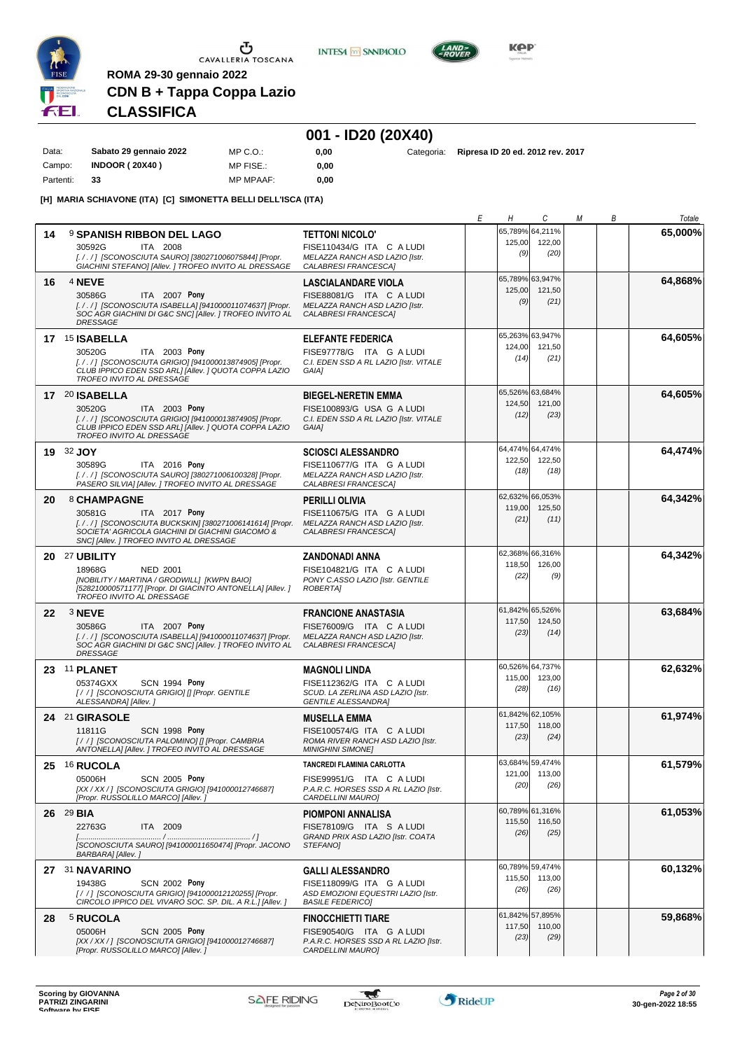

**INTES4 M SANPAOLO** 



KOP

### **CDN B + Tappa Coppa Lazio CLASSIFICA**

**ROMA 29-30 gennaio 2022**

**14** 9 **SPANISH RIBBON DEL LAGO**

### **001 - ID20 (20X40)**

**TETTONI NICOLO'**

| Data:     | Sabato 29 gennaio 2022 | MP C. O.         | 0.00 |
|-----------|------------------------|------------------|------|
| Campo:    | <b>INDOOR (20X40)</b>  | MP FISE.:        | 0.00 |
| Partenti: | 33                     | <b>MP MPAAF:</b> | 0.00 |

**[H] MARIA SCHIAVONE (ITA) [C] SIMONETTA BELLI DELL'ISCA (ITA)**

**0,00** Categoria: **Ripresa ID 20 ed. 2012 rev. 2017**

65,789% 64,211% 125,00

122,00

*E H C M B Totale*

**65,000%**

**64,868%**

**64,605%**

**64,605%**

**64,474%**

**64,342%**

ITA 2008 *[. / . / ] [SCONOSCIUTA SAURO] [380271006075844] [Propr.* 30592G FISE110434/G ITA <sup>C</sup> A LUDI *(9) GIACHINI STEFANO] [Allev. ] TROFEO INVITO AL DRESSAGE MELAZZA RANCH ASD LAZIO [Istr. CALABRESI FRANCESCA] (20)* **16** 4 **NEVE** ITA 2007 **Pony LASCIALANDARE VIOLA** *[. / . / ] [SCONOSCIUTA ISABELLA] [941000011074637] [Propr. SOC AGR GIACHINI DI G&C SNC] [Allev. ] TROFEO INVITO AL DRESSAGE MELAZZA RANCH ASD LAZIO [Istr. CALABRESI FRANCESCA]* 30586G FISE88081/G ITA <sup>C</sup> A LUDI *(9)* 65,789% 63,947% 125,00 *(21)* 121,50 **17** 15 **ISABELLA** ITA 2003 **Pony ELEFANTE FEDERICA** *[. / . / ] [SCONOSCIUTA GRIGIO] [941000013874905] [Propr. CLUB IPPICO EDEN SSD ARL] [Allev. ] QUOTA COPPA LAZIO TROFEO INVITO AL DRESSAGE C.I. EDEN SSD A RL LAZIO [Istr. VITALE GAIA]* 30520G FISE97778/G ITA <sup>G</sup> A LUDI *(14)* 65,263% 63,947% 124,00 *(21)* 121,50 **17** 20 **ISABELLA** ITA 2003 **Pony BIEGEL-NERETIN EMMA** *[. / . / ] [SCONOSCIUTA GRIGIO] [941000013874905] [Propr. CLUB IPPICO EDEN SSD ARL] [Allev. ] QUOTA COPPA LAZIO TROFEO INVITO AL DRESSAGE C.I. EDEN SSD A RL LAZIO [Istr. VITALE GAIA]* 30520G FISE100893/G USA <sup>G</sup> A LUDI *(12)* 65,526% 63,684% 124,50 *(23)* 121,00 **19** 32 **JOY** ITA 2016 **Pony SCIOSCI ALESSANDRO** *[. / . / ] [SCONOSCIUTA SAURO] [380271006100328] [Propr. PASERO SILVIA] [Allev. ] TROFEO INVITO AL DRESSAGE MELAZZA RANCH ASD LAZIO [Istr. CALABRESI FRANCESCA]* 30589G FISE110677/G ITA <sup>G</sup> A LUDI *(18)* 64,474% 64,474% 122,50 *(18)* 122,50 **20** 8 **CHAMPAGNE** ITA 2017 **Pony PERILLI OLIVIA** *[. / . / ] [SCONOSCIUTA BUCKSKIN] [380271006141614] [Propr. SOCIETA' AGRICOLA GIACHINI DI GIACHINI GIACOMO & SNC] [Allev. ] TROFEO INVITO AL DRESSAGE MELAZZA RANCH ASD LAZIO [Istr. CALABRESI FRANCESCA]* 30581G FISE110675/G ITA <sup>G</sup> A LUDI *(21)* 62,632% 66,053% 119,00 *(11)* 125,50

**20** 27 **UBILITY** NED 2001 **ZANDONADI ANNA** *[NOBILITY / MARTINA / GRODWILL] [KWPN BAIO] [528210000571177] [Propr. DI GIACINTO ANTONELLA] [Allev. ] TROFEO INVITO AL DRESSAGE PONY C.ASSO LAZIO [Istr. GENTILE ROBERTA]* 18968G FISE104821/G ITA <sup>C</sup> A LUDI *(22)* 62,368% 118,50 *(9)* 66,316% 126,00 **64,342% 22** 3 **NEVE** ITA 2007 **Pony FRANCIONE ANASTASIA** *[. / . / ] [SCONOSCIUTA ISABELLA] [941000011074637] [Propr. SOC AGR GIACHINI DI G&C SNC] [Allev. ] TROFEO INVITO AL DRESSAGE MELAZZA RANCH ASD LAZIO [Istr. CALABRESI FRANCESCA]* 30586G FISE76009/G ITA <sup>C</sup> A LUDI *(23)* 61,842% 117,50<br>(23) *(14)* 65,526% 124,50 **63,684% 23** 11 **PLANET** SCN 1994 **Pony MAGNOLI LINDA** *[ / / ] [SCONOSCIUTA GRIGIO] [] [Propr. GENTILE ALESSANDRA] [Allev. ] SCUD. LA ZERLINA ASD LAZIO [Istr. GENTILE ALESSANDRA]* 05374GXX FISE112362/G ITA <sup>C</sup> A LUDI *(28)* 60,526% 115,00 *(16)* 64,737% 123,00 **62,632% 24** 21 **GIRASOLE** SCN 1998 **Pony MUSELLA EMMA** *[ / / ] [SCONOSCIUTA PALOMINO] [] [Propr. CAMBRIA ANTONELLA] [Allev. ] TROFEO INVITO AL DRESSAGE ROMA RIVER RANCH ASD LAZIO [Istr. MINIGHINI SIMONE]* 11811G FISE100574/G ITA <sup>C</sup> A LUDI *(23)* 61,842% 62,105% 117,50 *(24)* 118,00 **61,974% 25** 16 **RUCOLA** SCN 2005 **Pony TANCREDI FLAMINIA CARLOTTA** *[XX / XX / ] [SCONOSCIUTA GRIGIO] [941000012746687]* 05006H FISE99951/G ITA <sup>C</sup> A LUDI *(20) [Propr. RUSSOLILLO MARCO] [Allev. ] P.A.R.C. HORSES SSD A RL LAZIO [Istr. CARDELLINI MAURO]* 63,684% 59,474% 121,00 *(26)* 113,00 **61,579% 26** 29 **BIA** ITA 2009 **PIOMPONI ANNALISA** *[........................................ / ........................................ / ] [SCONOSCIUTA SAURO] [941000011650474] [Propr. JACONO BARBARA] [Allev. ] GRAND PRIX ASD LAZIO [Istr. COATA STEFANO]* 22763G FISE78109/G ITA <sup>S</sup> A LUDI *(26)* 60,789% 61,316% 115,50 *(25)* 116,50 **61,053% 27** 31 **NAVARINO** SCN 2002 **Pony GALLI ALESSANDRO**<br>FISE118099/G ITA G A LUDI *[ / / ] [SCONOSCIUTA GRIGIO] [941000012120255] [Propr. CIRCOLO IPPICO DEL VIVARO SOC. SP. DIL. A R.L.] [Allev. ] ASD EMOZIONI EQUESTRI LAZIO [Istr. BASILE FEDERICO]* 19438G FISE118099/G ITA <sup>G</sup> A LUDI *(26)* 60,789% 59,474% 115,50 *(26)* 113,00 **60,132% 28** 5 **RUCOLA** SCN 2005 **Pony FINOCCHIETTI TIARE** *[XX / XX / ] [SCONOSCIUTA GRIGIO] [941000012746687]* 05006H FISE90540/G ITA <sup>G</sup> A LUDI *(23) [Propr. RUSSOLILLO MARCO] [Allev. ] P.A.R.C. HORSES SSD A RL LAZIO [Istr. CARDELLINI MAURO]* 61,842% 57,895% 117,50 *(29)* 110,00 **59,868%**

**Scoring by GIOVANNA PATRIZI ZINGARINI SOFTWARE CONSUMPTER SOFTWARE CONSUMPTER SOFTWARE SOFTWARE SOFTWARE SOFTWARE SOFTWARE SOFTWARE SOFTWARE SOFTWARE SOFTWARE SOFTWARE SOFTWARE SOFTWARE SOFTWARE SOFTWARE SOFTWARE SOFTWARE SOFTWARE SOFTWARE SOFTWARE SOFTWARE S** 

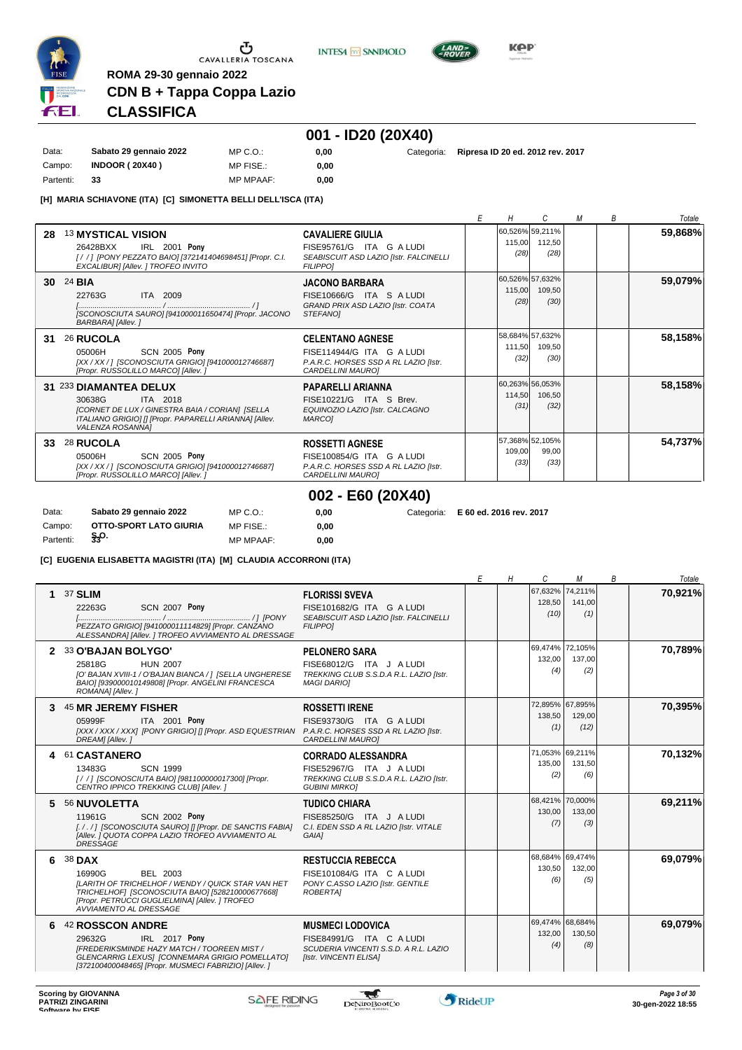

 $\sigma$  cavalleria toscana

**INTESA M** SANPAOLO



**KPP** 

# **CDN B + Tappa Coppa Lazio CLASSIFICA**

**ROMA 29-30 gennaio 2022**

# **001 - ID20 (20X40)**

| Data:     | Sabato 29 gennaio 2022 | $MP C. Q$ .      | 0.00 |
|-----------|------------------------|------------------|------|
| Campo:    | <b>INDOOR (20X40)</b>  | MP FISE.:        | 0.00 |
| Partenti: | 33                     | <b>MP MPAAF:</b> | 0.00 |

**0,00** Categoria: **Ripresa ID 20 ed. 2012 rev. 2017**

**[H] MARIA SCHIAVONE (ITA) [C] SIMONETTA BELLI DELL'ISCA (ITA)**

|    |                                                                                                                                                                                             |                                                                                                                    | Н              | C                                        | М | B | Totale  |
|----|---------------------------------------------------------------------------------------------------------------------------------------------------------------------------------------------|--------------------------------------------------------------------------------------------------------------------|----------------|------------------------------------------|---|---|---------|
| 28 | <b>13 MYSTICAL VISION</b><br>IRL 2001 Pony<br>26428BXX<br>[/ /] [PONY PEZZATO BAIO] [372141404698451] [Propr. C.I.<br>EXCALIBURI [Allev. ] TROFEO INVITO                                    | <b>CAVALIERE GIULIA</b><br>FISE95761/G ITA G A LUDI<br>SEABISCUIT ASD LAZIO [Istr. FALCINELLI<br><b>FILIPPOI</b>   | (28)           | 60,526% 59,211%<br>115,00 112,50<br>(28) |   |   | 59,868% |
|    | 30 24 BIA<br>22763G<br>ITA 2009<br>[SCONOSCIUTA SAURO] [941000011650474] [Propr. JACONO<br><b>BARBARAI</b> [Allev.]                                                                         | <b>JACONO BARBARA</b><br>FISE10666/G ITA S A LUDI<br>GRAND PRIX ASD LAZIO [Istr. COATA<br><b>STEFANOI</b>          | 115,00<br>(28) | 60,526% 57,632%<br>109,50<br>(30)        |   |   | 59,079% |
| 31 | 26 RUCOLA<br><b>SCN 2005 Pony</b><br>05006H<br>[XX / XX / ] [SCONOSCIUTA GRIGIO] [941000012746687]<br>[Propr. RUSSOLILLO MARCO] [Allev.]                                                    | <b>CELENTANO AGNESE</b><br>FISE114944/G ITA G A LUDI<br>P.A.R.C. HORSES SSD A RL LAZIO [Istr.<br>CARDELLINI MAUROI | 111,50<br>(32) | 58,684% 57,632%<br>109,50<br>(30)        |   |   | 58,158% |
|    | 31 233 DIAMANTEA DELUX<br>30638G<br>ITA 2018<br><b>ICORNET DE LUX / GINESTRA BAIA / CORIANI ISELLA</b><br>ITALIANO GRIGIOI II [Propr. PAPARELLI ARIANNA] [Allev.<br><b>VALENZA ROSANNAI</b> | PAPARELLI ARIANNA<br>FISE10221/G ITA S Brev.<br>EQUINOZIO LAZIO [Istr. CALCAGNO<br><b>MARCO1</b>                   | 114,50<br>(31) | 60,263% 56,053%<br>106,50<br>(32)        |   |   | 58,158% |
| 33 | 28 RUCOLA<br><b>SCN 2005 Pony</b><br>05006H<br>[XX / XX / ] [SCONOSCIUTA GRIGIO] [941000012746687]<br>[Propr. RUSSOLILLO MARCO] [Allev.]                                                    | <b>ROSSETTI AGNESE</b><br>FISE100854/G ITA G A LUDI<br>P.A.R.C. HORSES SSD A RL LAZIO [Istr.<br>CARDELLINI MAUROI  | 109.00<br>(33) | 57,368% 52,105%<br>99.00<br>(33)         |   |   | 54,737% |
|    |                                                                                                                                                                                             | 002 - E60 (20X40)                                                                                                  |                |                                          |   |   |         |

| Data:     | Sabato 29 gennaio 2022 | MP C.O.:         | 0.00 | Categoria: E 60 ed. 2016 rev. 2017 |
|-----------|------------------------|------------------|------|------------------------------------|
| Campo:    | OTTO-SPORT LATO GIURIA | MP FISE.:        | 0.00 |                                    |
| Partenti: | $\frac{5}{33}$ O.      | <b>MP MPAAF:</b> | 0.00 |                                    |

**[C] EUGENIA ELISABETTA MAGISTRI (ITA) [M] CLAUDIA ACCORRONI (ITA)**

|   |                                                                                                                                                                                                                           |                                                                                                                          | Е | Н | С                                 | М              | B | Totale  |
|---|---------------------------------------------------------------------------------------------------------------------------------------------------------------------------------------------------------------------------|--------------------------------------------------------------------------------------------------------------------------|---|---|-----------------------------------|----------------|---|---------|
| 1 | 37 SLIM<br><b>SCN 2007 Pony</b><br>22263G<br>PEZZATO GRIGIO] [941000011114829] [Propr. CANZANO<br>ALESSANDRA] [Allev. ] TROFEO AVVIAMENTO AL DRESSAGE                                                                     | <b>FLORISSI SVEVA</b><br>FISE101682/G ITA G A LUDI<br>SEABISCUIT ASD LAZIO [Istr. FALCINELLI<br><b>FILIPPO1</b>          |   |   | 67,632% 74,211%<br>128,50<br>(10) | 141,00<br>(1)  |   | 70,921% |
|   | 2 33 O'BAJAN BOLYGO'<br>25818G<br><b>HUN 2007</b><br>[O' BAJAN XVIII-1 / O'BAJAN BIANCA / 1 [SELLA UNGHERESE<br>BAIO] [939000010149808] [Propr. ANGELINI FRANCESCA<br>ROMANA] [Allev.]                                    | <b>PELONERO SARA</b><br>FISE68012/G ITA J A LUDI<br>TREKKING CLUB S.S.D.A R.L. LAZIO [Istr.<br><b>MAGI DARIOI</b>        |   |   | 69,474% 72,105%<br>132,00<br>(4)  | 137.00<br>(2)  |   | 70,789% |
| 3 | 45 MR JEREMY FISHER<br>05999F<br>ITA 2001 Pony<br>[XXX / XXX / XXX] [PONY GRIGIO] [] [Propr. ASD EQUESTRIAN P.A.R.C. HORSES SSD A RL LAZIO [Istr.<br>DREAM] [Allev.]                                                      | <b>ROSSETTI IRENE</b><br>FISE93730/G ITA G A LUDI<br><b>CARDELLINI MAUROI</b>                                            |   |   | 72,895% 67,895%<br>138,50<br>(1)  | 129,00<br>(12) |   | 70,395% |
|   | 4 61 CASTANERO<br>13483G<br><b>SCN 1999</b><br>[/ /] [SCONOSCIUTA BAIO] [981100000017300] [Propr.<br>CENTRO IPPICO TREKKING CLUBI [Allev. ]                                                                               | <b>CORRADO ALESSANDRA</b><br>FISE52967/G ITA J A LUDI<br>TREKKING CLUB S.S.D.A R.L. LAZIO [Istr.<br><b>GUBINI MIRKOI</b> |   |   | 71,053% 69,211%<br>135.00<br>(2)  | 131.50<br>(6)  |   | 70,132% |
| 5 | 56 NUVOLETTA<br>11961G<br><b>SCN 2002 Pony</b><br>[././] [SCONOSCIUTA SAURO] [] [Propr. DE SANCTIS FABIA]<br>[Allev. ] QUOTA COPPA LAZIO TROFEO AVVIAMENTO AL<br><b>DRESSAGE</b>                                          | <b>TUDICO CHIARA</b><br>FISE85250/G ITA J A LUDI<br>C.I. EDEN SSD A RL LAZIO [Istr. VITALE<br><b>GAIAI</b>               |   |   | 68,421% 70,000%<br>130,00<br>(7)  | 133,00<br>(3)  |   | 69,211% |
| 6 | 38 DAX<br>BEL 2003<br>16990G<br><b>ILARITH OF TRICHELHOF / WENDY / QUICK STAR VAN HET</b><br>TRICHELHOF  [SCONOSCIUTA BAIO] [528210000677668]<br>[Propr. PETRUCCI GUGLIELMINA] [Allev. ] TROFEO<br>AVVIAMENTO AL DRESSAGE | <b>RESTUCCIA REBECCA</b><br>FISE101084/G ITA C A LUDI<br>PONY C.ASSO LAZIO [Istr. GENTILE<br><b>ROBERTAI</b>             |   |   | 68,684% 69,474%<br>130.50<br>(6)  | 132.00<br>(5)  |   | 69,079% |
| 6 | 42 ROSSCON ANDRE<br>29632G<br>IRL 2017 Pony<br><b>IFREDERIKSMINDE HAZY MATCH / TOOREEN MIST /</b><br>GLENCARRIG LEXUSI [CONNEMARA GRIGIO POMELLATO]<br>[372100400048465] [Propr. MUSMECI FABRIZIO] [Allev. ]              | <b>MUSMECI LODOVICA</b><br>FISE84991/G ITA C A LUDI<br>SCUDERIA VINCENTI S.S.D. A R.L. LAZIO<br>[Istr. VINCENTI ELISA]   |   |   | 69,474% 68,684%<br>132,00<br>(4)  | 130,50<br>(8)  |   | 69,079% |

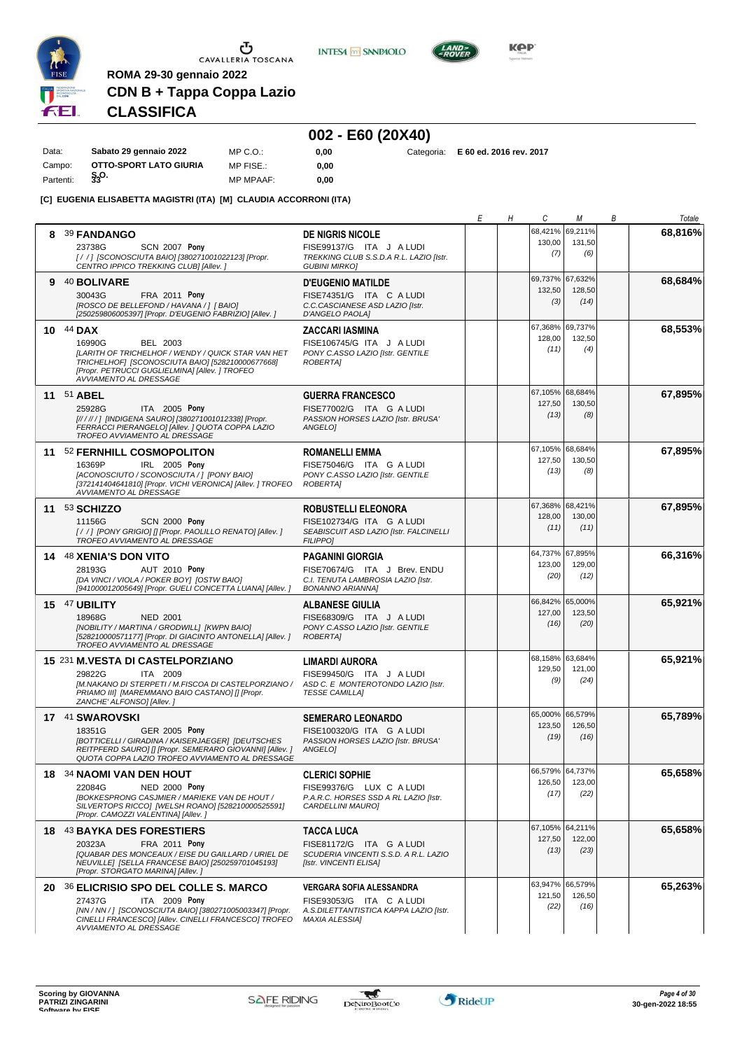

**INTESA** M SANPAOLO



**Kep** 

# **CDN B + Tappa Coppa Lazio CLASSIFICA**

**ROMA 29-30 gennaio 2022**

# **002 - E60 (20X40)**

| Data:     | Sabato 29 gennaio 2022 | $MP C. O.$ :     | 0.00 |  | Categoria: E 60 ed. 2016 rev. 2017 |
|-----------|------------------------|------------------|------|--|------------------------------------|
| Campo:    | OTTO-SPORT LATO GIURIA | MP FISE.:        | 0.00 |  |                                    |
| Partenti: | $\S_3$ <sup>O.</sup>   | <b>MP MPAAF:</b> | 0.00 |  |                                    |

#### **[C] EUGENIA ELISABETTA MAGISTRI (ITA) [M] CLAUDIA ACCORRONI (ITA)**

|   |                                                                                                                                                                                                                         |                                                                                                                          | Е | Η | С                                 | М                                 | В | Totale  |
|---|-------------------------------------------------------------------------------------------------------------------------------------------------------------------------------------------------------------------------|--------------------------------------------------------------------------------------------------------------------------|---|---|-----------------------------------|-----------------------------------|---|---------|
| 8 | <b>39 FANDANGO</b><br>23738G<br><b>SCN 2007 Pony</b>                                                                                                                                                                    | <b>DE NIGRIS NICOLE</b><br>FISE99137/G ITA J A LUDI                                                                      |   |   | 68,421%<br>130,00<br>(7)          | 69,211%<br>131,50<br>(6)          |   | 68,816% |
|   | [/ / ] [SCONOSCIUTA BAIO] [380271001022123] [Propr.<br>CENTRO IPPICO TREKKING CLUB] [Allev.]                                                                                                                            | TREKKING CLUB S.S.D.A R.L. LAZIO [Istr.<br><b>GUBINI MIRKO]</b>                                                          |   |   |                                   |                                   |   |         |
| 9 | 40 BOLIVARE<br>30043G<br>FRA 2011 Pony<br>[ROSCO DE BELLEFOND / HAVANA / ] [ BAIO]<br>[250259806005397] [Propr. D'EUGENIO FABRIZIO] [Allev. ]                                                                           | <b>D'EUGENIO MATILDE</b><br>FISE74351/G ITA C A LUDI<br>C.C.CASCIANESE ASD LAZIO [Istr.<br>D'ANGELO PAOLA]               |   |   | 69,737%<br>132,50<br>(3)          | 67,632%<br>128,50<br>(14)         |   | 68,684% |
|   | 10 $44$ DAX<br>16990G<br>BEL 2003<br>[LARITH OF TRICHELHOF / WENDY / QUICK STAR VAN HET<br>TRICHELHOF1 [SCONOSCIUTA BAIO] [528210000677668]<br>[Propr. PETRUCCI GUGLIELMINA] [Allev. ] TROFEO<br>AVVIAMENTO AL DRESSAGE | ZACCARI IASMINA<br>FISE106745/G ITA J A LUDI<br>PONY C.ASSO LAZIO [Istr. GENTILE<br><b>ROBERTAI</b>                      |   |   | 67,368% 69,737%<br>128,00<br>(11) | 132,50<br>(4)                     |   | 68,553% |
|   | 11 <sup>51</sup> ABEL<br>25928G<br>ITA 2005 Pony<br>[////// [INDIGENA SAURO] [380271001012338] [Propr.<br>FERRACCI PIERANGELO] [Allev. ] QUOTA COPPA LAZIO<br>TROFEO AVVIAMENTO AL DRESSAGE                             | <b>GUERRA FRANCESCO</b><br>FISE77002/G ITA G A LUDI<br>PASSION HORSES LAZIO [Istr. BRUSA'<br>ANGELO]                     |   |   | 67,105%<br>127,50<br>(13)         | 68,684%<br>130,50<br>(8)          |   | 67,895% |
|   | 11 52 FERNHILL COSMOPOLITON<br>IRL 2005 Pony<br>16369P<br>[ACONOSCIUTO / SCONOSCIUTA / ] [PONY BAIO]<br>[372141404641810] [Propr. VICHI VERONICA] [Allev. ] TROFEO<br>AVVIAMENTO AL DRESSAGE                            | <b>ROMANELLI EMMA</b><br>FISE75046/G ITA G A LUDI<br>PONY C.ASSO LAZIO [Istr. GENTILE<br>ROBERTA]                        |   |   | 127,50<br>(13)                    | 67,105% 68,684%<br>130,50<br>(8)  |   | 67,895% |
|   | 11 53 SCHIZZO<br>11156G<br><b>SCN 2000 Pony</b><br>[//] [PONY GRIGIO] [] [Propr. PAOLILLO RENATO] [Allev.]<br>TROFEO AVVIAMENTO AL DRESSAGE                                                                             | <b>ROBUSTELLI ELEONORA</b><br>FISE102734/G ITA G A LUDI<br>SEABISCUIT ASD LAZIO [Istr. FALCINELLI<br><b>FILIPPO1</b>     |   |   | 67,368% 68,421%<br>128,00<br>(11) | 130,00<br>(11)                    |   | 67,895% |
|   | 14 48 XENIA'S DON VITO<br>28193G<br>AUT 2010 Pony<br>[DA VINCI / VIOLA / POKER BOY] [OSTW BAIO]<br>[941000012005649] [Propr. GUELI CONCETTA LUANA] [Allev. ]                                                            | <b>PAGANINI GIORGIA</b><br>FISE70674/G ITA J Brev. ENDU<br>C.I. TENUTA LAMBROSIA LAZIO [Istr.<br><b>BONANNO ARIANNAI</b> |   |   | 64,737%<br>123,00<br>(20)         | 67,895%<br>129,00<br>(12)         |   | 66,316% |
|   | 15 47 UBILITY<br>18968G<br><b>NED 2001</b><br>[NOBILITY / MARTINA / GRODWILL] [KWPN BAIO]<br>[528210000571177] [Propr. DI GIACINTO ANTONELLA] [Allev.]<br>TROFEO AVVIAMENTO AL DRESSAGE                                 | <b>ALBANESE GIULIA</b><br>FISE68309/G ITA J A LUDI<br>PONY C.ASSO LAZIO [Istr. GENTILE<br>ROBERTA]                       |   |   | 66,842%<br>127,00<br>(16)         | 65,000%<br>123,50<br>(20)         |   | 65,921% |
|   | 15 231 M.VESTA DI CASTELPORZIANO<br>29822G<br>ITA 2009<br>[M.NAKANO DI STERPETI / M.FISCOA DI CASTELPORZIANO /<br>PRIAMO III] [MAREMMANO BAIO CASTANO] [] [Propr.<br>ZANCHE' ALFONSO] [Allev.]                          | LIMARDI AURORA<br>FISE99450/G ITA J A LUDI<br>ASD C. E MONTEROTONDO LAZIO [Istr.<br><b>TESSE CAMILLA]</b>                |   |   | 129,50<br>(9)                     | 68,158% 63,684%<br>121,00<br>(24) |   | 65,921% |
|   | 17 41 SWAROVSKI<br>18351G<br><b>GER 2005 Pony</b><br>[BOTTICELLI / GIRADINA / KAISERJAEGER] [DEUTSCHES<br>REITPFERD SAUROI [] [Propr. SEMERARO GIOVANNI] [Allev. ]<br>QUOTA COPPA LAZIO TROFEO AVVIAMENTO AL DRESSAGE   | <b>SEMERARO LEONARDO</b><br>FISE100320/G ITA G A LUDI<br>PASSION HORSES LAZIO [Istr. BRUSA'<br>ANGELO]                   |   |   | 65,000% 66,579%<br>123,50<br>(19) | 126,50<br>(16)                    |   | 65,789% |
|   | 18 34 NAOMI VAN DEN HOUT<br>22084G<br><b>NED 2000 Pony</b><br><b>IBOKKESPRONG CASJMIER / MARIEKE VAN DE HOUT /</b><br>SILVERTOPS RICCO] [WELSH ROANO] [528210000525591]<br>[Propr. CAMOZZI VALENTINA] [Allev.]          | <b>CLERICI SOPHIE</b><br>FISE99376/G LUX C A LUDI<br>P.A.R.C. HORSES SSD A RL LAZIO [Istr.<br>CARDELLINI MAURO]          |   |   | 66,579% 64,737%<br>126,50<br>(17) | 123,00<br>(22)                    |   | 65,658% |
|   | 18 43 BAYKA DES FORESTIERS<br>20323A<br>FRA 2011 Pony<br>[QUABAR DES MONCEAUX / EISE DU GAILLARD / URIEL DE<br>NEUVILLE] [SELLA FRANCESE BAIO] [250259701045193]<br>[Propr. STORGATO MARINA] [Allev.]                   | TACCA LUCA<br>FISE81172/G ITA G A LUDI<br>SCUDERIA VINCENTI S.S.D. A R.L. LAZIO<br>[Istr. VINCENTI ELISA]                |   |   | 127,50<br>(13)                    | 67,105% 64,211%<br>122,00<br>(23) |   | 65,658% |
|   | 20 36 ELICRISIO SPO DEL COLLE S. MARCO<br>27437G<br>ITA 2009 Pony<br>[NN / NN / ] [SCONOSCIUTA BAIO] [380271005003347] [Propr.<br>CINELLI FRANCESCO] [Allev. CINELLI FRANCESCO] TROFEO<br>AVVIAMENTO AL DRESSAGE        | VERGARA SOFIA ALESSANDRA<br>FISE93053/G ITA C A LUDI<br>A.S.DILETTANTISTICA KAPPA LAZIO [Istr.<br><b>MAXIA ALESSIA]</b>  |   |   | 121,50<br>(22)                    | 63,947% 66,579%<br>126,50<br>(16) |   | 65,263% |

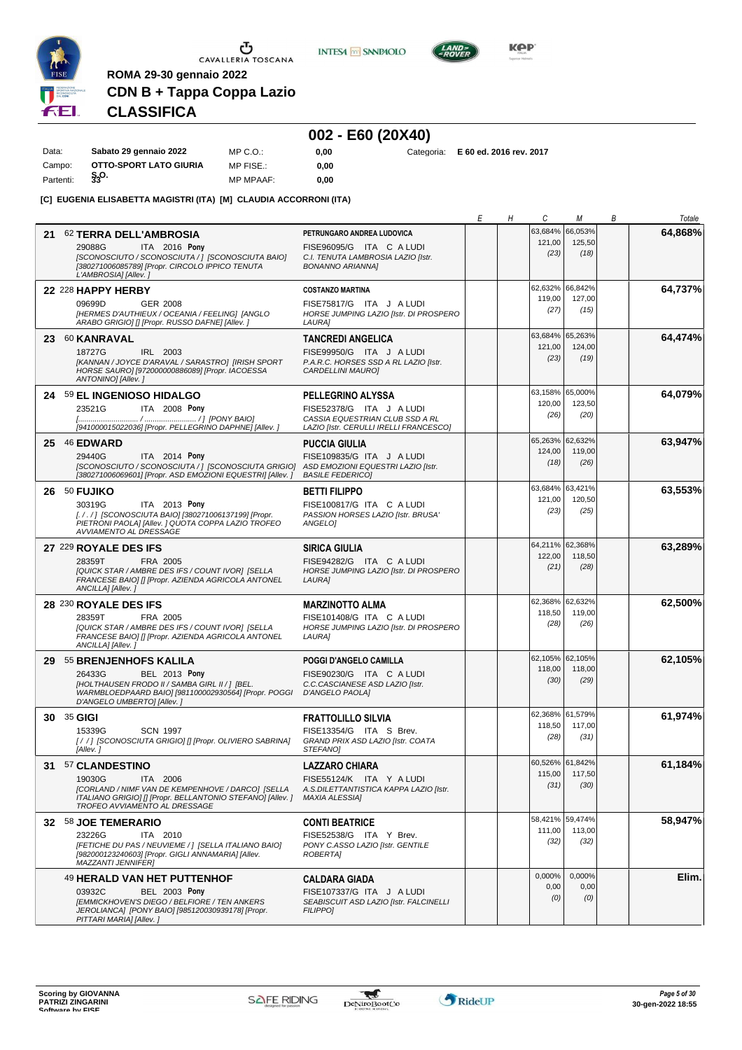

**INTESA** M SANPAOLO



**Kep** 

# **CDN B + Tappa Coppa Lazio CLASSIFICA**

**ROMA 29-30 gennaio 2022**

### **002 - E60 (20X40)**

| Data:     | Sabato 29 gennaio 2022 | MP C.O.:         | 0.00 |  | Categoria: E 60 ed. 2016 rev. 2017 |
|-----------|------------------------|------------------|------|--|------------------------------------|
| Campo:    | OTTO-SPORT LATO GIURIA | MP FISE.:        | 0.00 |  |                                    |
| Partenti: | $\frac{5}{33}$ O.      | <b>MP MPAAF:</b> | 0.00 |  |                                    |

**[C] EUGENIA ELISABETTA MAGISTRI (ITA) [M] CLAUDIA ACCORRONI (ITA)**

|                                                                                                                                                                                                                    |                                                                                                                            | Е | Н | С                                 | М                                 | В | Totale  |
|--------------------------------------------------------------------------------------------------------------------------------------------------------------------------------------------------------------------|----------------------------------------------------------------------------------------------------------------------------|---|---|-----------------------------------|-----------------------------------|---|---------|
| 21<br>62 TERRA DELL'AMBROSIA<br>ITA 2016 Pony<br>29088G<br>[SCONOSCIUTO / SCONOSCIUTA / ] [SCONOSCIUTA BAIO]<br>[380271006085789] [Propr. CIRCOLO IPPICO TENUTA<br>L'AMBROSIA] [Allev.]                            | PETRUNGARO ANDREA LUDOVICA<br>FISE96095/G ITA C A LUDI<br>C.I. TENUTA LAMBROSIA LAZIO [Istr.<br><b>BONANNO ARIANNAI</b>    |   |   | 63,684%<br>121,00<br>(23)         | 66,053%<br>125,50<br>(18)         |   | 64,868% |
| 22 228 HAPPY HERBY<br>09699D<br><b>GER 2008</b><br>[HERMES D'AUTHIEUX / OCEANIA / FEELING] [ANGLO<br>ARABO GRIGIO] [] [Propr. RUSSO DAFNE] [Allev.]                                                                | <b>COSTANZO MARTINA</b><br>FISE75817/G ITA J A LUDI<br>HORSE JUMPING LAZIO [Istr. DI PROSPERO<br>LAURA]                    |   |   | 62,632% 66,842%<br>119,00<br>(27) | 127,00<br>(15)                    |   | 64,737% |
| 23 60 KANRAVAL<br>18727G<br>IRL 2003<br>[KANNAN / JOYCE D'ARAVAL / SARASTRO] [IRISH SPORT<br>HORSE SAURO] [972000000886089] [Propr. IACOESSA<br>ANTONINO] [Allev. ]                                                | <b>TANCREDI ANGELICA</b><br>FISE99950/G ITA J A LUDI<br>P.A.R.C. HORSES SSD A RL LAZIO [Istr.<br>CARDELLINI MAURO]         |   |   | 63,684%<br>121,00<br>(23)         | 65,263%<br>124,00<br>(19)         |   | 64,474% |
| 24 59 EL INGENIOSO HIDALGO<br>ITA 2008 Pony<br>23521G<br>[941000015022036] [Propr. PELLEGRINO DAPHNE] [Allev. ]                                                                                                    | PELLEGRINO ALYSSA<br>FISE52378/G ITA J A LUDI<br>CASSIA EQUESTRIAN CLUB SSD A RL<br>LAZIO [Istr. CERULLI IRELLI FRANCESCO] |   |   | 63,158%<br>120,00<br>(26)         | 65,000%<br>123,50<br>(20)         |   | 64,079% |
| 25 46 EDWARD<br>29440G<br>ITA 2014 Pony<br>[SCONOSCIUTO / SCONOSCIUTA / ] [SCONOSCIUTA GRIGIO] ASD EMOZIONI EQUESTRI LAZIO [Istr.<br>[380271006069601] [Propr. ASD EMOZIONI EQUESTRI] [Allev.]                     | <b>PUCCIA GIULIA</b><br>FISE109835/G ITA J A LUDI<br><b>BASILE FEDERICO1</b>                                               |   |   | 65,263% 62,632%<br>124,00<br>(18) | 119,00<br>(26)                    |   | 63,947% |
| 26 50 FUJIKO<br>30319G<br>ITA 2013 Pony<br>[././] [SCONOSCIUTA BAIO] [380271006137199] [Propr.<br>PIETRONI PAOLA] [Allev. ] QUOTA COPPA LAZIO TROFEO<br>AVVIAMENTO AL DRESSAGE                                     | <b>BETTI FILIPPO</b><br>FISE100817/G ITA C A LUDI<br>PASSION HORSES LAZIO [Istr. BRUSA'<br><b>ANGELOI</b>                  |   |   | 63,684%<br>121,00<br>(23)         | 63,421%<br>120,50<br>(25)         |   | 63,553% |
| 27 229 ROYALE DES IFS<br>28359T<br>FRA 2005<br>[QUICK STAR / AMBRE DES IFS / COUNT IVOR] [SELLA<br>FRANCESE BAIO] [] [Propr. AZIENDA AGRICOLA ANTONEL<br>ANCILLA] [Allev.]                                         | <b>SIRICA GIULIA</b><br>FISE94282/G ITA C A LUDI<br>HORSE JUMPING LAZIO [Istr. DI PROSPERO<br>LAURA]                       |   |   | 64,211% 62,368%<br>122,00<br>(21) | 118,50<br>(28)                    |   | 63,289% |
| 28 230 ROYALE DES IFS<br>28359T<br>FRA 2005<br>[QUICK STAR / AMBRE DES IFS / COUNT IVOR] [SELLA<br>FRANCESE BAIO] [] [Propr. AZIENDA AGRICOLA ANTONEL<br>ANCILLA] [Allev.]                                         | <b>MARZINOTTO ALMA</b><br>FISE101408/G ITA C A LUDI<br>HORSE JUMPING LAZIO [Istr. DI PROSPERO<br>LAURA]                    |   |   | 62,368%<br>118,50<br>(28)         | 62,632%<br>119,00<br>(26)         |   | 62,500% |
| 29 55 BRENJENHOFS KALILA<br><b>BEL 2013 Pony</b><br>26433G<br>[HOLTHAUSEN FRODO II / SAMBA GIRL II / ] [BEL.<br>WARMBLOEDPAARD BAIO] [981100002930564] [Propr. POGGI D'ANGELO PAOLA]<br>D'ANGELO UMBERTO] [Allev.] | POGGI D'ANGELO CAMILLA<br>FISE90230/G ITA C A LUDI<br>C.C.CASCIANESE ASD LAZIO [Istr.                                      |   |   | 62,105% 62,105%<br>118,00<br>(30) | 118,00<br>(29)                    |   | 62,105% |
| 30 35 GIGI<br>15339G<br><b>SCN 1997</b><br>[//] [SCONOSCIUTA GRIGIO] [] [Propr. OLIVIERO SABRINA]<br>[Allev.]                                                                                                      | <b>FRATTOLILLO SILVIA</b><br>FISE13354/G ITA S Brev.<br>GRAND PRIX ASD LAZIO [Istr. COATA<br><b>STEFANOI</b>               |   |   | 62,368% 61,579%<br>118,50<br>(28) | 117,00<br>(31)                    |   | 61,974% |
| 31 57 CLANDESTINO<br>19030G<br>ITA 2006<br>[CORLAND / NIMF VAN DE KEMPENHOVE / DARCO] [SELLA<br>ITALIANO GRIGIO] [] [Propr. BELLANTONIO STEFANO] [Allev. ]<br>TROFEO AVVIAMENTO AL DRESSAGE                        | <b>LAZZARO CHIARA</b><br>FISE55124/K ITA Y A LUDI<br>A.S.DILETTANTISTICA KAPPA LAZIO [Istr.<br><b>MAXIA ALESSIA]</b>       |   |   | 60,526% 61,842%<br>(31)           | 115.00 117.50<br>(30)             |   | 61,184% |
| 32 58 JOE TEMERARIO<br>23226G<br>ITA 2010<br>[FETICHE DU PAS / NEUVIEME / ] [SELLA ITALIANO BAIO]<br>[982000123240603] [Propr. GIGLI ANNAMARIA] [Allev.<br><b>MAZZANTI JENNIFER]</b>                               | <b>CONTI BEATRICE</b><br>FISE52538/G ITA Y Brev.<br>PONY C.ASSO LAZIO [Istr. GENTILE<br><b>ROBERTAI</b>                    |   |   | 111,00<br>(32)                    | 58,421% 59,474%<br>113,00<br>(32) |   | 58,947% |
| 49 HERALD VAN HET PUTTENHOF<br><b>BEL 2003 Pony</b><br>03932C<br>[EMMICKHOVEN'S DIEGO / BELFIORE / TEN ANKERS<br>JEROLIANCA] [PONY BAIO] [985120030939178] [Propr.<br>PITTARI MARIA] [Allev.]                      | <b>CALDARA GIADA</b><br>FISE107337/G ITA J A LUDI<br>SEABISCUIT ASD LAZIO [Istr. FALCINELLI<br><b>FILIPPO1</b>             |   |   | 0,000%<br>0,00<br>(0)             | 0,000%<br>0,00<br>(0)             |   | Elim.   |

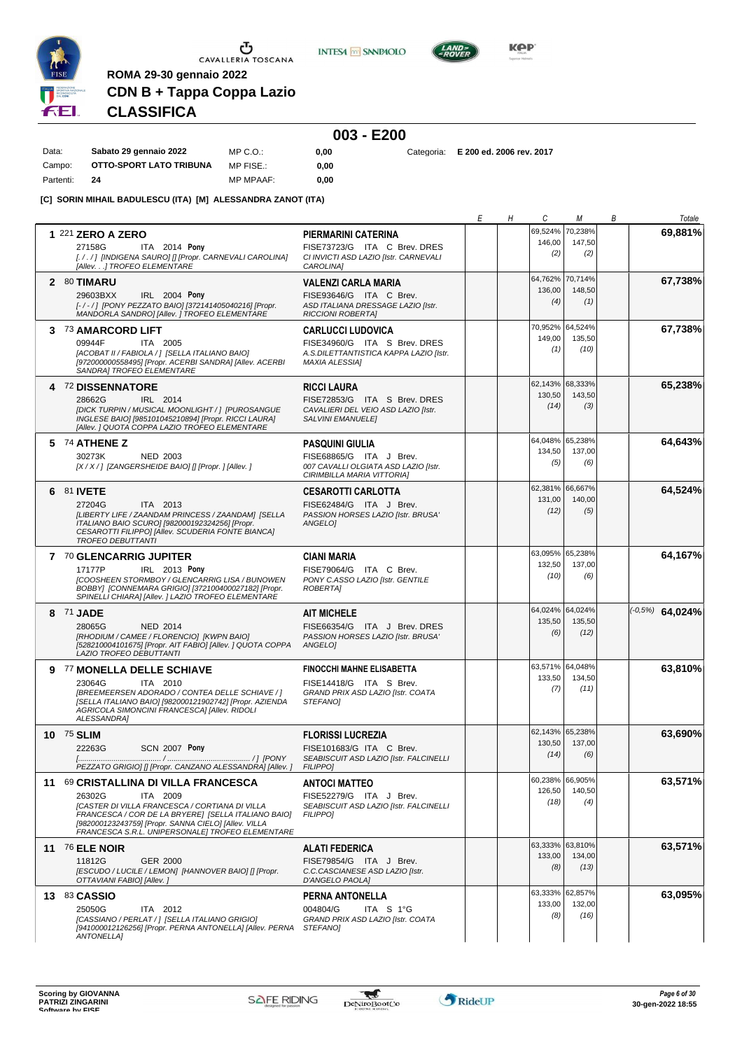

**INTESA** M SANPAOLO



**Kep** 

**0,00** Categoria: **E 200 ed. 2006 rev. 2017**

# **CDN B + Tappa Coppa Lazio CLASSIFICA**

**ROMA 29-30 gennaio 2022**

|           |                         |                  |      | 003 - E200 |
|-----------|-------------------------|------------------|------|------------|
| Data:     | Sabato 29 gennaio 2022  | MP C.O.:         | 0.00 | Categoria: |
| Campo:    | OTTO-SPORT LATO TRIBUNA | MP FISE.:        | 0.00 |            |
| Partenti: | 24                      | <b>MP MPAAF:</b> | 0.00 |            |

**[C] SORIN MIHAIL BADULESCU (ITA) [M] ALESSANDRA ZANOT (ITA)**

|                                                                                                                                                                                                                                                                                 |                                                                                                                                      | Е | Н | C                                 | М                         | В | Totale            |
|---------------------------------------------------------------------------------------------------------------------------------------------------------------------------------------------------------------------------------------------------------------------------------|--------------------------------------------------------------------------------------------------------------------------------------|---|---|-----------------------------------|---------------------------|---|-------------------|
| 1 221 ZERO A ZERO<br>27158G<br>ITA 2014 Pony<br>[././] [INDIGENA SAURO] [] [Propr. CARNEVALI CAROLINA]                                                                                                                                                                          | PIERMARINI CATERINA<br>FISE73723/G ITA C Brev. DRES<br>CI INVICTI ASD LAZIO [Istr. CARNEVALI                                         |   |   | 69,524%<br>146,00<br>(2)          | 70,238%<br>147,50<br>(2)  |   | 69,881%           |
| [Allev.] TROFEO ELEMENTARE<br>2 80 TIMARU<br>IRL 2004 Pony<br>29603BXX<br>[-/-/] [PONY PEZZATO BAIO] [372141405040216] [Propr.<br>MANDORLA SANDRO] [Allev. ] TROFEO ELEMENTARE                                                                                                  | CAROLINA]<br><b>VALENZI CARLA MARIA</b><br>FISE93646/G ITA C Brev.<br>ASD ITALIANA DRESSAGE LAZIO [Istr.<br><b>RICCIONI ROBERTAI</b> |   |   | 64,762%<br>136,00<br>(4)          | 70,714%<br>148,50<br>(1)  |   | 67,738%           |
| 3 73 AMARCORD LIFT<br>09944F<br>ITA 2005<br>[ACOBAT II / FABIOLA / ] [SELLA ITALIANO BAIO]<br>[972000000558495] [Propr. ACERBI SANDRA] [Allev. ACERBI<br>SANDRA] TROFEO ELEMENTARE                                                                                              | <b>CARLUCCI LUDOVICA</b><br>FISE34960/G ITA S Brev. DRES<br>A.S.DILETTANTISTICA KAPPA LAZIO [Istr.<br><b>MAXIA ALESSIA]</b>          |   |   | 70,952% 64,524%<br>149,00<br>(1)  | 135,50<br>(10)            |   | 67,738%           |
| 4 72 DISSENNATORE<br>28662G<br>IRL 2014<br>[DICK TURPIN / MUSICAL MOONLIGHT / ] [PUROSANGUE<br>INGLESE BAIO] [985101045210894] [Propr. RICCI LAURA]<br>[Allev.] QUOTA COPPA LAZIO TROFEO ELEMENTARE                                                                             | <b>RICCI LAURA</b><br>FISE72853/G ITA S Brev. DRES<br>CAVALIERI DEL VEIO ASD LAZIO [Istr.<br><b>SALVINI EMANUELEI</b>                |   |   | 62,143%<br>130,50<br>(14)         | 68.333%<br>143,50<br>(3)  |   | 65,238%           |
| $5\frac{74}{74}$ ATHENE Z<br>30273K<br><b>NED 2003</b><br>[X / X / ] [ZANGERSHEIDE BAIO] [] [Propr. ] [Allev. ]                                                                                                                                                                 | <b>PASQUINI GIULIA</b><br>FISE68865/G ITA J Brev.<br>007 CAVALLI OLGIATA ASD LAZIO [Istr.<br>CIRIMBILLA MARIA VITTORIA]              |   |   | 64,048% 65,238%<br>134,50<br>(5)  | 137,00<br>(6)             |   | 64,643%           |
| 6 81 IVETE<br>27204G<br>ITA 2013<br>[LIBERTY LIFE / ZAANDAM PRINCESS / ZAANDAM] [SELLA<br>ITALIANO BAIO SCURO] [982000192324256] [Propr.<br>CESAROTTI FILIPPO] [Allev. SCUDERIA FONTE BIANCA]<br><b>TROFEO DEBUTTANTI</b>                                                       | <b>CESAROTTI CARLOTTA</b><br>FISE62484/G ITA J Brev.<br>PASSION HORSES LAZIO [Istr. BRUSA'<br>ANGELO1                                |   |   | 62,381%<br>131,00<br>(12)         | 66,667%<br>140,00<br>(5)  |   | 64,524%           |
| 7 70 GLENCARRIG JUPITER<br>17177P<br>IRL 2013 Pony<br><b>[COOSHEEN STORMBOY / GLENCARRIG LISA / BUNOWEN</b><br>BOBBY] [CONNEMARA GRIGIO] [372100400027182] [Propr.<br>SPINELLI CHIARA] [Allev. ] LAZIO TROFEO ELEMENTARE                                                        | <b>CIANI MARIA</b><br>FISE79064/G ITA C Brev.<br>PONY C.ASSO LAZIO [Istr. GENTILE<br><b>ROBERTAI</b>                                 |   |   | 63,095% 65,238%<br>132,50<br>(10) | 137,00<br>(6)             |   | 64,167%           |
| 8 71 JADE<br>28065G<br>NED 2014<br>[RHODIUM / CAMEE / FLORENCIO] [KWPN BAIO]<br>[528210004101675] [Propr. AIT FABIO] [Allev. ] QUOTA COPPA<br>LAZIO TROFEO DEBUTTANTI                                                                                                           | <b>AIT MICHELE</b><br>FISE66354/G ITA J Brev. DRES<br>PASSION HORSES LAZIO [Istr. BRUSA'<br>ANGELO]                                  |   |   | 64,024% 64,024%<br>135,50<br>(6)  | 135,50<br>(12)            |   | $(-0.5%)$ 64,024% |
| 9 77 MONELLA DELLE SCHIAVE<br>23064G<br>ITA 2010<br>[BREEMEERSEN ADORADO / CONTEA DELLE SCHIAVE / ]<br>[SELLA ITALIANO BAIO] [982000121902742] [Propr. AZIENDA<br>AGRICOLA SIMONCINI FRANCESCA] [Allev. RIDOLI<br>ALESSANDRA]                                                   | <b>FINOCCHI MAHNE ELISABETTA</b><br>FISE14418/G ITA S Brev.<br>GRAND PRIX ASD LAZIO [Istr. COATA<br>STEFANOI                         |   |   | 63,571% 64,048%<br>133,50<br>(7)  | 134,50<br>(11)            |   | 63,810%           |
| 10 75 SLIM<br>22263G<br>SCN 2007 Pony<br>PEZZATO GRIGIO] [] [Propr. CANZANO ALESSANDRA] [Allev. ]                                                                                                                                                                               | <b>FLORISSI LUCREZIA</b><br>FISE101683/G ITA C Brev.<br>SEABISCUIT ASD LAZIO [Istr. FALCINELLI<br><b>FILIPPOI</b>                    |   |   | 62,143% 65,238%<br>130,50<br>(14) | 137,00<br>(6)             |   | 63,690%           |
| 11 69 CRISTALLINA DI VILLA FRANCESCA<br>26302G<br>ITA 2009<br>[CASTER DI VILLA FRANCESCA / CORTIANA DI VILLA<br>FRANCESCA / COR DE LA BRYERE] [SELLA ITALIANO BAIO]<br>[982000123243759] [Propr. SANNA CIELO] [Allev. VILLA<br>FRANCESCA S.R.L. UNIPERSONALE] TROFEO ELEMENTARE | <b>ANTOCI MATTEO</b><br>FISE52279/G ITA J Brev.<br>SEABISCUIT ASD LAZIO [Istr. FALCINELLI<br><b>FILIPPOI</b>                         |   |   | 60,238% 66,905%<br>126,50<br>(18) | 140,50<br>(4)             |   | 63,571%           |
| 11 76 ELE NOIR<br>11812G<br>GER 2000<br>[ESCUDO / LUCILE / LEMON] [HANNOVER BAIO] [] [Propr.<br>OTTAVIANI FABIO] [Allev.]                                                                                                                                                       | <b>ALATI FEDERICA</b><br>FISE79854/G ITA J Brev.<br>C.C.CASCIANESE ASD LAZIO [Istr.<br>D'ANGELO PAOLA]                               |   |   | 63,333% 63,810%<br>133,00<br>(8)  | 134,00<br>(13)            |   | 63,571%           |
| 13 83 CASSIO<br>25050G<br>ITA 2012<br>[CASSIANO / PERLAT / ] [SELLA ITALIANO GRIGIO]<br>[941000012126256] [Propr. PERNA ANTONELLA] [Allev. PERNA<br><b>ANTONELLA]</b>                                                                                                           | PERNA ANTONELLA<br>004804/G<br>ITA S 1°G<br>GRAND PRIX ASD LAZIO [Istr. COATA<br>STEFANO]                                            |   |   | 63,333%<br>133,00<br>(8)          | 62,857%<br>132,00<br>(16) |   | 63,095%           |

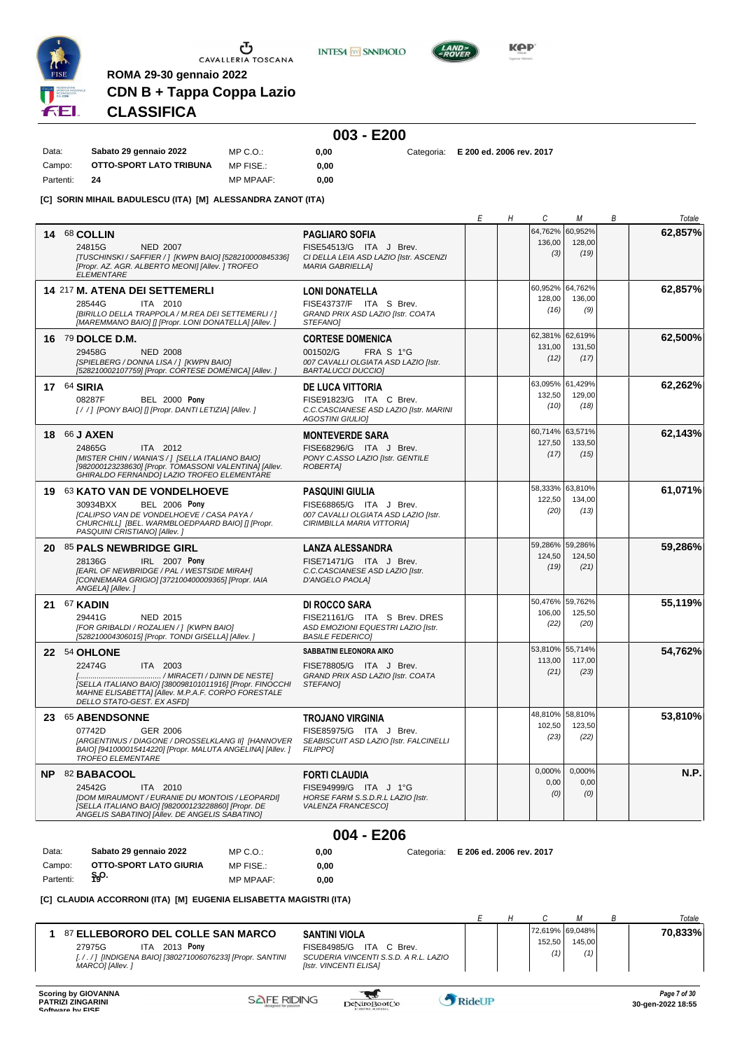

**INTESA** M SANPAOLO



**KPP** 

# **CLASSIFICA**

**ROMA 29-30 gennaio 2022**

**CDN B + Tappa Coppa Lazio**

#### **003 - E200** Data: **Sabato 29 gennaio 2022** Campo: **OTTO-SPORT LATO TRIBUNA** Partenti: **24** MP C.O.: MP FISE.: MP MPAAF: **0,00 0,00 0,00** Categoria: **E 200 ed. 2006 rev. 2017**

**[C] SORIN MIHAIL BADULESCU (ITA) [M] ALESSANDRA ZANOT (ITA)**

|           |                                                                                                             |                                                                   | Е                        | Н | С                 | М                 | Β | Totale  |
|-----------|-------------------------------------------------------------------------------------------------------------|-------------------------------------------------------------------|--------------------------|---|-------------------|-------------------|---|---------|
|           | <b>14 68 COLLIN</b>                                                                                         | <b>PAGLIARO SOFIA</b>                                             |                          |   | 64,762%           | 60,952%           |   | 62,857% |
|           | 24815G<br><b>NED 2007</b>                                                                                   | FISE54513/G ITA J Brev.                                           |                          |   | 136,00            | 128,00            |   |         |
|           | [TUSCHINSKI / SAFFIER / ] [KWPN BAIO] [528210000845336]                                                     | CI DELLA LEIA ASD LAZIO [Istr. ASCENZI                            |                          |   | (3)               | (19)              |   |         |
|           | [Propr. AZ. AGR. ALBERTO MEONI] [Allev. ] TROFEO<br><b>ELEMENTARE</b>                                       | <b>MARIA GABRIELLA]</b>                                           |                          |   |                   |                   |   |         |
|           |                                                                                                             |                                                                   |                          |   |                   |                   |   |         |
|           | 14 217 M. ATENA DEI SETTEMERLI                                                                              | <b>LONI DONATELLA</b>                                             |                          |   | 60,952%<br>128,00 | 64,762%<br>136,00 |   | 62,857% |
|           | 28544G<br>ITA 2010                                                                                          | FISE43737/F ITA S Brev.                                           |                          |   | (16)              | (9)               |   |         |
|           | [BIRILLO DELLA TRAPPOLA / M.REA DEI SETTEMERLI / ]<br>[MAREMMANO BAIO] [] [Propr. LONI DONATELLA] [Allev. ] | GRAND PRIX ASD LAZIO [Istr. COATA<br>STEFANO]                     |                          |   |                   |                   |   |         |
|           |                                                                                                             |                                                                   |                          |   | 62,381% 62,619%   |                   |   | 62,500% |
|           | 16 79 DOLCE D.M.                                                                                            | <b>CORTESE DOMENICA</b>                                           |                          |   | 131,00            | 131,50            |   |         |
|           | 29458G<br><b>NED 2008</b><br>[SPIELBERG / DONNA LISA / ] [KWPN BAIO]                                        | 001502/G<br>FRA S 1°G<br>007 CAVALLI OLGIATA ASD LAZIO [Istr.     |                          |   | (12)              | (17)              |   |         |
|           | [528210002107759] [Propr. CORTESE DOMENICA] [Allev.]                                                        | <b>BARTALUCCI DUCCIO]</b>                                         |                          |   |                   |                   |   |         |
|           | $17^{64}$ SIRIA                                                                                             | <b>DE LUCA VITTORIA</b>                                           |                          |   | 63,095%           | 61,429%           |   | 62,262% |
|           | 08287F<br><b>BEL 2000 Pony</b>                                                                              | FISE91823/G ITA C Brev.                                           |                          |   | 132,50            | 129,00            |   |         |
|           | [//] [PONY BAIO] [] [Propr. DANTI LETIZIA] [Allev.]                                                         | C.C.CASCIANESE ASD LAZIO [Istr. MARINI                            |                          |   | (10)              | (18)              |   |         |
|           |                                                                                                             | <b>AGOSTINI GIULIO]</b>                                           |                          |   |                   |                   |   |         |
|           | 18 66 J AXEN                                                                                                | <b>MONTEVERDE SARA</b>                                            |                          |   | 60,714% 63,571%   |                   |   | 62,143% |
|           | 24865G<br>ITA 2012                                                                                          | FISE68296/G ITA J Brev.                                           |                          |   | 127,50<br>(17)    | 133,50<br>(15)    |   |         |
|           | [MISTER CHIN / WANIA'S / ] [SELLA ITALIANO BAIO]<br>[982000123238630] [Propr. TOMASSONI VALENTINA] [Allev.  | PONY C.ASSO LAZIO [Istr. GENTILE<br><b>ROBERTAI</b>               |                          |   |                   |                   |   |         |
|           | GHIRALDO FERNANDO] LAZIO TROFEO ELEMENTARE                                                                  |                                                                   |                          |   |                   |                   |   |         |
|           | 19 63 KATO VAN DE VONDELHOEVE                                                                               | PASQUINI GIULIA                                                   |                          |   | 58,333%           | 63,810%           |   | 61,071% |
|           | <b>BEL 2006 Pony</b><br>30934BXX                                                                            | FISE68865/G ITA J Brev.                                           |                          |   | 122,50            | 134,00            |   |         |
|           | [CALIPSO VAN DE VONDELHOEVE / CASA PAYA /                                                                   | 007 CAVALLI OLGIATA ASD LAZIO [Istr.                              |                          |   | (20)              | (13)              |   |         |
|           | CHURCHILL] [BEL. WARMBLOEDPAARD BAIO] [] [Propr.<br>PASQUINI CRISTIANO] [Allev.]                            | CIRIMBILLA MARIA VITTORIA]                                        |                          |   |                   |                   |   |         |
|           |                                                                                                             |                                                                   |                          |   | 59,286%           | 59,286%           |   | 59,286% |
|           | 20 85 PALS NEWBRIDGE GIRL                                                                                   | LANZA ALESSANDRA                                                  |                          |   | 124,50            | 124,50            |   |         |
|           | IRL 2007 Pony<br>28136G<br>[EARL OF NEWBRIDGE / PAL / WESTSIDE MIRAH]                                       | FISE71471/G ITA J Brev.<br>C.C.CASCIANESE ASD LAZIO [Istr.        |                          |   | (19)              | (21)              |   |         |
|           | [CONNEMARA GRIGIO] [372100400009365] [Propr. IAIA                                                           | D'ANGELO PAOLA]                                                   |                          |   |                   |                   |   |         |
|           | ANGELA] [Allev.]                                                                                            |                                                                   |                          |   |                   |                   |   |         |
|           | <b>21 67 KADIN</b>                                                                                          | DI ROCCO SARA                                                     |                          |   | 50,476%           | 59,762%           |   | 55,119% |
|           | 29441G<br>NED 2015                                                                                          | FISE21161/G ITA S Brev. DRES                                      |                          |   | 106,00<br>(22)    | 125,50<br>(20)    |   |         |
|           | [FOR GRIBALDI / ROZALIEN / ] [KWPN BAIO]<br>[528210004306015] [Propr. TONDI GISELLA] [Allev. ]              | ASD EMOZIONI EQUESTRI LAZIO [Istr.<br><b>BASILE FEDERICO]</b>     |                          |   |                   |                   |   |         |
|           |                                                                                                             | SABBATINI ELEONORA AIKO                                           |                          |   |                   | 53,810% 55,714%   |   | 54,762% |
|           | 22 54 OHLONE                                                                                                |                                                                   |                          |   | 113,00            | 117,00            |   |         |
|           | 22474G<br><b>ITA 2003</b><br>/ MIRACETI / DJINN DE NESTE]                                                   | FISE78805/G ITA J Brev.<br>GRAND PRIX ASD LAZIO [Istr. COATA      |                          |   | (21)              | (23)              |   |         |
|           | [SELLA ITALIANO BAIO] [380098101011916] [Propr. FINOCCHI                                                    | <b>STEFANOI</b>                                                   |                          |   |                   |                   |   |         |
|           | MAHNE ELISABETTA] [Allev. M.P.A.F. CORPO FORESTALE<br>DELLO STATO-GEST. EX ASFD]                            |                                                                   |                          |   |                   |                   |   |         |
|           |                                                                                                             |                                                                   |                          |   | 48,810% 58,810%   |                   |   | 53,810% |
|           | 23 65 ABENDSONNE                                                                                            | <b>TROJANO VIRGINIA</b>                                           |                          |   | 102,50            | 123,50            |   |         |
|           | GER 2006<br>07742D<br>[ARGENTINUS / DIAGONE / DROSSELKLANG II] [HANNOVER                                    | FISE85975/G ITA J Brev.<br>SEABISCUIT ASD LAZIO [Istr. FALCINELLI |                          |   | (23)              | (22)              |   |         |
|           | BAIO] [941000015414220] [Propr. MALUTA ANGELINA] [Allev.]                                                   | <b>FILIPPO]</b>                                                   |                          |   |                   |                   |   |         |
|           | <b>TROFEO ELEMENTARE</b>                                                                                    |                                                                   |                          |   |                   |                   |   |         |
|           | NP 82 BABACOOL                                                                                              | <b>FORTI CLAUDIA</b>                                              |                          |   | $0,000\%$<br>0,00 | 0,000%<br>0,00    |   | N.P.    |
|           | 24542G<br><b>ITA 2010</b>                                                                                   | FISE94999/G ITA J 1°G                                             |                          |   | (0)               | (0)               |   |         |
|           | [DOM MIRAUMONT / EURANIE DU MONTOIS / LEOPARDI]<br>[SELLA ITALIANO BAIO] [982000123228860] [Propr. DE       | HORSE FARM S.S.D.R.L LAZIO [Istr.<br>VALENZA FRANCESCO]           |                          |   |                   |                   |   |         |
|           | ANGELIS SABATINO] [Allev. DE ANGELIS SABATINO]                                                              |                                                                   |                          |   |                   |                   |   |         |
|           |                                                                                                             | 004 - E206                                                        |                          |   |                   |                   |   |         |
|           |                                                                                                             |                                                                   |                          |   |                   |                   |   |         |
| Data:     | Sabato 29 gennaio 2022<br>MP C.O.:                                                                          | 0,00<br>Categoria:                                                | E 206 ed. 2006 rev. 2017 |   |                   |                   |   |         |
| Campo:    | <b>OTTO-SPORT LATO GIURIA</b><br>MP FISE.:                                                                  | 0,00                                                              |                          |   |                   |                   |   |         |
| Partenti: | န္၀.<br>MP MPAAF:                                                                                           | 0,00                                                              |                          |   |                   |                   |   |         |

#### **[C] CLAUDIA ACCORRONI (ITA) [M] EUGENIA ELISABETTA MAGISTRI (ITA)**

|                                                                                                                                                                                                                                                                                                   |  |               |                                  | Totale  |
|---------------------------------------------------------------------------------------------------------------------------------------------------------------------------------------------------------------------------------------------------------------------------------------------------|--|---------------|----------------------------------|---------|
| <b>87 ELLEBORORO DEL COLLE SAN MARCO</b><br><b>SANTINI VIOLA</b><br><b>ITA</b><br>27975G<br>FISE84985/G<br>2013 <b>Ponv</b><br>ITA.<br>C Brev.<br>SCUDERIA VINCENTI S.S.D. A R.L. LAZIO<br>[././] [INDIGENA BAIO] [380271006076233] [Propr. SANTINI<br>MARCOI [Allev. ]<br>[Istr. VINCENTI ELISA] |  | 152.50<br>(1) | 72,619% 69,048%<br>145.00<br>(1) | 70,833% |

 $\mathcal{L}$ 

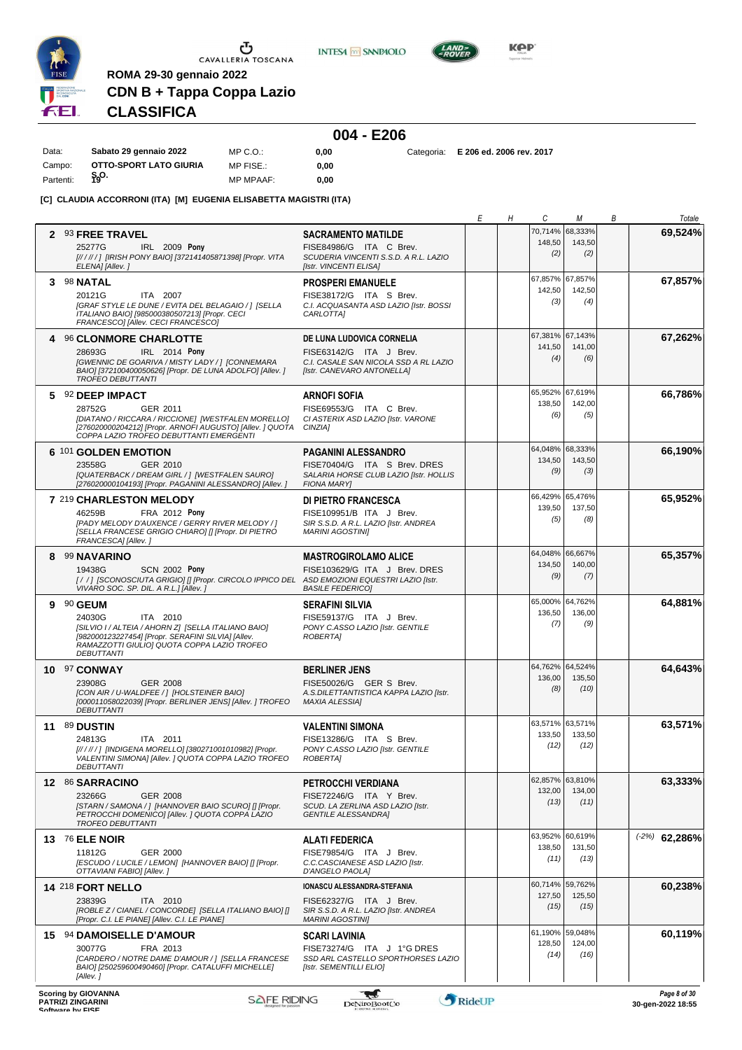

**INTESA M** SANPAOLO



**Kep** 

# **CDN B + Tappa Coppa Lazio CLASSIFICA**

**ROMA 29-30 gennaio 2022**

|           |                        |                  |      | 004 - E206 |                          |
|-----------|------------------------|------------------|------|------------|--------------------------|
| Data:     | Sabato 29 gennaio 2022 | MP C.O.:         | 0.00 | Categoria: | E 206 ed. 2006 rev. 2017 |
| Campo:    | OTTO-SPORT LATO GIURIA | MP FISE.:        | 0.00 |            |                          |
| Partenti: | န္၀.                   | <b>MP MPAAF:</b> | 0.00 |            |                          |

**[C] CLAUDIA ACCORRONI (ITA) [M] EUGENIA ELISABETTA MAGISTRI (ITA)**

|   |                                                                                                                                                                                                                  |                                                                                                                                      | Е      | Η | C                        | М                                 | В | Totale                                 |
|---|------------------------------------------------------------------------------------------------------------------------------------------------------------------------------------------------------------------|--------------------------------------------------------------------------------------------------------------------------------------|--------|---|--------------------------|-----------------------------------|---|----------------------------------------|
|   | 2 93 FREE TRAVEL<br>IRL 2009 Pony<br>25277G<br>[////// ] [IRISH PONY BAIO] [372141405871398] [Propr. VITA                                                                                                        | <b>SACRAMENTO MATILDE</b><br>FISE84986/G ITA C Brev.<br>SCUDERIA VINCENTI S.S.D. A R.L. LAZIO                                        |        |   | 148,50<br>(2)            | 70,714% 68,333%<br>143,50<br>(2)  |   | 69,524%                                |
|   | ELENA] [Allev.]<br>3 98 NATAL<br>20121G<br>ITA 2007<br>[GRAF STYLE LE DUNE / EVITA DEL BELAGAIO / ] [SELLA<br>ITALIANO BAIO] [985000380507213] [Propr. CECI<br>FRANCESCO] [Allev. CECI FRANCESCO]                | [Istr. VINCENTI ELISA]<br><b>PROSPERI EMANUELE</b><br>FISE38172/G ITA S Brev.<br>C.I. ACQUASANTA ASD LAZIO [Istr. BOSSI<br>CARLOTTA] |        |   | 67,857%<br>142,50<br>(3) | 67,857%<br>142,50<br>(4)          |   | 67,857%                                |
| 4 | <b>96 CLONMORE CHARLOTTE</b><br>28693G<br>IRL 2014 Pony<br>[GWENNIC DE GOARIVA / MISTY LADY / ] [CONNEMARA<br>BAIO] [372100400050626] [Propr. DE LUNA ADOLFO] [Allev. ]<br><b>TROFEO DEBUTTANTI</b>              | DE LUNA LUDOVICA CORNELIA<br>FISE63142/G ITA J Brev.<br>C.I. CASALE SAN NICOLA SSD A RL LAZIO<br>[Istr. CANEVARO ANTONELLA]          |        |   | 141,50<br>(4)            | 67,381% 67,143%<br>141,00<br>(6)  |   | 67,262%                                |
|   | 5 92 DEEP IMPACT<br>28752G<br>GER 2011<br>[DIATANO / RICCARA / RICCIONE] [WESTFALEN MORELLO]<br>[276020000204212] [Propr. ARNOFI AUGUSTO] [Allev. ] QUOTA<br>COPPA LAZIO TROFEO DEBUTTANTI EMERGENTI             | <b>ARNOFI SOFIA</b><br>FISE69553/G ITA C Brev.<br>CI ASTERIX ASD LAZIO [Istr. VARONE<br>CINZIA]                                      |        |   | 65,952%<br>138,50<br>(6) | 67,619%<br>142,00<br>(5)          |   | 66.786%                                |
|   | 6 101 GOLDEN EMOTION<br>23558G<br>GER 2010<br>[QUATERBACK / DREAM GIRL / ] [WESTFALEN SAURO]<br>[276020000104193] [Propr. PAGANINI ALESSANDRO] [Allev.]                                                          | <b>PAGANINI ALESSANDRO</b><br>FISE70404/G ITA S Brev. DRES<br>SALARIA HORSE CLUB LAZIO [Istr. HOLLIS<br><b>FIONA MARY</b>            |        |   | 134,50<br>(9)            | 64,048% 68,333%<br>143,50<br>(3)  |   | 66,190%                                |
|   | 7 219 CHARLESTON MELODY<br>46259B<br><b>FRA 2012 Pony</b><br><b>IPADY MELODY D'AUXENCE / GERRY RIVER MELODY / 1</b><br>[SELLA FRANCESE GRIGIO CHIARO] [] [Propr. DI PIETRO<br>FRANCESCA] [Allev.]                | DI PIETRO FRANCESCA<br>FISE109951/B ITA J Brev.<br>SIR S.S.D. A R.L. LAZIO [Istr. ANDREA<br><b>MARINI AGOSTINII</b>                  |        |   | 66,429%<br>139,50<br>(5) | 65,476%<br>137,50<br>(8)          |   | 65,952%                                |
|   | 8 99 NAVARINO<br>19438G<br><b>SCN 2002 Pony</b><br>[//] [SCONOSCIUTA GRIGIO] [] [Propr. CIRCOLO IPPICO DEL ASD EMOZIONI EQUESTRI LAZIO [Istr.<br>VIVARO SOC. SP. DIL. A R.L.] [Allev.]                           | <b>MASTROGIROLAMO ALICE</b><br>FISE103629/G ITA J Brev. DRES<br><b>BASILE FEDERICO]</b>                                              |        |   | 134,50<br>(9)            | 64,048% 66,667%<br>140,00<br>(7)  |   | 65,357%                                |
|   | 9 90 GEUM<br>24030G<br>ITA 2010<br>[SILVIO I / ALTEIA / AHORN Z] [SELLA ITALIANO BAIO]<br>[982000123227454] [Propr. SERAFINI SILVIA] [Allev.<br>RAMAZZOTTI GIULIOI QUOTA COPPA LAZIO TROFEO<br><b>DEBUTTANTI</b> | <b>SERAFINI SILVIA</b><br>FISE59137/G ITA J Brev.<br>PONY C.ASSO LAZIO [Istr. GENTILE<br><b>ROBERTAI</b>                             |        |   | 65,000%<br>136,50<br>(7) | 64,762%<br>136,00<br>(9)          |   | 64,881%                                |
|   | 10 97 CONWAY<br>23908G<br><b>GER 2008</b><br>[CON AIR / U-WALDFEE / ] [HOLSTEINER BAIO]<br>[000011058022039] [Propr. BERLINER JENS] [Allev. ] TROFEO<br><b>DEBUTTANTI</b>                                        | <b>BERLINER JENS</b><br>FISE50026/G GER S Brev.<br>A.S.DILETTANTISTICA KAPPA LAZIO [Istr.<br><b>MAXIA ALESSIA]</b>                   |        |   | 136,00<br>(8)            | 64,762% 64,524%<br>135,50<br>(10) |   | 64,643%                                |
|   | <b>11 89 DUSTIN</b><br>24813G<br>ITA 2011<br>[//////] [INDIGENA MORELLO] [380271001010982] [Propr.<br>VALENTINI SIMONA] [Allev. ] QUOTA COPPA LAZIO TROFEO<br><b>DEBUTTANTI</b>                                  | <b>VALENTINI SIMONA</b><br>FISE13286/G ITA S Brev.<br>PONY C.ASSO LAZIO [Istr. GENTILE<br>ROBERTA]                                   |        |   | 133,50<br>(12)           | 63,571% 63,571%<br>133,50<br>(12) |   | 63,571%                                |
|   | 12 86 SARRACINO<br>23266G<br>GER 2008<br>[STARN / SAMONA / ] [HANNOVER BAIO SCURO] [] [Propr.<br>PETROCCHI DOMENICOI [Allev. ] QUOTA COPPA LAZIO<br><b>TROFEO DEBUTTANTI</b>                                     | <b>PETROCCHI VERDIANA</b><br>FISE72246/G ITA Y Brev.<br>SCUD. LA ZERLINA ASD LAZIO [Istr.<br><b>GENTILE ALESSANDRA1</b>              |        |   | 132,00<br>(13)           | 62,857% 63,810%<br>134,00<br>(11) |   | 63,333%                                |
|   | 13 76 ELE NOIR<br>11812G<br>GER 2000<br>[ESCUDO / LUCILE / LEMON] [HANNOVER BAIO] [] [Propr.<br>OTTAVIANI FABIO] [Allev.]                                                                                        | <b>ALATI FEDERICA</b><br>FISE79854/G ITA J Brev.<br>C.C.CASCIANESE ASD LAZIO [Istr.<br>D'ANGELO PAOLA]                               |        |   | 138,50<br>(11)           | 63,952% 60,619%<br>131,50<br>(13) |   | $(-2%)$<br>62,286%                     |
|   | 14 218 FORT NELLO<br>23839G<br>ITA 2010<br>[ROBLE Z / CIANEL / CONCORDE] [SELLA ITALIANO BAIO] []<br>[Propr. C.I. LE PIANE] [Allev. C.I. LE PIANE]                                                               | IONASCU ALESSANDRA-STEFANIA<br>FISE62327/G ITA J Brev.<br>SIR S.S.D. A R.L. LAZIO [Istr. ANDREA<br><b>MARINI AGOSTINII</b>           |        |   | 127,50<br>(15)           | 60,714% 59,762%<br>125,50<br>(15) |   | 60,238%                                |
|   | 15 94 DAMOISELLE D'AMOUR<br>30077G<br>FRA 2013<br>[CARDERO / NOTRE DAME D'AMOUR / ] [SELLA FRANCESE<br>BAIO] [250259600490460] [Propr. CATALUFFI MICHELLE]<br>[Allev. ]                                          | <b>SCARI LAVINIA</b><br>FISE73274/G ITA J 1°G DRES<br>SSD ARL CASTELLO SPORTHORSES LAZIO<br>[Istr. SEMENTILLI ELIO]                  |        |   | 128,50<br>(14)           | 61,190% 59,048%<br>124,00<br>(16) |   | 60,119%                                |
|   | <b>Scoring by GIOVANNA</b><br><b>SAFE RIDING</b><br><b>PATRIZI ZINGARINI</b>                                                                                                                                     | w<br>DeNiroBoot('o                                                                                                                   | RideUP |   |                          |                                   |   | Page 8 of 30<br>$30 - n$ en-2022 18:55 |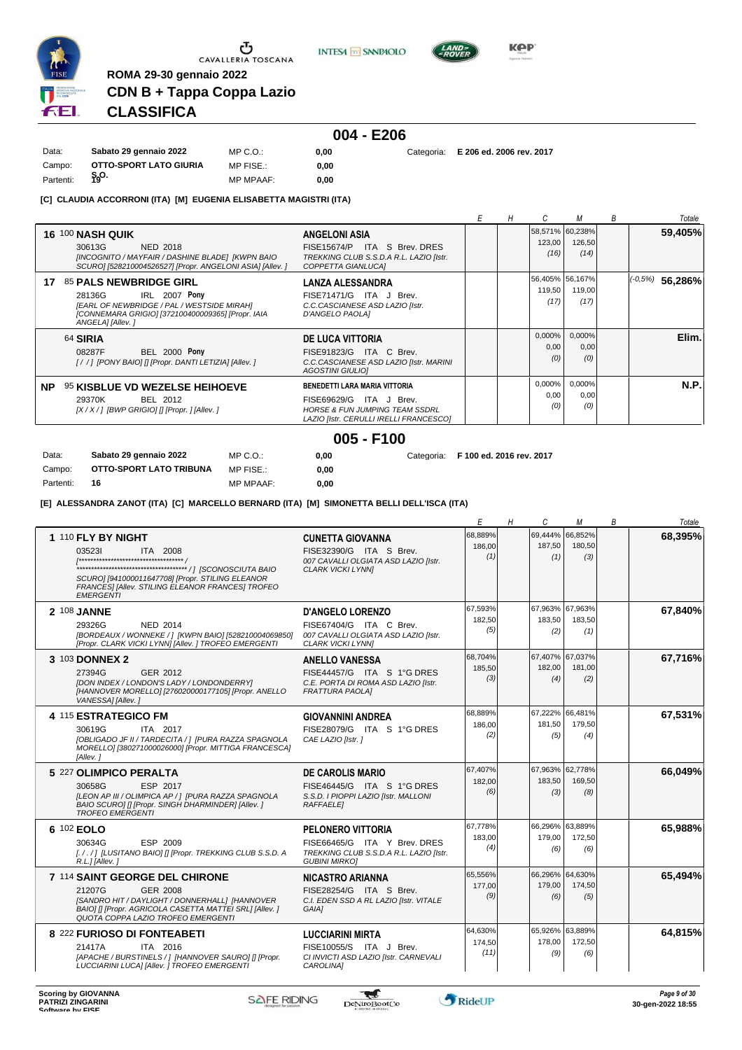

 $\sigma$  cavalleria toscana

**INTESA** M SANPAOLO



**KPP** 

# **CDN B + Tappa Coppa Lazio CLASSIFICA**

**ROMA 29-30 gennaio 2022**

|           |                        |                  |      | $004 - E206$ |                                     |
|-----------|------------------------|------------------|------|--------------|-------------------------------------|
| Data:     | Sabato 29 gennaio 2022 | MP C.O.:         | 0.00 |              | Categoria: E 206 ed. 2006 rev. 2017 |
| Campo:    | OTTO-SPORT LATO GIURIA | MP FISE.:        | 0.00 |              |                                     |
| Partenti: | န္၀.                   | <b>MP MPAAF:</b> | 0.00 |              |                                     |

#### **[C] CLAUDIA ACCORRONI (ITA) [M] EUGENIA ELISABETTA MAGISTRI (ITA)**

|           |                                                                                                                                                                                 |                                                                                                                                                    | Н |                          |                                   | B | Totale               |
|-----------|---------------------------------------------------------------------------------------------------------------------------------------------------------------------------------|----------------------------------------------------------------------------------------------------------------------------------------------------|---|--------------------------|-----------------------------------|---|----------------------|
|           | <b>16 100 NASH QUIK</b><br>30613G<br>NED 2018<br>[INCOGNITO / MAYFAIR / DASHINE BLADE] [KWPN BAIO<br>SCURO] [528210004526527] [Propr. ANGELONI ASIA] [Allev. ]                  | <b>ANGELONI ASIA</b><br>FISE15674/P ITA S Brev. DRES<br>TREKKING CLUB S.S.D.A R.L. LAZIO [Istr.<br>COPPETTA GIANLUCAI                              |   | 123,00<br>(16)           | 58,571% 60,238%<br>126,50<br>(14) |   | 59,405%              |
| 17        | <b>85 PALS NEWBRIDGE GIRL</b><br>IRL 2007 Pony<br>28136G<br>[EARL OF NEWBRIDGE / PAL / WESTSIDE MIRAH]<br>[CONNEMARA GRIGIO] [372100400009365] [Propr. IAIA<br>ANGELA] [Allev.] | <b>LANZA ALESSANDRA</b><br>FISE71471/G ITA J Brev.<br>C.C.CASCIANESE ASD LAZIO [Istr.<br>D'ANGELO PAOLAI                                           |   | 119,50<br>(17)           | 56,405% 56,167%<br>119,00<br>(17) |   | $(-0,5%)$<br>56,286% |
| 64 SIRIA  | <b>BEL 2000 Pony</b><br>08287F<br>[//] [PONY BAIO] [] [Propr. DANTI LETIZIA] [Allev.]                                                                                           | <b>DE LUCA VITTORIA</b><br>FISE91823/G ITA C Brev.<br>C.C.CASCIANESE ASD LAZIO [Istr. MARINI<br><b>AGOSTINI GIULIOI</b>                            |   | $0,000\%$<br>0,00<br>(0) | $0,000\%$<br>0,00<br>(0)          |   | Elim.                |
| <b>NP</b> | 95 KISBLUE VD WEZELSE HEIHOEVE<br>29370K<br>BEL 2012<br>$[X/X/$ ] [BWP GRIGIO] [] [Propr. ] [Allev. ]                                                                           | BENEDETTI LARA MARIA VITTORIA<br>FISE69629/G<br>ITA J Brev.<br><b>HORSE &amp; FUN JUMPING TEAM SSDRL</b><br>LAZIO [Istr. CERULLI IRELLI FRANCESCO] |   | 0,000%<br>0,00<br>(0)    | 0,000%<br>0,00<br>(0)             |   | <b>N.P.</b>          |

#### **005 - F100**

| Data:     | Sabato 29 gennaio 2022  | $MP C. O.$ :     | 0.00 | Categoria: F 100 ed. 2016 rev. 2017 |
|-----------|-------------------------|------------------|------|-------------------------------------|
| Campo:    | OTTO-SPORT LATO TRIBUNA | MP FISE.:        | 0.00 |                                     |
| Partenti: | - 16                    | <b>MP MPAAF:</b> | 0.00 |                                     |

#### **[E] ALESSANDRA ZANOT (ITA) [C] MARCELLO BERNARD (ITA) [M] SIMONETTA BELLI DELL'ISCA (ITA)**

|                                                                                                                                                                                                        |                                                                                                                             | Е                         | Н | C                                | М                        | В | Totale  |
|--------------------------------------------------------------------------------------------------------------------------------------------------------------------------------------------------------|-----------------------------------------------------------------------------------------------------------------------------|---------------------------|---|----------------------------------|--------------------------|---|---------|
| 1 110 FLY BY NIGHT<br>035231<br><b>ITA 2008</b><br>SCURO] [941000011647708] [Propr. STILING ELEANOR<br>FRANCES] [Allev. STILING ELEANOR FRANCES] TROFEO<br><b>EMERGENTI</b>                            | <b>CUNETTA GIOVANNA</b><br>FISE32390/G ITA S Brev.<br>007 CAVALLI OLGIATA ASD LAZIO [Istr.<br><b>CLARK VICKI LYNNI</b>      | 68,889%<br>186,00<br>(1)  |   | 69,444%<br>187,50<br>(1)         | 66.852%<br>180,50<br>(3) |   | 68,395% |
| 2 108 JANNE<br>NED 2014<br>29326G<br>[BORDEAUX / WONNEKE / ] [KWPN BAIO] [528210004069850]<br>[Propr. CLARK VICKI LYNN] [Allev. ] TROFEO EMERGENTI                                                     | <b>D'ANGELO LORENZO</b><br>FISE67404/G ITA C Brev.<br>007 CAVALLI OLGIATA ASD LAZIO [Istr.<br><b>CLARK VICKI LYNNI</b>      | 67.593%<br>182.50<br>(5)  |   | 67,963% 67,963%<br>183.50<br>(2) | 183.50<br>(1)            |   | 67,840% |
| 3 103 DONNEX 2<br>27394G<br>GER 2012<br>[DON INDEX / LONDON'S LADY / LONDONDERRY]<br>[HANNOVER MORELLO] [276020000177105] [Propr. ANELLO<br>VANESSA] [Allev.]                                          | <b>ANELLO VANESSA</b><br>FISE44457/G ITA S 1°G DRES<br>C.E. PORTA DI ROMA ASD LAZIO [Istr.<br><b>FRATTURA PAOLAI</b>        | 68,704%<br>185,50<br>(3)  |   | 67,407% 67,037%<br>182,00<br>(4) | 181,00<br>(2)            |   | 67,716% |
| 4 115 ESTRATEGICO FM<br>30619G<br>ITA 2017<br>[OBLIGADO JF II / TARDECITA / ] [PURA RAZZA SPAGNOLA<br>MORELLO] [380271000026000] [Propr. MITTIGA FRANCESCA]<br>[Allev. 1                               | <b>GIOVANNINI ANDREA</b><br>FISE28079/G ITA S 1°G DRES<br>CAE LAZIO [Istr.]                                                 | 68,889%<br>186,00<br>(2)  |   | 67.222%<br>181.50<br>(5)         | 66,481%<br>179.50<br>(4) |   | 67,531% |
| 5 227 OLIMPICO PERALTA<br>30658G<br>ESP 2017<br>[LEON AP III / OLIMPICA AP / ] [PURA RAZZA SPAGNOLA<br>BAIO SCUROI [I [Propr. SINGH DHARMINDER] [Allev. ]<br><b>TROFEO EMERGENTI</b>                   | <b>DE CAROLIS MARIO</b><br>FISE46445/G ITA S 1°G DRES<br>S.S.D. I PIOPPI LAZIO [Istr. MALLONI<br><b>RAFFAELE1</b>           | 67,407%<br>182,00<br>(6)  |   | 67,963% 62,778%<br>183,50<br>(3) | 169,50<br>(8)            |   | 66,049% |
| 6 102 EOLO<br>30634G<br>ESP 2009<br>[././] [LUSITANO BAIO] [] [Propr. TREKKING CLUB S.S.D. A<br>R.L.] [Allev.]                                                                                         | <b>PELONERO VITTORIA</b><br>FISE66465/G ITA Y Brev. DRES<br>TREKKING CLUB S.S.D.A R.L. LAZIO [Istr.<br><b>GUBINI MIRKOI</b> | 67.778%<br>183,00<br>(4)  |   | 66.296% 63.889%<br>179.00<br>(6) | 172.50<br>(6)            |   | 65,988% |
| 7 114 SAINT GEORGE DEL CHIRONE<br>21207G<br>GER 2008<br>[SANDRO HIT / DAYLIGHT / DONNERHALL] [HANNOVER<br>BAIO] [] [Propr. AGRICOLA CASETTA MATTEI SRL] [Allev.]<br>QUOTA COPPA LAZIO TROFEO EMERGENTI | <b>NICASTRO ARIANNA</b><br>FISE28254/G ITA S Brev.<br>C.I. EDEN SSD A RL LAZIO [Istr. VITALE<br>GAIA1                       | 65,556%<br>177,00<br>(9)  |   | 66,296%<br>179.00<br>(6)         | 64,630%<br>174.50<br>(5) |   | 65,494% |
| 8 222 FURIOSO DI FONTEABETI<br>21417A<br>ITA 2016<br>[APACHE / BURSTINELS / ] [HANNOVER SAURO] [] [Propr.<br>LUCCIARINI LUCA] [Allev. ] TROFEO EMERGENTI                                               | <b>LUCCIARINI MIRTA</b><br>FISE10055/S ITA J Brev.<br>CI INVICTI ASD LAZIO [Istr. CARNEVALI<br><b>CAROLINA1</b>             | 64,630%<br>174,50<br>(11) |   | 65,926%<br>178.00<br>(9)         | 63.889%<br>172,50<br>(6) |   | 64,815% |

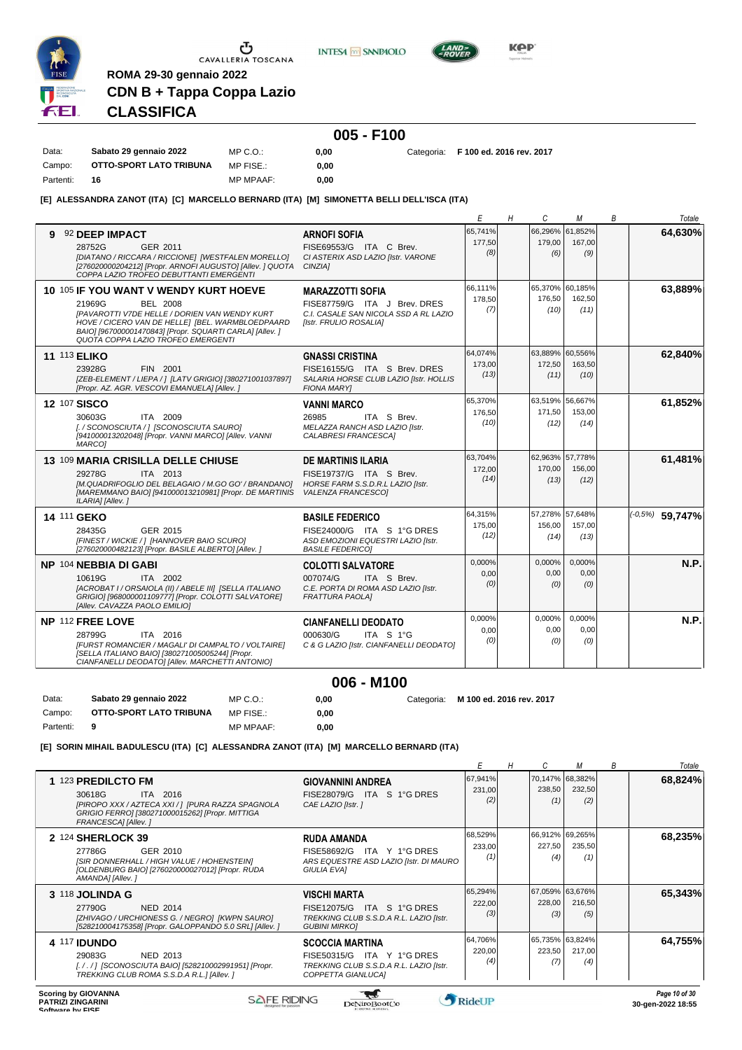

**INTESA** M SANPAOLO



**KOP** 

# **CLASSIFICA**

**ROMA 29-30 gennaio 2022**

**CDN B + Tappa Coppa Lazio**

Data: **Sabato 29 gennaio 2022**

#### **005 - F100** MP C.O.:

**0,00** Categoria: **F 100 ed. 2016 rev. 2017**

Campo: **OTTO-SPORT LATO TRIBUNA** Partenti: **16** MP FISE.: MP MPAAF: **0,00 0,00**

**[E] ALESSANDRA ZANOT (ITA) [C] MARCELLO BERNARD (ITA) [M] SIMONETTA BELLI DELL'ISCA (ITA)**

|                                                                                                                                                                                                                                                                          |                                                                                                                            | Ε                         | Н | C                        | м                                 | В | Totale            |
|--------------------------------------------------------------------------------------------------------------------------------------------------------------------------------------------------------------------------------------------------------------------------|----------------------------------------------------------------------------------------------------------------------------|---------------------------|---|--------------------------|-----------------------------------|---|-------------------|
| 92 DEEP IMPACT<br>9<br>28752G<br>GER 2011<br>[DIATANO / RICCARA / RICCIONE] [WESTFALEN MORELLO]<br>[276020000204212] [Propr. ARNOFI AUGUSTO] [Allev. ] QUOTA<br>COPPA LAZIO TROFEO DEBUTTANTI EMERGENTI                                                                  | <b>ARNOFI SOFIA</b><br>FISE69553/G ITA C Brev.<br>CI ASTERIX ASD LAZIO [Istr. VARONE<br>CINZIA]                            | 65.741%<br>177,50<br>(8)  |   | 66,296%<br>179.00<br>(6) | 61.852%<br>167.00<br>(9)          |   | 64,630%           |
| 10 105 IF YOU WANT V WENDY KURT HOEVE<br>21969G<br><b>BEL 2008</b><br>[PAVAROTTI V7DE HELLE / DORIEN VAN WENDY KURT<br>HOVE / CICERO VAN DE HELLE] [BEL. WARMBLOEDPAARD<br>BAIO] [967000001470843] [Propr. SQUARTI CARLA] [Allev.]<br>QUOTA COPPA LAZIO TROFEO EMERGENTI | <b>MARAZZOTTI SOFIA</b><br>FISE87759/G ITA J Brev. DRES<br>C.I. CASALE SAN NICOLA SSD A RL LAZIO<br>[Istr. FRULIO ROSALIA] | 66,111%<br>178.50<br>(7)  |   | 176,50<br>(10)           | 65,370% 60,185%<br>162.50<br>(11) |   | 63,889%           |
| <b>11 113 ELIKO</b><br>FIN 2001<br>23928G<br>[ZEB-ELEMENT / LIEPA / ] [LATV GRIGIO] [380271001037897]<br>[Propr. AZ. AGR. VESCOVI EMANUELA] [Allev. ]                                                                                                                    | <b>GNASSI CRISTINA</b><br>FISE16155/G ITA S Brev. DRES<br>SALARIA HORSE CLUB LAZIO [Istr. HOLLIS<br><b>FIONA MARYI</b>     | 64,074%<br>173,00<br>(13) |   | 172,50<br>(11)           | 63,889% 60,556%<br>163,50<br>(10) |   | 62,840%           |
| <b>12 107 SISCO</b><br>ITA 2009<br>30603G<br>[./SCONOSCIUTA/] [SCONOSCIUTA SAURO]<br>[941000013202048] [Propr. VANNI MARCO] [Allev. VANNI<br>MARCO1                                                                                                                      | <b>VANNI MARCO</b><br>26985<br>ITA S Brev.<br>MELAZZA RANCH ASD LAZIO [Istr.<br>CALABRESI FRANCESCAI                       | 65,370%<br>176,50<br>(10) |   | 171.50<br>(12)           | 63,519% 56,667%<br>153.00<br>(14) |   | 61,852%           |
| 13 109 MARIA CRISILLA DELLE CHIUSE<br>29278G<br>ITA 2013<br>[M.QUADRIFOGLIO DEL BELAGAIO / M.GO GO' / BRANDANO]<br>[MAREMMANO BAIO] [941000013210981] [Propr. DE MARTINIS<br>ILARIA] [Allev.]                                                                            | <b>DE MARTINIS ILARIA</b><br>FISE19737/G ITA S Brev.<br>HORSE FARM S.S.D.R.L LAZIO [Istr.<br><b>VALENZA FRANCESCO1</b>     | 63.704%<br>172,00<br>(14) |   | 170,00<br>(13)           | 62.963% 57.778%<br>156,00<br>(12) |   | 61,481%           |
| 14 111 GEKO<br>GER 2015<br>28435G<br>[FINEST / WICKIE / ] [HANNOVER BAIO SCURO]<br>[276020000482123] [Propr. BASILE ALBERTO] [Allev.]                                                                                                                                    | <b>BASILE FEDERICO</b><br>FISE24000/G ITA S 1°G DRES<br>ASD EMOZIONI EQUESTRI LAZIO [Istr.<br><b>BASILE FEDERICO1</b>      | 64.315%<br>175,00<br>(12) |   | 156,00<br>(14)           | 57.278% 57.648%<br>157,00<br>(13) |   | $(-0.5%)$ 59,747% |
| NP 104 NEBBIA DI GABI<br>ITA 2002<br>10619G<br>[ACROBAT I / ORSAIOLA (II) / ABELE III] [SELLA ITALIANO<br>GRIGIO] [968000001109777] [Propr. COLOTTI SALVATORE]<br>[Allev. CAVAZZA PAOLO EMILIO]                                                                          | <b>COLOTTI SALVATORE</b><br>007074/G<br>ITA S Brev.<br>C.E. PORTA DI ROMA ASD LAZIO [Istr.<br><b>FRATTURA PAOLAI</b>       | 0,000%<br>0,00<br>(0)     |   | 0,000%<br>0,00<br>(0)    | 0,000%<br>0,00<br>(0)             |   | N.P.              |
| NP 112 FREE LOVE<br>ITA 2016<br>28799G<br>IFURST ROMANCIER / MAGALI' DI CAMPALTO / VOLTAIREI<br>[SELLA ITALIANO BAIO] [380271005005244] [Propr.<br>CIANFANELLI DEODATO] [Allev. MARCHETTI ANTONIO]                                                                       | <b>CIANFANELLI DEODATO</b><br>000630/G<br>ITA S 1°G<br>C & G LAZIO [Istr. CIANFANELLI DEODATO]                             | 0,000%<br>0,00<br>(0)     |   | 0,000%<br>0.00<br>(0)    | 0,000%<br>0.00<br>(0)             |   | N.P.              |

### **006 - M100**

Data: **Sabato 29 gennaio 2022** Campo: **OTTO-SPORT LATO TRIBUNA** Partenti: **9** MP C.O.: MP FISE.: MP MPAAF: **0,00 0,00 0,00** Categoria: **M 100 ed. 2016 rev. 2017**

**[E] SORIN MIHAIL BADULESCU (ITA) [C] ALESSANDRA ZANOT (ITA) [M] MARCELLO BERNARD (ITA)**

|                                                                                                                                                                         |                                                                                                                          |                          | Η |               | М                                | B | Totale             |
|-------------------------------------------------------------------------------------------------------------------------------------------------------------------------|--------------------------------------------------------------------------------------------------------------------------|--------------------------|---|---------------|----------------------------------|---|--------------------|
| 1 123 PREDILCTO FM<br>ITA 2016<br>30618G<br>[PIROPO XXX / AZTECA XXI / 1 [PURA RAZZA SPAGNOLA<br>GRIGIO FERROI [380271000015262] [Propr. MITTIGA<br>FRANCESCAI [Allev.] | <b>GIOVANNINI ANDREA</b><br>FISE28079/G ITA S 1°G DRES<br>CAE LAZIO [Istr.]                                              | 67,941%<br>231,00<br>(2) |   | 238,50<br>(1) | 70,147% 68,382%<br>232,50<br>(2) |   | 68,824%            |
| 2 124 SHERLOCK 39<br>GER 2010<br>27786G<br>[SIR DONNERHALL / HIGH VALUE / HOHENSTEIN]<br>[OLDENBURG BAIO] [276020000027012] [Propr. RUDA<br>AMANDA] [Allev.]            | <b>RUDA AMANDA</b><br>FISE58692/G<br>ITA Y 1°G DRES<br>ARS EQUESTRE ASD LAZIO [Istr. DI MAURO<br><b>GIULIA EVAI</b>      | 68,529%<br>233,00<br>11. |   | 227,50<br>(4) | 66,912% 69,265%<br>235,50<br>(1) |   | 68,235%            |
| 3 118 JOLINDA G<br>27790G<br><b>NED 2014</b><br>[ZHIVAGO / URCHIONESS G. / NEGRO] [KWPN SAURO]<br>[528210004175358] [Propr. GALOPPANDO 5.0 SRL] [Allev. ]               | <b>VISCHI MARTA</b><br>FISE12075/G<br>ITA S 1°G DRES<br>TREKKING CLUB S.S.D.A R.L. LAZIO [Istr.<br><b>GUBINI MIRKOJ</b>  | 65,294%<br>222,00<br>(3) |   | 228,00<br>(3) | 67,059% 63,676%<br>216,50<br>(5) |   | 65,343%            |
| <b>4 117 IDUNDO</b><br>29083G<br>NED 2013<br>[././] [SCONOSCIUTA BAIO] [528210002991951] [Propr.<br>TREKKING CLUB ROMA S.S.D.A R.L.] [Allev.]                           | <b>SCOCCIA MARTINA</b><br>ITA Y 1°G DRES<br>FISE50315/G<br>TREKKING CLUB S.S.D.A R.L. LAZIO [Istr.<br>COPPETTA GIANLUCAI | 64,706%<br>220,00<br>(4) |   | 223,50<br>(7) | 65,735% 63,824%<br>217,00<br>(4) |   | 64,755%            |
| Consign by CIOUANNIA                                                                                                                                                    |                                                                                                                          |                          |   |               |                                  |   | <b>B. 40 - 500</b> |

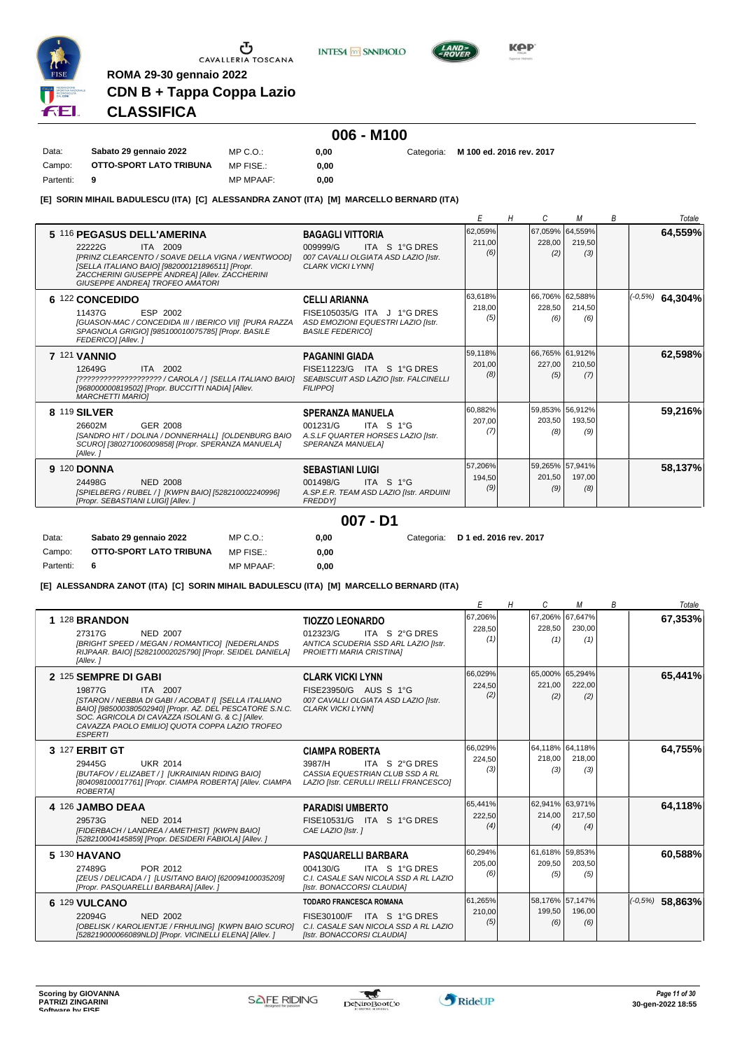

**INTESA** M SANPAOLO



**KPP** 

# **CLASSIFICA**

**ROMA 29-30 gennaio 2022**

**CDN B + Tappa Coppa Lazio**

# **006 - M100**

Data: **Sabato 29 gennaio 2022** Campo: **OTTO-SPORT LATO TRIBUNA** Partenti: **9** MP C.O.: MP FISE.: MP MPAAF: **0,00 0,00 0,00** Categoria: **M 100 ed. 2016 rev. 2017**

**[E] SORIN MIHAIL BADULESCU (ITA) [C] ALESSANDRA ZANOT (ITA) [M] MARCELLO BERNARD (ITA)**

|                                                                                                                                                                                                                                                      |                                                                                                                           |                          | Н |               | М                                | B | Totale              |
|------------------------------------------------------------------------------------------------------------------------------------------------------------------------------------------------------------------------------------------------------|---------------------------------------------------------------------------------------------------------------------------|--------------------------|---|---------------|----------------------------------|---|---------------------|
| 5 116 PEGASUS DELL'AMERINA<br>22222G<br><b>ITA 2009</b><br>IPRINZ CLEARCENTO / SOAVE DELLA VIGNA / WENTWOODI<br>[SELLA ITALIANO BAIO] [982000121896511] [Propr.<br>ZACCHERINI GIUSEPPE ANDREA] [Allev. ZACCHERINI<br>GIUSEPPE ANDREA] TROFEO AMATORI | <b>BAGAGLI VITTORIA</b><br>009999/G<br>ITA S 1°G DRES<br>007 CAVALLI OLGIATA ASD LAZIO [Istr.<br><b>CLARK VICKI LYNNI</b> | 62,059%<br>211.00<br>(6) |   | 228.00<br>(2) | 67,059% 64,559%<br>219,50<br>(3) |   | 64,559%             |
| 6 122 CONCEDIDO<br>ESP 2002<br>11437G<br>[GUASON-MAC / CONCEDIDA III / IBERICO VII] [PURA RAZZA<br>SPAGNOLA GRIGIO] [985100010075785] [Propr. BASILE<br>FEDERICO] [Allev. ]                                                                          | <b>CELLI ARIANNA</b><br>FISE105035/G ITA J 1°G DRES<br>ASD EMOZIONI EQUESTRI LAZIO [Istr.<br><b>BASILE FEDERICO1</b>      | 63,618%<br>218,00<br>(5) |   | 228,50<br>(6) | 66,706% 62,588%<br>214,50<br>(6) |   | $ (-0.5\%)$ 64,304% |
| <b>7 121 VANNIO</b><br>ITA 2002<br>12649G<br>[????????????????????? / CAROLA / ] [SELLA ITALIANO BAIO]<br>[968000000819502] [Propr. BUCCITTI NADIA] [Allev.<br><b>MARCHETTI MARIOI</b>                                                               | <b>PAGANINI GIADA</b><br>FISE11223/G ITA S 1°G DRES<br>SEABISCUIT ASD LAZIO [Istr. FALCINELLI<br><b>FILIPPO1</b>          | 59.118%<br>201,00<br>(8) |   | 227.00<br>(5) | 66,765% 61,912%<br>210.50<br>(7) |   | 62,598%             |
| 8 119 SILVER<br>26602M<br>GER 2008<br>[SANDRO HIT / DOLINA / DONNERHALL] [OLDENBURG BAIO<br>SCURO] [380271006009858] [Propr. SPERANZA MANUELA]<br>[Allev.]                                                                                           | <b>SPERANZA MANUELA</b><br>001231/G<br>ITA S 1°G<br>A.S.LF QUARTER HORSES LAZIO [Istr.<br>SPERANZA MANUELA]               | 60.882%<br>207.00<br>(7) |   | 203.50<br>(8) | 59,853% 56,912%<br>193.50<br>(9) |   | 59,216%             |
| <b>9 120 DONNA</b><br>24498G<br><b>NED 2008</b><br>[SPIELBERG / RUBEL / ] [KWPN BAIO] [528210002240996]<br>[Propr. SEBASTIANI LUIGI] [Allev. ]                                                                                                       | <b>SEBASTIANI LUIGI</b><br>001498/G<br>ITA S 1°G<br>A.SP.E.R. TEAM ASD LAZIO [Istr. ARDUINI<br><b>FREDDYI</b>             | 57,206%<br>194,50<br>(9) |   | 201.50<br>(9) | 59.265% 57.941%<br>197.00<br>(8) |   | 58,137%             |

**007 - D1**

| Data:     | Sabato 29 gennaio 2022  | $MP C. O.$ :     | 0.00 | Categoria: D 1 ed. 2016 rev. 2017 |
|-----------|-------------------------|------------------|------|-----------------------------------|
| Campo:    | OTTO-SPORT LATO TRIBUNA | MP FISE.:        | 0.00 |                                   |
| Partenti: | - 6                     | <b>MP MPAAF:</b> | 0.00 |                                   |

**[E] ALESSANDRA ZANOT (ITA) [C] SORIN MIHAIL BADULESCU (ITA) [M] MARCELLO BERNARD (ITA)**

|                                                                                                                                                                                                                                                                                         |                                                                                                                                     |                          | Н | C                                | М             | B | Totale              |
|-----------------------------------------------------------------------------------------------------------------------------------------------------------------------------------------------------------------------------------------------------------------------------------------|-------------------------------------------------------------------------------------------------------------------------------------|--------------------------|---|----------------------------------|---------------|---|---------------------|
| 1 128 BRANDON<br>27317G<br><b>NED 2007</b><br>[BRIGHT SPEED / MEGAN / ROMANTICO] [NEDERLANDS<br>RIJPAAR. BAIO] [528210002025790] [Propr. SEIDEL DANIELA]<br>[Allev.]                                                                                                                    | <b>TIOZZO LEONARDO</b><br>012323/G<br>ITA S 2°G DRES<br>ANTICA SCUDERIA SSD ARL LAZIO IIstr.<br>PROIETTI MARIA CRISTINA]            | 67,206%<br>228,50<br>(1) |   | 67,206% 67,647%<br>228,50<br>(1) | 230,00<br>(1) |   | 67,353%             |
| 2 125 SEMPRE DI GABI<br>ITA 2007<br>19877G<br>[STARON / NEBBIA DI GABI / ACOBAT I] [SELLA ITALIANO<br>BAIO] [985000380502940] [Propr. AZ. DEL PESCATORE S.N.C.<br>SOC. AGRICOLA DI CAVAZZA ISOLANI G. & C.] [Allev.<br>CAVAZZA PAOLO EMILIO] QUOTA COPPA LAZIO TROFEO<br><b>ESPERTI</b> | <b>CLARK VICKI LYNN</b><br>FISE23950/G AUS S 1°G<br>007 CAVALLI OLGIATA ASD LAZIO [Istr.<br><b>CLARK VICKI LYNNI</b>                | 66,029%<br>224,50<br>(2) |   | 65,000% 65,294%<br>221,00<br>(2) | 222,00<br>(2) |   | 65,441%             |
| 3 127 ERBIT GT<br>29445G<br><b>UKR 2014</b><br>[BUTAFOV / ELIZABET / ] [UKRAINIAN RIDING BAIO]<br>[804098100017761] [Propr. CIAMPA ROBERTA] [Allev. CIAMPA<br><b>ROBERTAI</b>                                                                                                           | <b>CIAMPA ROBERTA</b><br>ITA S 2°G DRES<br>3987/H<br>CASSIA EQUESTRIAN CLUB SSD A RL<br>LAZIO [Istr. CERULLI IRELLI FRANCESCO]      | 66,029%<br>224.50<br>(3) |   | 64,118% 64,118%<br>218,00<br>(3) | 218,00<br>(3) |   | 64,755%             |
| 4 126 JAMBO DEAA<br><b>NED 2014</b><br>29573G<br>[FIDERBACH / LANDREA / AMETHIST] [KWPN BAIO]<br>[528210004145859] [Propr. DESIDERI FABIOLA] [Allev. ]                                                                                                                                  | <b>PARADISI UMBERTO</b><br>FISE10531/G ITA S 1°G DRES<br>CAE LAZIO [Istr.]                                                          | 65,441%<br>222.50<br>(4) |   | 62,941% 63,971%<br>214,00<br>(4) | 217,50<br>(4) |   | 64,118%             |
| 5 130 HAVANO<br>27489G<br>POR 2012<br>[ZEUS / DELICADA / ] [LUSITANO BAIO] [620094100035209]<br>[Propr. PASQUARELLI BARBARA] [Allev.]                                                                                                                                                   | <b>PASQUARELLI BARBARA</b><br>004130/G<br>ITA S 1°G DRES<br>C.I. CASALE SAN NICOLA SSD A RL LAZIO<br>[Istr. BONACCORSI CLAUDIA]     | 60,294%<br>205,00<br>(6) |   | 61,618% 59,853%<br>209.50<br>(5) | 203,50<br>(5) |   | 60,588%             |
| 6 129 VULCANO<br>22094G<br><b>NED 2002</b><br>[OBELISK / KAROLIENTJE / FRHULING] [KWPN BAIO SCURO]<br>[528219000066089NLD] [Propr. VICINELLI ELENA] [Allev. ]                                                                                                                           | <b>TODARO FRANCESCA ROMANA</b><br>FISE30100/F ITA S 1°G DRES<br>C.I. CASALE SAN NICOLA SSD A RL LAZIO<br>[Istr. BONACCORSI CLAUDIA] | 61,265%<br>210,00<br>(5) |   | 58,176% 57,147%<br>199,50<br>(6) | 196,00<br>(6) |   | $( -0.5\%)$ 58,863% |

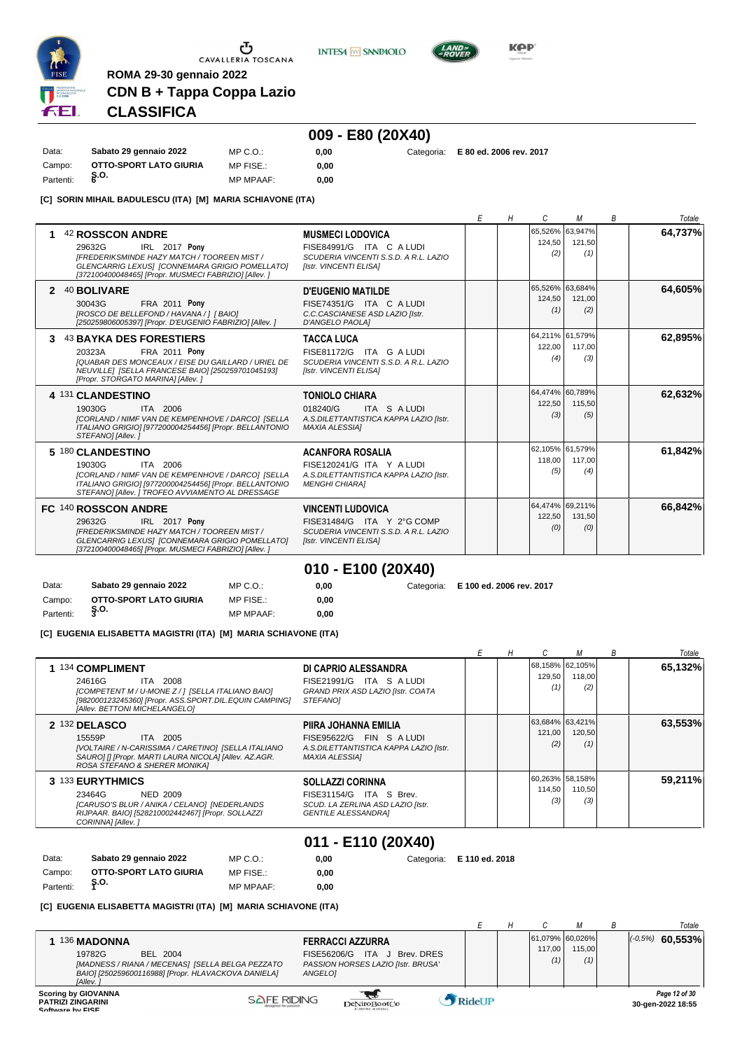

**INTESA** M SANPAOLO



**0,00** Categoria: **E 80 ed. 2006 rev. 2017**

**KOP** 

# **CLASSIFICA**

**ROMA 29-30 gennaio 2022**

# **009 - E80 (20X40)**

| Data:     | Sabato 29 gennaio 2022 | MP C. O.         | 0.00 |
|-----------|------------------------|------------------|------|
| Campo:    | OTTO-SPORT LATO GIURIA | MP FISE.:        | 0.00 |
| Partenti: | Ş.О.                   | <b>MP MPAAF:</b> | 0.00 |

**CDN B + Tappa Coppa Lazio**

**[C] SORIN MIHAIL BADULESCU (ITA) [M] MARIA SCHIAVONE (ITA)**

|                                                                                                                                                                                                                              |                                                                                                                           | F | Н | C                                | М             | R | Totale  |
|------------------------------------------------------------------------------------------------------------------------------------------------------------------------------------------------------------------------------|---------------------------------------------------------------------------------------------------------------------------|---|---|----------------------------------|---------------|---|---------|
| 42 ROSSCON ANDRE<br>IRL 2017 Pony<br>29632G<br><b>IFREDERIKSMINDE HAZY MATCH / TOOREEN MIST /</b><br>GLENCARRIG LEXUSI [CONNEMARA GRIGIO POMELLATO]<br>[372100400048465] [Propr. MUSMECI FABRIZIO] [Allev.]                  | <b>MUSMECI LODOVICA</b><br>FISE84991/G ITA C A LUDI<br>SCUDERIA VINCENTI S.S.D. A R.L. LAZIO<br>[Istr. VINCENTI ELISA]    |   |   | 65,526% 63,947%<br>124,50<br>(2) | 121,50<br>(1) |   | 64,737% |
| 40 BOLIVARE<br>$\mathbf{p}$<br><b>FRA 2011 Pony</b><br>30043G<br>[ROSCO DE BELLEFOND / HAVANA / 1 [ BAIO]<br>[250259806005397] [Propr. D'EUGENIO FABRIZIO] [Allev. ]                                                         | <b>D'EUGENIO MATILDE</b><br>FISE74351/G ITA C A LUDI<br>C.C.CASCIANESE ASD LAZIO [Istr.<br>D'ANGELO PAOLA]                |   |   | 65,526% 63,684%<br>124,50<br>(1) | 121.00<br>(2) |   | 64,605% |
| <b>43 BAYKA DES FORESTIERS</b><br>3<br><b>FRA 2011 Pony</b><br>20323A<br><b>IQUABAR DES MONCEAUX / EISE DU GAILLARD / URIEL DE</b><br>NEUVILLEI ISELLA FRANCESE BAIO] [250259701045193]<br>[Propr. STORGATO MARINA] [Allev.] | <b>TACCA LUCA</b><br>FISE81172/G ITA G A LUDI<br>SCUDERIA VINCENTI S.S.D. A R.L. LAZIO<br>[Istr. VINCENTI ELISA]          |   |   | 64,211% 61,579%<br>122,00<br>(4) | 117.00<br>(3) |   | 62.895% |
| 4 131 CLANDESTINO<br>19030G<br>ITA 2006<br>[CORLAND / NIMF VAN DE KEMPENHOVE / DARCO] [SELLA<br>ITALIANO GRIGIO] [977200004254456] [Propr. BELLANTONIO<br>STEFANO] [Allev.]                                                  | <b>TONIOLO CHIARA</b><br>018240/G<br>ITA S A LUDI<br>A.S.DILETTANTISTICA KAPPA LAZIO [Istr.<br><b>MAXIA ALESSIA1</b>      |   |   | 64,474% 60,789%<br>122,50<br>(3) | 115,50<br>(5) |   | 62,632% |
| 5 180 CLANDESTINO<br>19030G<br>ITA 2006<br>[CORLAND / NIMF VAN DE KEMPENHOVE / DARCO] [SELLA<br>ITALIANO GRIGIO] [977200004254456] [Propr. BELLANTONIO<br>STEFANOI [Allev.] TROFEO AVVIAMENTO AL DRESSAGE                    | <b>ACANFORA ROSALIA</b><br>FISE120241/G ITA Y A LUDI<br>A.S.DILETTANTISTICA KAPPA LAZIO [Istr.<br><b>MENGHI CHIARA1</b>   |   |   | 62,105% 61,579%<br>118.00<br>(5) | 117.00<br>(4) |   | 61,842% |
| FC 140 ROSSCON ANDRE<br>IRL 2017 Pony<br>29632G<br>IFREDERIKSMINDE HAZY MATCH / TOOREEN MIST /<br>GLENCARRIG LEXUS] [CONNEMARA GRIGIO POMELLATO]<br>[372100400048465] [Propr. MUSMECI FABRIZIO] [Allev.]                     | <b>VINCENTI LUDOVICA</b><br>FISE31484/G ITA Y 2°G COMP<br>SCUDERIA VINCENTI S.S.D. A R.L. LAZIO<br>[Istr. VINCENTI ELISA] |   |   | 64,474% 69,211%<br>122,50<br>(0) | 131,50<br>(0) |   | 66,842% |

**010 - E100 (20X40)**

| Data:     | Sabato 29 gennaio 2022 | $MP C. Q$ .:     |
|-----------|------------------------|------------------|
| Campo:    | OTTO-SPORT LATO GIURIA | MP FISE.:        |
| Partenti: | Ş.O.                   | <b>MP MPAAF:</b> |

0,00 **0,00**

**0,00** Categoria: **E 100 ed. 2006 rev. 2017**

**[C] EUGENIA ELISABETTA MAGISTRI (ITA) [M] MARIA SCHIAVONE (ITA)**

|                                                                                                                                                                                               |                                                                                                                       |  |                                  | М             | B | Totale  |
|-----------------------------------------------------------------------------------------------------------------------------------------------------------------------------------------------|-----------------------------------------------------------------------------------------------------------------------|--|----------------------------------|---------------|---|---------|
| 1 134 COMPLIMENT<br><b>ITA 2008</b><br>24616G<br>[COMPETENT M / U-MONE Z / 1 [SELLA ITALIANO BAIO]<br>[982000123245360] [Propr. ASS.SPORT.DIL.EQUIN CAMPING]<br>[Allev. BETTONI MICHELANGELO] | DI CAPRIO ALESSANDRA<br>FISE21991/G ITA S A LUDI<br>GRAND PRIX ASD LAZIO [Istr. COATA<br><b>STEFANOI</b>              |  | 68,158% 62,105%<br>129,50<br>(1) | 118,00<br>(2) |   | 65,132% |
| 2 132 DELASCO<br>15559P<br>ITA 2005<br>[VOLTAIRE / N-CARISSIMA / CARETINO] [SELLA ITALIANO<br>SAUROI II [Propr. MARTI LAURA NICOLA] [Allev. AZ.AGR.<br>ROSA STEFANO & SHERER MONIKA]          | PIIRA JOHANNA EMILIA<br>FISE95622/G FIN S A LUDI<br>A.S.DILETTANTISTICA KAPPA LAZIO [Istr.<br><b>MAXIA ALESSIA1</b>   |  | 63,684% 63,421%<br>121,00<br>(2) | 120,50<br>(1) |   | 63,553% |
| 3 133 EURYTHMICS<br>23464G<br>NED 2009<br>[CARUSO'S BLUR / ANIKA / CELANO] [NEDERLANDS<br>RIJPAAR. BAIO] [528210002442467] [Propr. SOLLAZZI<br>CORINNA] [Allev.]                              | <b>SOLLAZZI CORINNA</b><br>FISE31154/G ITA S Brev.<br>SCUD. LA ZERLINA ASD LAZIO [Istr.<br><b>GENTILE ALESSANDRAI</b> |  | 60,263% 58,158%<br>114,50<br>(3) | 110,50<br>(3) |   | 59,211% |
|                                                                                                                                                                                               | 011 - F110 (20X40)                                                                                                    |  |                                  |               |   |         |

| Data:     | Sabato 29 gennaio 2022 | MP C.O.:         | 0.00 | Categoria: E 110 ed. 2018 |
|-----------|------------------------|------------------|------|---------------------------|
| Campo:    | OTTO-SPORT LATO GIURIA | MP FISE.:        | 0.00 |                           |
| Partenti: | ຸຣ.໐.                  | <b>MP MPAAF:</b> | 0.00 |                           |

#### **[C] EUGENIA ELISABETTA MAGISTRI (ITA) [M] MARIA SCHIAVONE (ITA)**

|                                                                                                                                                                                                                                                                                         |        |                                  |               | Totale                             |
|-----------------------------------------------------------------------------------------------------------------------------------------------------------------------------------------------------------------------------------------------------------------------------------------|--------|----------------------------------|---------------|------------------------------------|
| 136 MADONNA<br><b>FERRACCI AZZURRA</b><br>19782G<br>BEL 2004<br><b>ITA</b><br>Brev, DRES<br>FISE56206/G<br>PASSION HORSES LAZIO [Istr. BRUSA'<br>[MADNESS / RIANA / MECENAS] [SELLA BELGA PEZZATO<br>BAIO] [250259600116988] [Propr. HLAVACKOVA DANIELA]<br>ANGELOI<br><b>IAllev.</b> i |        | 61,079% 60,026%<br>117.00<br>(1) | 115.00<br>(1) | 60,553%<br>$(-0.5%)$               |
| <b>Scoring by GIOVANNA</b><br><b>SAFE RIDING</b><br><b>PATRIZI ZINGARINI</b><br>DeNiroBootCo<br>Coffware by FICE                                                                                                                                                                        | RideUP |                                  |               | Page 12 of 30<br>30-gen-2022 18:55 |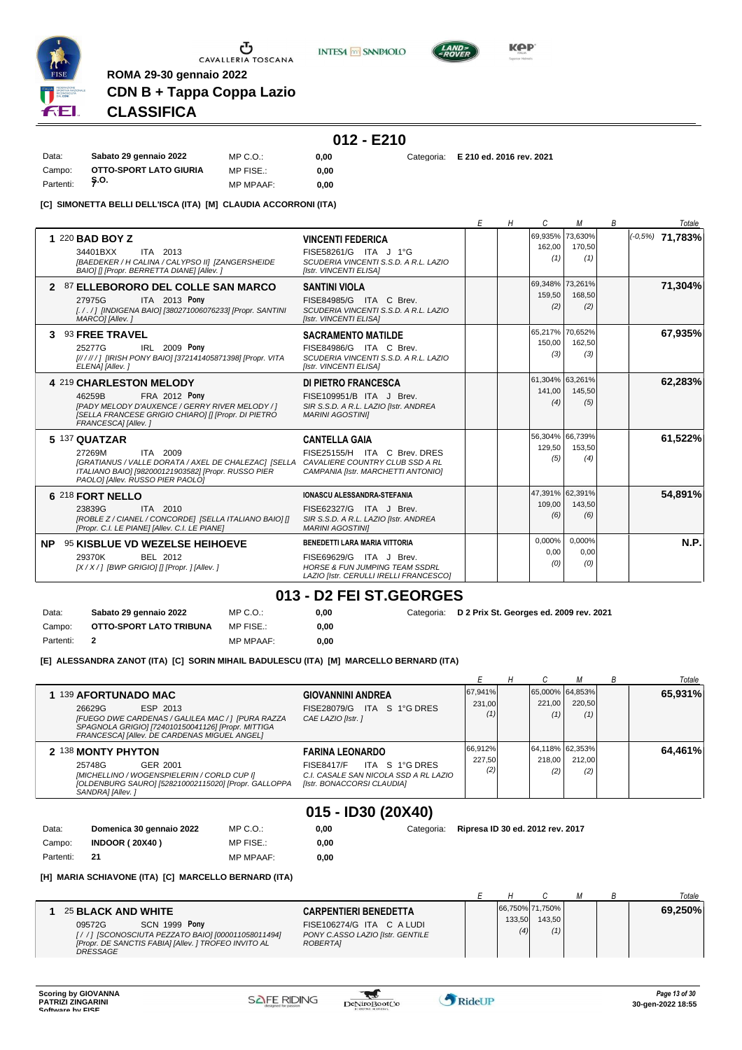

**INTESA M** SANPAOLO



**KPP** 

# **CDN B + Tappa Coppa Lazio CLASSIFICA**

**ROMA 29-30 gennaio 2022**

# **012 - E210**

Data: **Sabato 29 gennaio 2022** Campo: **OTTO-SPORT LATO GIURIA S.O.** Partenti: **<sup>7</sup>** MP C.O.: MP FISE.: MP MPAAF: **0,00 0,00**

**0,00** Categoria: **E 210 ed. 2016 rev. 2021**

**[C] SIMONETTA BELLI DELL'ISCA (ITA) [M] CLAUDIA ACCORRONI (ITA)**

|                                                                                                                                                                                                           |                                                                                                                                                 | F | Н | C                                | м                     | B | Totale              |
|-----------------------------------------------------------------------------------------------------------------------------------------------------------------------------------------------------------|-------------------------------------------------------------------------------------------------------------------------------------------------|---|---|----------------------------------|-----------------------|---|---------------------|
| 1 220 BAD BOY Z<br>ITA 2013<br>34401BXX<br>[BAEDEKER / H CALINA / CALYPSO II] [ZANGERSHEIDE<br>BAIO] [] [Propr. BERRETTA DIANE] [Allev. ]                                                                 | <b>VINCENTI FEDERICA</b><br>FISE58261/G ITA J 1°G<br>SCUDERIA VINCENTI S.S.D. A R.L. LAZIO<br>[Istr. VINCENTI ELISA]                            |   |   | 69,935% 73,630%<br>162,00<br>(1) | 170,50<br>(1)         |   | $ (-0.5\%)$ 71,783% |
| 2 87 ELLEBORORO DEL COLLE SAN MARCO<br>ITA 2013 Pony<br>27975G<br>[././] [INDIGENA BAIO] [380271006076233] [Propr. SANTINI<br>MARCOI [Allev.]                                                             | <b>SANTINI VIOLA</b><br>FISE84985/G ITA C Brev.<br>SCUDERIA VINCENTI S.S.D. A R.L. LAZIO<br>[Istr. VINCENTI ELISA]                              |   |   | 69,348% 73,261%<br>159,50<br>(2) | 168,50<br>(2)         |   | 71,304%             |
| 3 93 FREE TRAVEL<br>IRL 2009 Pony<br>25277G<br>[//////] [IRISH PONY BAIO] [372141405871398] [Propr. VITA<br>ELENA] [Allev.]                                                                               | <b>SACRAMENTO MATILDE</b><br>FISE84986/G ITA C Brev.<br>SCUDERIA VINCENTI S.S.D. A R.L. LAZIO<br>[Istr. VINCENTI ELISA]                         |   |   | 65,217% 70,652%<br>150,00<br>(3) | 162.50<br>(3)         |   | 67,935%             |
| <b>4 219 CHARLESTON MELODY</b><br><b>FRA 2012 Pony</b><br>46259B<br><b>IPADY MELODY D'AUXENCE / GERRY RIVER MELODY / 1</b><br>[SELLA FRANCESE GRIGIO CHIARO] [] [Propr. DI PIETRO<br>FRANCESCAI [Allev. ] | DI PIETRO FRANCESCA<br>FISE109951/B ITA J Brev.<br>SIR S.S.D. A R.L. LAZIO [Istr. ANDREA<br><b>MARINI AGOSTINII</b>                             |   |   | 61,304% 63,261%<br>141.00<br>(4) | 145.50<br>(5)         |   | 62,283%             |
| 5 137 QUATZAR<br>ITA 2009<br>27269M<br>IGRATIANUS / VALLE DORATA / AXEL DE CHALEZACI ISELLA<br>ITALIANO BAIO] [982000121903582] [Propr. RUSSO PIER<br>PAOLO  [Allev. RUSSO PIER PAOLO]                    | <b>CANTELLA GAIA</b><br>FISE25155/H ITA C Brev. DRES<br>CAVALIERE COUNTRY CLUB SSD A RL<br>CAMPANIA [Istr. MARCHETTI ANTONIO]                   |   |   | 56.304% 66.739%<br>129,50<br>(5) | 153,50<br>(4)         |   | 61,522%             |
| 6 218 FORT NELLO<br>ITA 2010<br>23839G<br>[ROBLE Z / CIANEL / CONCORDE] [SELLA ITALIANO BAIO] []<br>[Propr. C.I. LE PIANE] [Allev. C.I. LE PIANE]                                                         | <b>IONASCU ALESSANDRA-STEFANIA</b><br>FISE62327/G ITA J Brev.<br>SIR S.S.D. A R.L. LAZIO [Istr. ANDREA<br><b>MARINI AGOSTINII</b>               |   |   | 47,391% 62,391%<br>109,00<br>(6) | 143,50<br>(6)         |   | 54,891%             |
| NP.<br><b>95 KISBLUE VD WEZELSE HEIHOEVE</b><br>29370K<br>BEL 2012<br>[X / X / ] [BWP GRIGIO] [] [Propr. ] [Allev. ]                                                                                      | BENEDETTI LARA MARIA VITTORIA<br>FISE69629/G ITA J Brev.<br><b>HORSE &amp; FUN JUMPING TEAM SSDRL</b><br>LAZIO [Istr. CERULLI IRELLI FRANCESCO] |   |   | 0.000%<br>0,00<br>(0)            | 0,000%<br>0,00<br>(0) |   | N.P.                |

### **013 - D2 FEI ST.GEORGES**

| Data:     | Sabato 29 gennaio 2022  | $MP C. O.$ :     | 0.00 | Categoria: D 2 Prix St. Georges ed. 2009 rev. 2021 |
|-----------|-------------------------|------------------|------|----------------------------------------------------|
| Campo:    | OTTO-SPORT LATO TRIBUNA | MP FISE.:        | 0.00 |                                                    |
| Partenti: |                         | <b>MP MPAAF:</b> | 0.00 |                                                    |

**0,00**

**[E] ALESSANDRA ZANOT (ITA) [C] SORIN MIHAIL BADULESCU (ITA) [M] MARCELLO BERNARD (ITA)**

MP FISE.:

|       |                                                                                                                                                                                                       |                                                                                                                                      |                                  | н |                                  |               | В | Totale  |
|-------|-------------------------------------------------------------------------------------------------------------------------------------------------------------------------------------------------------|--------------------------------------------------------------------------------------------------------------------------------------|----------------------------------|---|----------------------------------|---------------|---|---------|
|       | 1 139 AFORTUNADO MAC<br>ESP 2013<br>26629G<br>[FUEGO DWE CARDENAS / GALILEA MAC / ] [PURA RAZZA<br>SPAGNOLA GRIGIO] [724010150041126] [Propr. MITTIGA<br>FRANCESCAI [Allev. DE CARDENAS MIGUEL ANGEL] | <b>GIOVANNINI ANDREA</b><br>ITA S 1°G DRES<br><b>FISE28079/G</b><br>CAE LAZIO [Istr.]                                                | 67,941%<br>231,00<br>(1)         |   | 65,000% 64,853%<br>221.00<br>(1) | 220.50<br>(1) |   | 65,931% |
|       | 2 138 MONTY PHYTON<br>25748G<br>GER 2001<br>[MICHELLINO / WOGENSPIELERIN / CORLD CUP I]<br>[OLDENBURG SAURO] [528210002115020] [Propr. GALLOPPA<br>SANDRA] [Allev.]                                   | <b>FARINA LEONARDO</b><br>ITA S 1°G DRES<br><b>FISE8417/F</b><br>C.I. CASALE SAN NICOLA SSD A RL LAZIO<br>[Istr. BONACCORSI CLAUDIA] | 66,912%<br>227,50<br>(2)         |   | 64,118% 62,353%<br>218.00<br>(2) | 212.00<br>(2) |   | 64,461% |
| Data: | Domenica 30 gennaio 2022<br>MP C. O.                                                                                                                                                                  | 015 - ID30 (20X40)<br>0,00<br>Categoria:                                                                                             | Ripresa ID 30 ed. 2012 rev. 2017 |   |                                  |               |   |         |

Partenti: **21** MP MPAAF: **0,00 [H] MARIA SCHIAVONE (ITA) [C] MARCELLO BERNARD (ITA)**

|                                                      |                                  |        |                 |  | Totale  |
|------------------------------------------------------|----------------------------------|--------|-----------------|--|---------|
| 25 BLACK AND WHITE                                   | <b>CARPENTIERI BENEDETTA</b>     |        | 66,750% 71,750% |  | 69,250% |
| <b>SCN 1999 Pony</b><br>09572G                       | FISE106274/G ITA C A LUDI        | 133.50 | 143.50          |  |         |
| [/ / ] [SCONOSCIUTA PEZZATO BAIO] [000011058011494]  | PONY C.ASSO LAZIO [Istr. GENTILE | (4)    | (1)             |  |         |
| [Propr. DE SANCTIS FABIA] [Allev. ] TROFEO INVITO AL | <b>ROBERTAI</b>                  |        |                 |  |         |
| <b>DRESSAGE</b>                                      |                                  |        |                 |  |         |

Campo: **INDOOR ( 20X40 )**

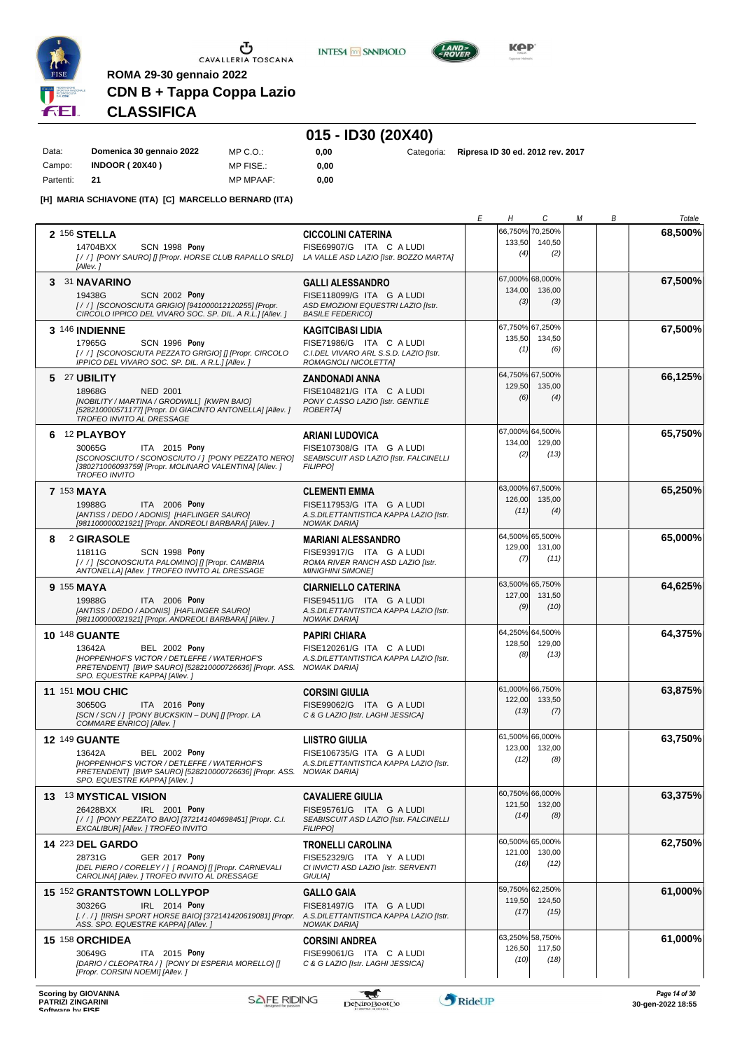

**INTESA** M SANPAOLO



**KPP** 

# **CDN B + Tappa Coppa Lazio CLASSIFICA**

### **015 - ID30 (20X40)**

| Data:     | Domenica 30 gennaio 2022 | MP C. O.         |
|-----------|--------------------------|------------------|
| Campo:    | <b>INDOOR (20X40)</b>    | MP FISE.:        |
| Partenti: | 21                       | <b>MP MPAAF:</b> |

**ROMA 29-30 gennaio 2022**

**[H] MARIA SCHIAVONE (ITA) [C] MARCELLO BERNARD (ITA)**

**0,00**

MP MPAAF: **0,00**

**0,00** Categoria: **Ripresa ID 30 ed. 2012 rev. 2017**

|   |                                                                                                                                                                                                                      |                                                                                                                         | Е<br>Н | C                                         | М | В | Totale  |
|---|----------------------------------------------------------------------------------------------------------------------------------------------------------------------------------------------------------------------|-------------------------------------------------------------------------------------------------------------------------|--------|-------------------------------------------|---|---|---------|
|   | 2 156 STELLA<br>14704BXX<br><b>SCN 1998 Pony</b><br>[//] [PONY SAURO] [] [Propr. HORSE CLUB RAPALLO SRLD] LA VALLE ASD LAZIO [Istr. BOZZO MARTA]<br>[Allev.]                                                         | <b>CICCOLINI CATERINA</b><br>FISE69907/G ITA C A LUDI                                                                   | 133,50 | 66,750% 70,250%<br>140,50<br>(4)<br>(2)   |   |   | 68,500% |
|   | 3 31 NAVARINO<br><b>SCN 2002 Pony</b><br>19438G<br>[/ /] [SCONOSCIUTA GRIGIO] [941000012120255] [Propr.<br>CIRCOLO IPPICO DEL VIVARO SOC. SP. DIL. A R.L.] [Allev.]                                                  | <b>GALLI ALESSANDRO</b><br>FISE118099/G ITA G A LUDI<br>ASD EMOZIONI EQUESTRI LAZIO [Istr.<br><b>BASILE FEDERICO1</b>   | 134,00 | 67,000% 68,000%<br>136,00<br>(3)<br>(3)   |   |   | 67,500% |
|   | <b>3 146 INDIENNE</b><br>17965G<br>SCN 1996 Pony<br>[//] [SCONOSCIUTA PEZZATO GRIGIO] [] [Propr. CIRCOLO<br>IPPICO DEL VIVARO SOC. SP. DIL. A R.L. I JAIlev. 1                                                       | <b>KAGITCIBASI LIDIA</b><br>FISE71986/G ITA C A LUDI<br>C.I.DEL VIVARO ARL S.S.D. LAZIO [Istr.<br>ROMAGNOLI NICOLETTA]  | 135,50 | 67,750% 67,250%<br>134,50<br>(1)<br>(6)   |   |   | 67,500% |
|   | 5 27 UBILITY<br>18968G<br><b>NED 2001</b><br>[NOBILITY / MARTINA / GRODWILL] [KWPN BAIO]<br>[528210000571177] [Propr. DI GIACINTO ANTONELLA] [Allev.]<br>TROFEO INVITO AL DRESSAGE                                   | <b>ZANDONADI ANNA</b><br>FISE104821/G ITA C A LUDI<br>PONY C.ASSO LAZIO [Istr. GENTILE<br><b>ROBERTAI</b>               | 129,50 | 64,750% 67,500%<br>135,00<br>(4)<br>(6)   |   |   | 66,125% |
|   | 6 12 PLAYBOY<br>30065G<br>ITA 2015 Pony<br>[SCONOSCIUTO / SCONOSCIUTO / ] [PONY PEZZATO NERO]<br>[380271006093759] [Propr. MOLINARO VALENTINA] [Allev.]<br><b>TROFEO INVITO</b>                                      | <b>ARIANI LUDOVICA</b><br>FISE107308/G ITA G A LUDI<br>SEABISCUIT ASD LAZIO [Istr. FALCINELLI<br><b>FILIPPO1</b>        | 134,00 | 67,000% 64,500%<br>129,00<br>(2)<br>(13)  |   |   | 65,750% |
|   | 7 153 MAYA<br>ITA 2006 Pony<br>19988G<br>[ANTISS / DEDO / ADONIS] [HAFLINGER SAURO]<br>[981100000021921] [Propr. ANDREOLI BARBARA] [Allev.]                                                                          | <b>CLEMENTI EMMA</b><br>FISE117953/G ITA G A LUDI<br>A.S.DILETTANTISTICA KAPPA LAZIO [Istr.<br><b>NOWAK DARIA1</b>      | 126,00 | 63,000% 67,500%<br>135,00<br>(11)<br>(4)  |   |   | 65,250% |
| 8 | 2 GIRASOLE<br>SCN 1998 Pony<br>11811G<br>[/ /] [SCONOSCIUTA PALOMINO] [] [Propr. CAMBRIA<br>ANTONELLA] [Allev. ] TROFEO INVITO AL DRESSAGE                                                                           | <b>MARIANI ALESSANDRO</b><br>FISE93917/G ITA G A LUDI<br>ROMA RIVER RANCH ASD LAZIO [Istr.<br><b>MINIGHINI SIMONET</b>  | 129,00 | 64,500% 65,500%<br>131,00<br>(7)<br>(11)  |   |   | 65,000% |
|   | 9 155 MAYA<br>19988G<br>ITA 2006 Pony<br>[ANTISS / DEDO / ADONIS] [HAFLINGER SAURO]<br>[981100000021921] [Propr. ANDREOLI BARBARA] [Allev.]                                                                          | <b>CIARNIELLO CATERINA</b><br>FISE94511/G ITA G A LUDI<br>A.S.DILETTANTISTICA KAPPA LAZIO [Istr.<br><b>NOWAK DARIA]</b> | 127,00 | 63,500% 65,750%<br>131,50<br>(9)<br>(10)  |   |   | 64,625% |
|   | <b>10 148 GUANTE</b><br><b>BEL 2002 Pony</b><br>13642A<br><b>IHOPPENHOF'S VICTOR / DETLEFFE / WATERHOF'S</b><br>PRETENDENT] [BWP SAURO] [528210000726636] [Propr. ASS. NOWAK DARIA]<br>SPO. EQUESTRE KAPPA] [Allev.] | <b>PAPIRI CHIARA</b><br>FISE120261/G ITA C A LUDI<br>A.S.DILETTANTISTICA KAPPA LAZIO [Istr.                             | 128,50 | 64,250% 64,500%<br>129,00<br>(8)<br>(13)  |   |   | 64,375% |
|   | <b>11 151 MOU CHIC</b><br>30650G<br>ITA 2016 Pony<br>[SCN / SCN / ] [PONY BUCKSKIN - DUN] [] [Propr. LA<br>COMMARE ENRICO] [Allev.]                                                                                  | <b>CORSINI GIULIA</b><br>FISE99062/G ITA G A LUDI<br>C & G LAZIO [Istr. LAGHI JESSICA]                                  | 122,00 | 61,000% 66,750%<br>133,50<br>(13)<br>(7)  |   |   | 63,875% |
|   | <b>12 149 GUANTE</b><br>13642A<br><b>BEL 2002 Pony</b><br><b>IHOPPENHOF'S VICTOR / DETLEFFE / WATERHOF'S</b><br>PRETENDENT] [BWP SAURO] [528210000726636] [Propr. ASS. NOWAK DARIA]<br>SPO. EQUESTRE KAPPA] [Allev.] | <b>LIISTRO GIULIA</b><br>FISE106735/G ITA G A LUDI<br>A.S.DILETTANTISTICA KAPPA LAZIO [Istr.                            | 123,00 | 61,500% 66,000%<br>132,00<br>(8)<br>(12)  |   |   | 63,750% |
|   | 13 13 MYSTICAL VISION<br>26428BXX<br>IRL 2001 Pony<br>[/ /] [PONY PEZZATO BAIO] [372141404698451] [Propr. C.I.<br>EXCALIBUR] [Allev. ] TROFEO INVITO                                                                 | <b>CAVALIERE GIULIA</b><br>FISE95761/G ITA G A LUDI<br>SEABISCUIT ASD LAZIO [Istr. FALCINELLI<br><b>FILIPPOI</b>        | 121,50 | 60,750% 66,000%<br>132,00<br>(14)<br>(8)  |   |   | 63,375% |
|   | <b>14 223 DEL GARDO</b><br>28731G<br><b>GER 2017 Pony</b><br>[DEL PIERO / CORELEY / ] [ ROANO] [] [Propr. CARNEVALI<br>CAROLINA] [Allev. ] TROFEO INVITO AL DRESSAGE                                                 | <b>TRONELLI CAROLINA</b><br>FISE52329/G ITA Y A LUDI<br>CI INVICTI ASD LAZIO [Istr. SERVENTI<br>GIULIA]                 | 121,00 | 60,500% 65,000%<br>130,00<br>(16)<br>(12) |   |   | 62,750% |
|   | <b>15 152 GRANTSTOWN LOLLYPOP</b><br>30326G<br>IRL 2014 Pony<br>[././] [IRISH SPORT HORSE BAIO] [372141420619081] [Propr. A.S.DILETTANTISTICA KAPPA LAZIO [Istr.<br>ASS. SPO. EQUESTRE KAPPA] [Allev.]               | <b>GALLO GAIA</b><br>FISE81497/G ITA G A LUDI<br>NOWAK DARIA]                                                           | 119,50 | 59,750% 62,250%<br>124,50<br>(17)<br>(15) |   |   | 61,000% |
|   | <b>15 158 ORCHIDEA</b><br>30649G<br>ITA 2015 Pony<br>[DARIO / CLEOPATRA / ] [PONY DI ESPERIA MORELLO] []<br>[Propr. CORSINI NOEMI] [Allev.]                                                                          | <b>CORSINI ANDREA</b><br>FISE99061/G ITA C A LUDI<br>C & G LAZIO [Istr. LAGHI JESSICA]                                  | 126,50 | 63,250% 58,750%<br>117,50<br>(10)<br>(18) |   |   | 61,000% |

**Scoring by GIOVANNA**<br>
Page 14 of 30<br>
Software by FISE RIDING<br>
Software by FISE RIDING **Reserves to the Second Control Control of the Super-2022 18:55** 

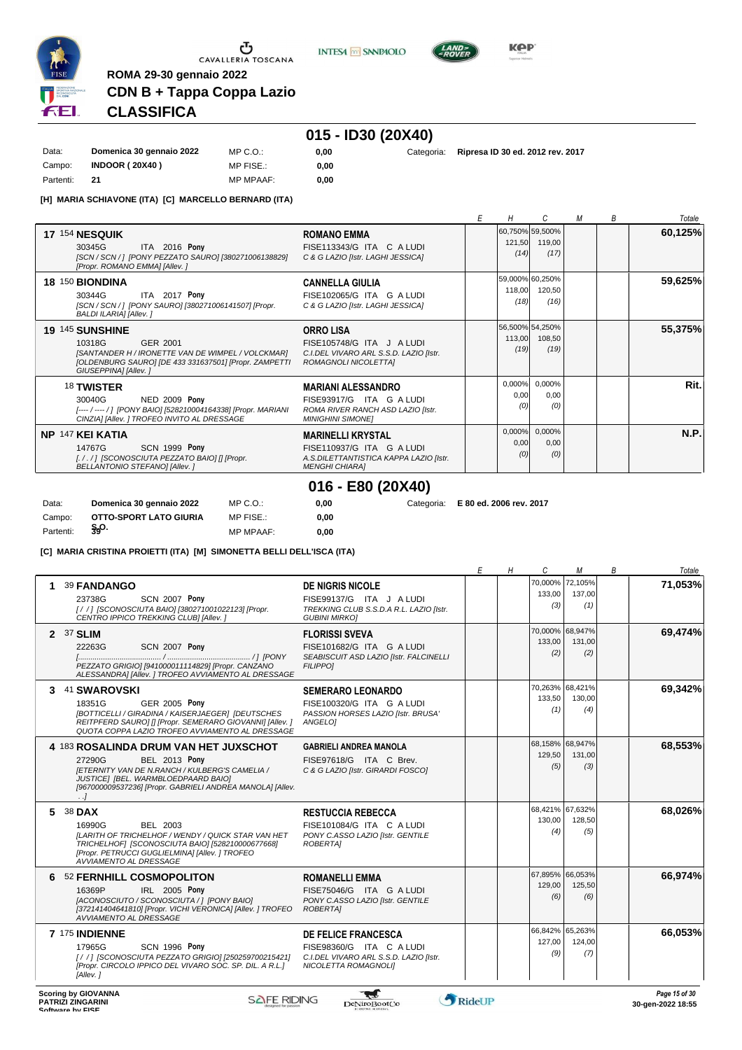

**INTESA m** SANPAOLO



KOP

### **CDN B + Tappa Coppa Lazio CLASSIFICA**

### **015 - ID30 (20X40)**

| Data:     | Domenica 30 gennaio 2022 | MP C. O.         |
|-----------|--------------------------|------------------|
| Campo:    | <b>INDOOR (20X40)</b>    | MP FISE.:        |
| Partenti: | 21                       | <b>MP MPAAF:</b> |

**ROMA 29-30 gennaio 2022**

**[H] MARIA SCHIAVONE (ITA) [C] MARCELLO BERNARD (ITA)**

0.00 **0,00**

**0,00** Categoria: **Ripresa ID 30 ed. 2012 rev. 2017**

*E H C M B Totale* **17** 154 **NESQUIK** ITA 2016 **Pony ROMANO EMMA** *[SCN / SCN / ] [PONY PEZZATO SAURO] [380271006138829]* 30345G FISE113343/G ITA <sup>C</sup> A LUDI *(14) [Propr. ROMANO EMMA] [Allev. ] C & G LAZIO [Istr. LAGHI JESSICA]* 60,750% 59,500% 121,50 *(17)* 119,00 **60,125% 18** 150 **BIONDINA** ITA 2017 **Pony CANNELLA GIULIA** *[SCN / SCN / ] [PONY SAURO] [380271006141507] [Propr.* 30344G FISE102065/G ITA <sup>G</sup> A LUDI *(18) BALDI ILARIA] [Allev. ] C & G LAZIO [Istr. LAGHI JESSICA]* 59,000% 60,250% 118,00 *(16)* 120,50 **59,625% 19** 145 **SUNSHINE** GER 2001 **ORRO LISA** *[SANTANDER H / IRONETTE VAN DE WIMPEL / VOLCKMAR]* 10318G FISE105748/G ITA <sup>J</sup> A LUDI *(19) [OLDENBURG SAURO] [DE 433 331637501] [Propr. ZAMPETTI GIUSEPPINA] [Allev. ] C.I.DEL VIVARO ARL S.S.D. LAZIO [Istr. ROMAGNOLI NICOLETTA]* 56,500% 113,00 *(19)* 54,250% 108,50 **55,375%** 18 **TWISTER** NED 2009 **Pony MARIANI ALESSANDRO** *[---- / ---- / ] [PONY BAIO] [528210004164338] [Propr. MARIANI CINZIA] [Allev. ] TROFEO INVITO AL DRESSAGE ROMA RIVER RANCH ASD LAZIO [Istr. MINIGHINI SIMONE]* 30040G FISE93917/G ITA <sup>G</sup> A LUDI *(0)* 0,000% 0,00 *(0)* 0,000% 0,00 **Rit. NP** 147 **KEI KATIA** SCN 1999 **Pony MARINELLI KRYSTAL** *[. / . / ] [SCONOSCIUTA PEZZATO BAIO] [] [Propr. BELLANTONIO STEFANO] [Allev. ] A.S.DILETTANTISTICA KAPPA LAZIO [Istr. MENGHI CHIARA]* 14767G FISE110937/G ITA <sup>G</sup> A LUDI *(0)* 0,000% 0,00 *(0)* 0,000% 0,00 **N.P.**

# **016 - E80 (20X40)**

**0,00**

**0,00** Categoria: **E 80 ed. 2006 rev. 2017**

Campo: **OTTO-SPORT LATO GIURIA**<br>Partenti: \$90. **S.O.** Partenti: **<sup>39</sup>** MP MPAAF: **0,00 [C] MARIA CRISTINA PROIETTI (ITA) [M] SIMONETTA BELLI DELL'ISCA (ITA)**

MP C.O.: MP FISE $\cdot$ 

Data: **Domenica 30 gennaio 2022**

*E H C M B Totale* **1** 39 **FANDANGO** SCN 2007 **Pony DE NIGRIS NICOLE** *[ / / ] [SCONOSCIUTA BAIO] [380271001022123] [Propr.* 23738G FISE99137/G ITA <sup>J</sup> A LUDI *(3) CENTRO IPPICO TREKKING CLUB] [Allev. ] TREKKING CLUB S.S.D.A R.L. LAZIO [Istr. GUBINI MIRKO]* 70,000% 133,00 *(1)* 72,105% 137,00 **71,053% 2** 37 **SLIM** SCN 2007 **Pony FLORISSI SVEVA** *[........................................ / ........................................ / ] [PONY PEZZATO GRIGIO] [941000011114829] [Propr. CANZANO ALESSANDRA] [Allev. ] TROFEO AVVIAMENTO AL DRESSAGE SEABISCUIT ASD LAZIO [Istr. FALCINELLI FILIPPO]* 22263G FISE101682/G ITA <sup>G</sup> A LUDI *(2)* 70,000% 133,00 *(2)* 68,947% 131,00 **69,474% 3** 41 **SWAROVSKI** GER 2005 **Pony SEMERARO LEONARDO** *[BOTTICELLI / GIRADINA / KAISERJAEGER] [DEUTSCHES* 18351G FISE100320/G ITA <sup>G</sup> A LUDI *(1) REITPFERD SAURO] [] [Propr. SEMERARO GIOVANNI] [Allev. ] QUOTA COPPA LAZIO TROFEO AVVIAMENTO AL DRESSAGE PASSION HORSES LAZIO [Istr. BRUSA' ANGELO]* 70,263% 133,50 *(4)* 68,421% 130,00 **69,342% 4** 183 **ROSALINDA DRUM VAN HET JUXSCHOT** BEL 2013 **Pony GABRIELI ANDREA MANOLA** *[ETERNITY VAN DE N.RANCH / KULBERG'S CAMELIA / JUSTICE] [BEL. WARMBLOEDPAARD BAIO] [967000009537236] [Propr. GABRIELI ANDREA MANOLA] [Allev. . .] C & G LAZIO [Istr. GIRARDI FOSCO]* 27290G FISE97618/G ITA <sup>C</sup> Brev. *(5)* 68,158% 129,50 *(3)* 68,947% 131,00 **68,553% 5** 38 **DAX** BEL 2003 **RESTUCCIA REBECCA** *[LARITH OF TRICHELHOF / WENDY / QUICK STAR VAN HET TRICHELHOF] [SCONOSCIUTA BAIO] [528210000677668] [Propr. PETRUCCI GUGLIELMINA] [Allev. ] TROFEO AVVIAMENTO AL DRESSAGE PONY C.ASSO LAZIO [Istr. GENTILE ROBERTA]* 16990G FISE101084/G ITA <sup>C</sup> A LUDI *(4)* 68,421% 130,00 *(5)* 67,632% 128,50 **68,026% 6** 52 **FERNHILL COSMOPOLITON** IRL 2005 **Pony ROMANELLI EMMA** *[ACONOSCIUTO / SCONOSCIUTA / ] [PONY BAIO] [372141404641810] [Propr. VICHI VERONICA] [Allev. ] TROFEO AVVIAMENTO AL DRESSAGE PONY C.ASSO LAZIO [Istr. GENTILE ROBERTA]* 16369P FISE75046/G ITA <sup>G</sup> A LUDI *(6)* 67,895% 129,00 *(6)* 66.053% 125,50 **66,974% 7** 175 **INDIENNE** SCN 1996 **Pony DE FELICE FRANCESCA**<br>FISE98360/G ITA C A LUDI 17965G FISE98360/G ITA <sup>C</sup> A LUDI *(9)* 66,842% 127,00 *(7)* 65,263% 124,00 **66,053%**

*C.I.DEL VIVARO ARL S.S.D. LAZIO [Istr. NICOLETTA ROMAGNOLI]*

-ad

*[ / / ] [SCONOSCIUTA PEZZATO GRIGIO] [250259700215421] [Propr. CIRCOLO IPPICO DEL VIVARO SOC. SP. DIL. A R.L.] [Allev. ]*

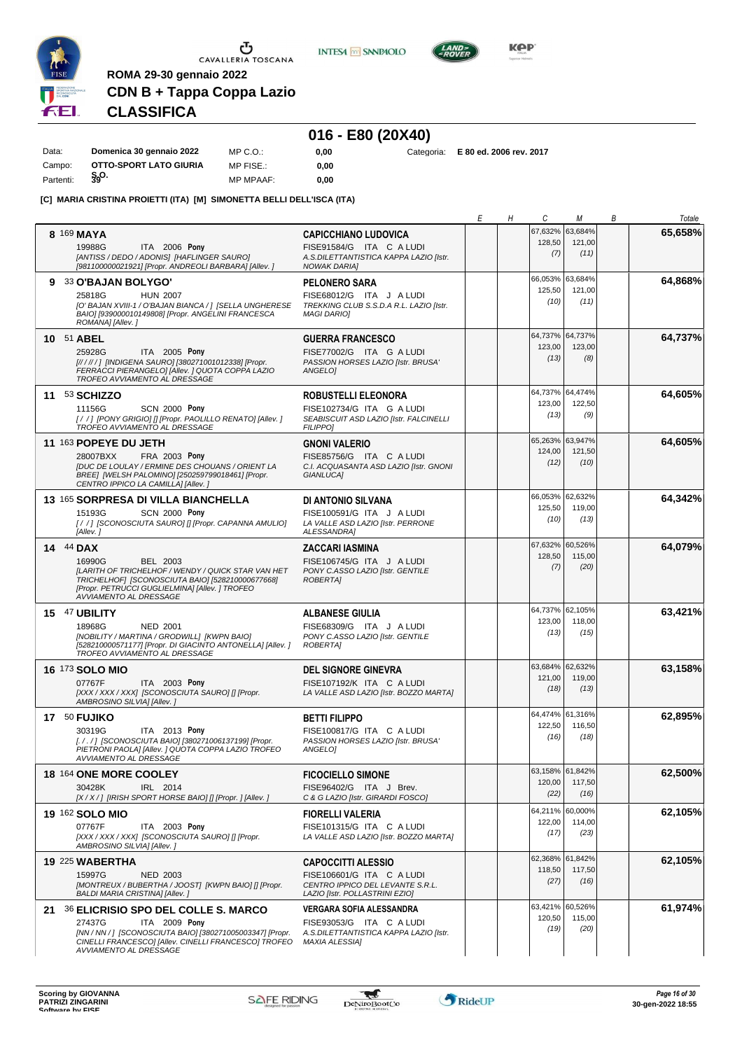

**INTESA** M SANPAOLO



**0,00** Categoria: **E 80 ed. 2006 rev. 2017**

**KPP** 

# **CDN B + Tappa Coppa Lazio CLASSIFICA**

**ROMA 29-30 gennaio 2022**

# **016 - E80 (20X40)**

| Data:     | Domenica 30 gennaio 2022 | MP C. O.         | 0.00 |  |
|-----------|--------------------------|------------------|------|--|
| Campo:    | OTTO-SPORT LATO GIURIA   | MP FISE.:        | 0.00 |  |
| Partenti: | §.o.                     | <b>MP MPAAF:</b> | 0.00 |  |

#### **[C] MARIA CRISTINA PROIETTI (ITA) [M] SIMONETTA BELLI DELL'ISCA (ITA)**

|                                                                                                                                                                                                                              |                                                                                                                              | Е | Н | C                                 | М                                 | Β | Totale  |
|------------------------------------------------------------------------------------------------------------------------------------------------------------------------------------------------------------------------------|------------------------------------------------------------------------------------------------------------------------------|---|---|-----------------------------------|-----------------------------------|---|---------|
| 8 169 MAYA<br>19988G<br>ITA 2006 Pony<br>[ANTISS / DEDO / ADONIS] [HAFLINGER SAURO]<br>[981100000021921] [Propr. ANDREOLI BARBARA] [Allev. ]                                                                                 | <b>CAPICCHIANO LUDOVICA</b><br>FISE91584/G ITA C A LUDI<br>A.S.DILETTANTISTICA KAPPA LAZIO [Istr.<br><b>NOWAK DARIA]</b>     |   |   | 67,632%<br>128,50<br>(7)          | 63,684%<br>121,00<br>(11)         |   | 65,658% |
| 9 33 O'BAJAN BOLYGO'<br>25818G<br><b>HUN 2007</b><br>[O' BAJAN XVIII-1 / O'BAJAN BIANCA / ] [SELLA UNGHERESE<br>BAIO] [939000010149808] [Propr. ANGELINI FRANCESCA<br>ROMANA] [Allev.]                                       | <b>PELONERO SARA</b><br>FISE68012/G ITA J A LUDI<br>TREKKING CLUB S.S.D.A R.L. LAZIO [Istr.<br><b>MAGI DARIOI</b>            |   |   | 66,053%<br>125,50<br>(10)         | 63,684%<br>121,00<br>(11)         |   | 64,868% |
| 10 51 ABEL<br>25928G<br>ITA 2005 Pony<br>[////// ] [INDIGENA SAURO] [380271001012338] [Propr.<br>FERRACCI PIERANGELO] [Allev. ] QUOTA COPPA LAZIO<br>TROFEO AVVIAMENTO AL DRESSAGE                                           | <b>GUERRA FRANCESCO</b><br>FISE77002/G ITA G A LUDI<br>PASSION HORSES LAZIO [Istr. BRUSA'<br>ANGELO]                         |   |   | 64,737% 64,737%<br>123,00<br>(13) | 123,00<br>(8)                     |   | 64,737% |
| 11 53 SCHIZZO<br>11156G<br><b>SCN 2000 Pony</b><br>[//] [PONY GRIGIO] [] [Propr. PAOLILLO RENATO] [Allev.]<br>TROFEO AVVIAMENTO AL DRESSAGE                                                                                  | ROBUSTELLI ELEONORA<br>FISE102734/G ITA G A LUDI<br>SEABISCUIT ASD LAZIO [Istr. FALCINELLI<br><b>FILIPPO]</b>                |   |   | 64,737%<br>123,00<br>(13)         | 64,474%<br>122,50<br>(9)          |   | 64,605% |
| 11 163 POPEYE DU JETH<br>28007BXX<br>FRA 2003 Pony<br>[DUC DE LOULAY / ERMINE DES CHOUANS / ORIENT LA<br>BREE] [WELSH PALOMINO] [250259799018461] [Propr.<br>CENTRO IPPICO LA CAMILLA] [Allev.]                              | <b>GNONI VALERIO</b><br>FISE85756/G ITA C A LUDI<br>C.I. ACQUASANTA ASD LAZIO [Istr. GNONI<br><b>GIANLUCA1</b>               |   |   | 65,263% 63,947%<br>124,00<br>(12) | 121,50<br>(10)                    |   | 64,605% |
| 13 165 SORPRESA DI VILLA BIANCHELLA<br><b>SCN 2000 Pony</b><br>15193G<br>[/ /] [SCONOSCIUTA SAURO] [] [Propr. CAPANNA AMULIO]<br>[Allev. 1                                                                                   | DI ANTONIO SILVANA<br>FISE100591/G ITA J A LUDI<br>LA VALLE ASD LAZIO [Istr. PERRONE<br>ALESSANDRA1                          |   |   | 66,053%<br>125,50<br>(10)         | 62,632%<br>119,00<br>(13)         |   | 64,342% |
| <b>14 44 DAX</b><br>16990G<br>BEL 2003<br>[LARITH OF TRICHELHOF / WENDY / QUICK STAR VAN HET<br>TRICHELHOF] [SCONOSCIUTA BAIO] [528210000677668]<br>[Propr. PETRUCCI GUGLIELMINA] [Allev. ] TROFEO<br>AVVIAMENTO AL DRESSAGE | <b>ZACCARI IASMINA</b><br>FISE106745/G ITA J A LUDI<br>PONY C.ASSO LAZIO [Istr. GENTILE<br><b>ROBERTAI</b>                   |   |   | 67,632%<br>128,50<br>(7)          | 60,526%<br>115,00<br>(20)         |   | 64,079% |
| 15 47 UBILITY<br>18968G<br><b>NED 2001</b><br>[NOBILITY / MARTINA / GRODWILL] [KWPN BAIO]<br>[528210000571177] [Propr. DI GIACINTO ANTONELLA] [Allev.]<br>TROFEO AVVIAMENTO AL DRESSAGE                                      | <b>ALBANESE GIULIA</b><br>FISE68309/G ITA J A LUDI<br>PONY C.ASSO LAZIO [Istr. GENTILE<br><b>ROBERTAI</b>                    |   |   | 64,737% 62,105%<br>123,00<br>(13) | 118,00<br>(15)                    |   | 63,421% |
| <b>16 173 SOLO MIO</b><br>ITA 2003 Pony<br>07767F<br>[XXX / XXX / XXX] [SCONOSCIUTA SAURO] [] [Propr.<br>AMBROSINO SILVIA] [Allev.]                                                                                          | <b>DEL SIGNORE GINEVRA</b><br>FISE107192/K ITA C A LUDI<br>LA VALLE ASD LAZIO [Istr. BOZZO MARTA]                            |   |   | 63,684% 62,632%<br>121,00<br>(18) | 119,00<br>(13)                    |   | 63,158% |
| 17 50 FUJIKO<br>30319G<br>ITA 2013 Pony<br>[././] [SCONOSCIUTA BAIO] [380271006137199] [Propr.<br>PIETRONI PAOLAI [Allev. ] QUOTA COPPA LAZIO TROFEO<br>AVVIAMENTO AL DRESSAGE                                               | <b>BETTI FILIPPO</b><br>FISE100817/G ITA C A LUDI<br>PASSION HORSES LAZIO [Istr. BRUSA'<br>ANGELO]                           |   |   | 64,474% 61,316%<br>122,50<br>(16) | 116,50<br>(18)                    |   | 62,895% |
| 18 164 ONE MORE COOLEY<br>30428K<br>IRL 2014<br>[X / X / ] [IRISH SPORT HORSE BAIO] [] [Propr. ] [Allev. ]                                                                                                                   | <b>FICOCIELLO SIMONE</b><br>FISE96402/G ITA J Brev.<br>C & G LAZIO [Istr. GIRARDI FOSCO]                                     |   |   | 63,158% 61,842%<br>120,00<br>(22) | 117,50<br>(16)                    |   | 62,500% |
| 19 162 SOLO MIO<br>ITA 2003 Pony<br>07767F<br>[XXX / XXX / XXX] [SCONOSCIUTA SAURO] [] [Propr.<br>AMBROSINO SILVIA] [Allev.]                                                                                                 | <b>FIORELLI VALERIA</b><br>FISE101315/G ITA C A LUDI<br>LA VALLE ASD LAZIO [Istr. BOZZO MARTA]                               |   |   | 122,00<br>(17)                    | 64,211% 60,000%<br>114,00<br>(23) |   | 62,105% |
| <b>19 225 WABERTHA</b><br>15997G<br><b>NED 2003</b><br>[MONTREUX / BUBERTHA / JOOST] [KWPN BAIO] [] [Propr.<br>BALDI MARIA CRISTINA] [Allev. ]                                                                               | <b>CAPOCCITTI ALESSIO</b><br>FISE106601/G ITA C A LUDI<br>CENTRO IPPICO DEL LEVANTE S.R.L.<br>LAZIO [Istr. POLLASTRINI EZIO] |   |   | 118,50<br>(27)                    | 62,368% 61,842%<br>117,50<br>(16) |   | 62,105% |
| 21 36 ELICRISIO SPO DEL COLLE S. MARCO<br>27437G<br>ITA 2009 Pony<br>[NN / NN / ] [SCONOSCIUTA BAIO] [380271005003347] [Propr.<br>CINELLI FRANCESCO] [Allev. CINELLI FRANCESCO] TROFEO<br>AVVIAMENTO AL DRESSAGE             | VERGARA SOFIA ALESSANDRA<br>FISE93053/G ITA C A LUDI<br>A.S.DILETTANTISTICA KAPPA LAZIO [Istr.<br><b>MAXIA ALESSIA]</b>      |   |   | 63,421%<br>120,50<br>(19)         | 60,526%<br>115,00<br>(20)         |   | 61,974% |

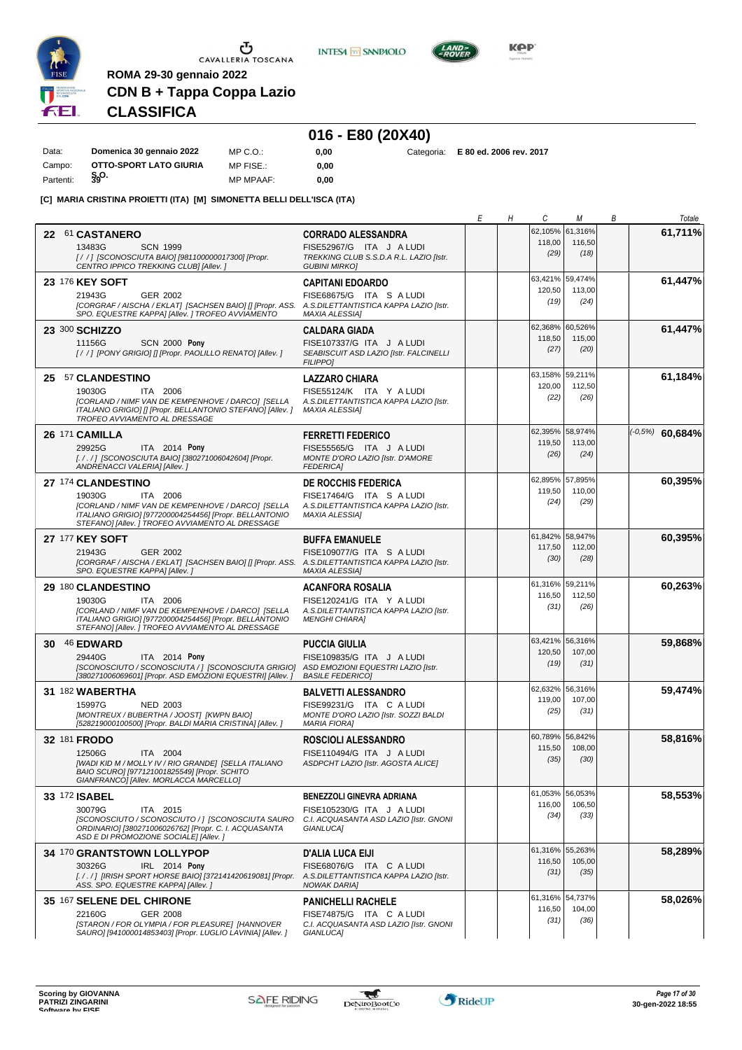

**INTESA** M SANPAOLO



**KPP** 

# **CDN B + Tappa Coppa Lazio CLASSIFICA**

**ROMA 29-30 gennaio 2022**

### **016 - E80 (20X40)**

| Data:     | Domenica 30 gennaio 2022 | MP C.O.:         | 0.00 |  | Categoria: E 80 ed. 2006 rev. 2017 |
|-----------|--------------------------|------------------|------|--|------------------------------------|
| Campo:    | OTTO-SPORT LATO GIURIA   | MP FISE.:        | 0.00 |  |                                    |
| Partenti: | §90∙                     | <b>MP MPAAF:</b> | 0.00 |  |                                    |

#### **[C] MARIA CRISTINA PROIETTI (ITA) [M] SIMONETTA BELLI DELL'ISCA (ITA)**

|                                                                                                                                                                                                             |                                                                                                                           | Е | Η | C                                 | М                         | В | Totale            |
|-------------------------------------------------------------------------------------------------------------------------------------------------------------------------------------------------------------|---------------------------------------------------------------------------------------------------------------------------|---|---|-----------------------------------|---------------------------|---|-------------------|
| 22 61 CASTANERO<br>13483G<br><b>SCN 1999</b><br>[/ / ] [SCONOSCIUTA BAIO] [981100000017300] [Propr.<br>CENTRO IPPICO TREKKING CLUBI [Allev.]                                                                | <b>CORRADO ALESSANDRA</b><br>FISE52967/G ITA J A LUDI<br>TREKKING CLUB S.S.D.A R.L. LAZIO [Istr.<br><b>GUBINI MIRKO]</b>  |   |   | 62,105%<br>118,00<br>(29)         | 61,316%<br>116,50<br>(18) |   | 61,711%           |
| 23 176 KEY SOFT<br>21943G<br>GER 2002<br>[CORGRAF / AISCHA / EKLAT] [SACHSEN BAIO] [] [Propr. ASS.<br>SPO. EQUESTRE KAPPA] [Allev. ] TROFEO AVVIAMENTO                                                      | <b>CAPITANI EDOARDO</b><br>FISE68675/G ITA S A LUDI<br>A.S.DILETTANTISTICA KAPPA LAZIO [Istr.<br><b>MAXIA ALESSIA1</b>    |   |   | 63,421%<br>120,50<br>(19)         | 59.474%<br>113,00<br>(24) |   | 61,447%           |
| 23 300 SCHIZZO<br><b>SCN 2000 Pony</b><br>11156G<br>[//] [PONY GRIGIO] [] [Propr. PAOLILLO RENATO] [Allev.]                                                                                                 | <b>CALDARA GIADA</b><br>FISE107337/G ITA J A LUDI<br>SEABISCUIT ASD LAZIO [Istr. FALCINELLI<br><b>FILIPPOI</b>            |   |   | 62,368% 60,526%<br>118,50<br>(27) | 115,00<br>(20)            |   | 61,447%           |
| 25 57 CLANDESTINO<br>19030G<br>ITA 2006<br>[CORLAND / NIMF VAN DE KEMPENHOVE / DARCO] [SELLA<br>ITALIANO GRIGIO] [] [Propr. BELLANTONIO STEFANO] [Allev. ]<br>TROFEO AVVIAMENTO AL DRESSAGE                 | <b>LAZZARO CHIARA</b><br>FISE55124/K ITA Y A LUDI<br>A.S.DILETTANTISTICA KAPPA LAZIO [Istr.<br><b>MAXIA ALESSIA]</b>      |   |   | 63,158% 59,211%<br>120,00<br>(22) | 112,50<br>(26)            |   | 61,184%           |
| 26 171 CAMILLA<br>29925G<br>ITA 2014 Pony<br>[././] [SCONOSCIUTA BAIO] [380271006042604] [Propr.<br>ANDRENACCI VALERIA] [Allev. ]                                                                           | <b>FERRETTI FEDERICO</b><br>FISE55565/G ITA J A LUDI<br>MONTE D'ORO LAZIO [Istr. D'AMORE<br><b>FEDERICA1</b>              |   |   | 62,395%<br>119,50<br>(26)         | 58,974%<br>113,00<br>(24) |   | $(-0.5%)$ 60,684% |
| 27 174 CLANDESTINO<br>19030G<br>ITA 2006<br>[CORLAND / NIMF VAN DE KEMPENHOVE / DARCO] [SELLA<br>ITALIANO GRIGIO] [977200004254456] [Propr. BELLANTONIO<br>STEFANO] [Allev. ] TROFEO AVVIAMENTO AL DRESSAGE | <b>DE ROCCHIS FEDERICA</b><br>FISE17464/G ITA S A LUDI<br>A.S.DILETTANTISTICA KAPPA LAZIO [Istr.<br><b>MAXIA ALESSIA]</b> |   |   | 62,895% 57,895%<br>119,50<br>(24) | 110,00<br>(29)            |   | 60,395%           |
| 27 177 KEY SOFT<br>21943G<br>GER 2002<br>[CORGRAF / AISCHA / EKLAT] [SACHSEN BAIO] [] [Propr. ASS. A.S.DILETTANTISTICA KAPPA LAZIO [Istr.<br>SPO. EQUESTRE KAPPA] [Allev.]                                  | <b>BUFFA EMANUELE</b><br>FISE109077/G ITA S A LUDI<br><b>MAXIA ALESSIA1</b>                                               |   |   | 61,842%<br>117,50<br>(30)         | 58,947%<br>112,00<br>(28) |   | 60,395%           |
| 29 180 CLANDESTINO<br>19030G<br>ITA 2006<br>[CORLAND / NIMF VAN DE KEMPENHOVE / DARCO] [SELLA<br>ITALIANO GRIGIO] [977200004254456] [Propr. BELLANTONIO<br>STEFANO] [Allev. ] TROFEO AVVIAMENTO AL DRESSAGE | <b>ACANFORA ROSALIA</b><br>FISE120241/G ITA Y A LUDI<br>A.S.DILETTANTISTICA KAPPA LAZIO [Istr.<br><b>MENGHI CHIARA1</b>   |   |   | 61,316% 59,211%<br>116,50<br>(31) | 112,50<br>(26)            |   | 60,263%           |
| 30 46 EDWARD<br>29440G<br>ITA 2014 Pony<br>[SCONOSCIUTO / SCONOSCIUTA / ] [SCONOSCIUTA GRIGIO]<br>[380271006069601] [Propr. ASD EMOZIONI EQUESTRI] [Allev.]                                                 | <b>PUCCIA GIULIA</b><br>FISE109835/G ITA J A LUDI<br>ASD EMOZIONI EQUESTRI LAZIO [Istr.<br><b>BASILE FEDERICO1</b>        |   |   | 63,421%<br>120,50<br>(19)         | 56,316%<br>107,00<br>(31) |   | 59,868%           |
| 31 182 WABERTHA<br>15997G<br><b>NED 2003</b><br>[MONTREUX / BUBERTHA / JOOST] [KWPN BAIO]<br>[528219000100500] [Propr. BALDI MARIA CRISTINA] [Allev.]                                                       | <b>BALVETTI ALESSANDRO</b><br>FISE99231/G ITA C A LUDI<br>MONTE D'ORO LAZIO [Istr. SOZZI BALDI<br><b>MARIA FIORA]</b>     |   |   | 62,632%<br>119,00<br>(25)         | 56,316%<br>107,00<br>(31) |   | 59,474%           |
| 32 181 FRODO<br>12506G<br>ITA 2004<br>[WADI KID M / MOLLY IV / RIO GRANDE] [SELLA ITALIANO<br>BAIO SCURO] [977121001825549] [Propr. SCHITO<br>GIANFRANCO] [Allev. MORLACCA MARCELLO]                        | <b>ROSCIOLI ALESSANDRO</b><br>FISE110494/G ITA J A LUDI<br>ASDPCHT LAZIO [Istr. AGOSTA ALICE]                             |   |   | 60,789% 56,842%<br>115,50<br>(35) | 108,00<br>(30)            |   | 58,816%           |
| 33 172 ISABEL<br>30079G<br>ITA 2015<br>[SCONOSCIUTO / SCONOSCIUTO / ] [SCONOSCIUTA SAURO<br>ORDINARIO] [380271006026762] [Propr. C. I. ACQUASANTA<br>ASD E DI PROMOZIONE SOCIALE] [Allev.]                  | BENEZZOLI GINEVRA ADRIANA<br>FISE105230/G ITA J A LUDI<br>C.I. ACQUASANTA ASD LAZIO [Istr. GNONI<br>GIANLUCA]             |   |   | 61,053%<br>116,00<br>(34)         | 56,053%<br>106,50<br>(33) |   | 58,553%           |
| 34 170 GRANTSTOWN LOLLYPOP<br>30326G<br>IRL 2014 Pony<br>[././] [IRISH SPORT HORSE BAIO] [372141420619081] [Propr. A.S.DILETTANTISTICA KAPPA LAZIO [Istr.<br>ASS. SPO. EQUESTRE KAPPA] [Allev.]             | <b>D'ALIA LUCA EIJI</b><br>FISE68076/G ITA C A LUDI<br><b>NOWAK DARIA]</b>                                                |   |   | 61,316% 55,263%<br>116,50<br>(31) | 105,00<br>(35)            |   | 58,289%           |
| 35 167 SELENE DEL CHIRONE<br>22160G<br>GER 2008<br>[STARON / FOR OLYMPIA / FOR PLEASURE] [HANNOVER<br>SAURO] [941000014853403] [Propr. LUGLIO LAVINIA] [Allev. ]                                            | <b>PANICHELLI RACHELE</b><br>FISE74875/G ITA C A LUDI<br>C.I. ACQUASANTA ASD LAZIO [Istr. GNONI<br><b>GIANLUCA]</b>       |   |   | 61,316% 54,737%<br>116,50<br>(31) | 104,00<br>(36)            |   | 58,026%           |

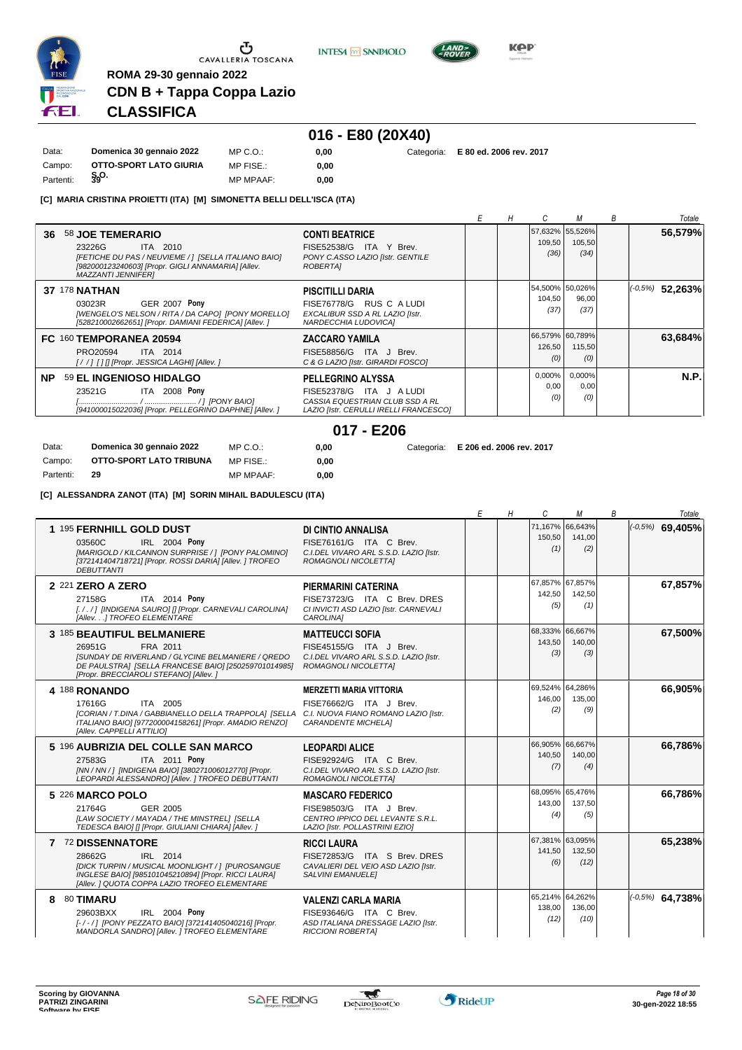

**INTESA** M SANPAOLO



**KPP** 

**0,00** Categoria: **E 80 ed. 2006 rev. 2017**

# **CDN B + Tappa Coppa Lazio CLASSIFICA**

**ROMA 29-30 gennaio 2022**

# **016 - E80 (20X40)**

| Data:     | Domenica 30 gennaio 2022 | $MP C. O.$ :     | 0.00 | Categoria: | E 80 |
|-----------|--------------------------|------------------|------|------------|------|
| Campo:    | OTTO-SPORT LATO GIURIA   | MP FISE.:        | 0.00 |            |      |
| Partenti: | §90.                     | <b>MP MPAAF:</b> | 0.00 |            |      |

#### **[C] MARIA CRISTINA PROIETTI (ITA) [M] SIMONETTA BELLI DELL'ISCA (ITA)**

|     |                                                                                                                                                                                   |                                                                                                                                     | E | Н |                       | М                                 | B | Totale                |
|-----|-----------------------------------------------------------------------------------------------------------------------------------------------------------------------------------|-------------------------------------------------------------------------------------------------------------------------------------|---|---|-----------------------|-----------------------------------|---|-----------------------|
| 36  | 58 JOE TEMERARIO<br>23226G<br>ITA 2010<br>[FETICHE DU PAS / NEUVIEME / 1 [SELLA ITALIANO BAIO]<br>[982000123240603] [Propr. GIGLI ANNAMARIA] [Allev.<br><b>MAZZANTI JENNIFERI</b> | <b>CONTI BEATRICE</b><br>FISE52538/G ITA Y Brev.<br>PONY C.ASSO LAZIO [Istr. GENTILE<br>ROBERTAI                                    |   |   | 109,50<br>(36)        | 57,632% 55,526%<br>105,50<br>(34) |   | 56,579%               |
|     | <b>37 178 NATHAN</b><br><b>GER 2007 Pony</b><br>03023R<br>[WENGELO'S NELSON / RITA / DA CAPO] [PONY MORELLO]<br>[528210002662651] [Propr. DAMIANI FEDERICA] [Allev. ]             | PISCITILLI DARIA<br>FISE76778/G RUS C A LUDI<br>EXCALIBUR SSD A RL LAZIO [Istr.<br>NARDECCHIA LUDOVICA]                             |   |   | 104,50<br>(37)        | 54,500% 50,026%<br>96,00<br>(37)  |   | $(1 - 0.5\%)$ 52,263% |
|     | FC 160 TEMPORANEA 20594<br>PRO20594<br>ITA 2014<br>[//] [1] [Propr. JESSICA LAGHI] [Allev.]                                                                                       | <b>ZACCARO YAMILA</b><br>ITA J Brev.<br><b>FISE58856/G</b><br>C & G LAZIO [Istr. GIRARDI FOSCO]                                     |   |   | 126,50<br>(0)         | 66,579% 60,789%<br>115,50<br>(0)  |   | 63,684%               |
| NP. | 59 EL INGENIOSO HIDALGO<br><b>ITA 2008 Pony</b><br>23521G<br>[941000015022036] [Propr. PELLEGRINO DAPHNE] [Allev. ]                                                               | <b>PELLEGRINO ALYSSA</b><br>ITA J ALUDI<br>FISE52378/G<br>CASSIA EQUESTRIAN CLUB SSD A RL<br>LAZIO [Istr. CERULLI IRELLI FRANCESCO] |   |   | 0,000%<br>0,00<br>(0) | 0,000%<br>0,00<br>(0)             |   | N.P.                  |
|     |                                                                                                                                                                                   | $017 - E206$                                                                                                                        |   |   |                       |                                   |   |                       |

**0,00** Categoria: **E 206 ed. 2006 rev. 2017**

 $0,00$ **0,00**

| Data:     | Domenica 30 gennaio 2022 | MP C. O.         |
|-----------|--------------------------|------------------|
| Campo:    | OTTO-SPORT LATO TRIBUNA  | MP FISE.:        |
| Partenti: | 29                       | <b>MP MPAAF:</b> |

**[C] ALESSANDRA ZANOT (ITA) [M] SORIN MIHAIL BADULESCU (ITA)**

|                                                                                                                                                                                                                          |                                                                                                                          | Е | Н | C                                 | М              | B | Totale              |
|--------------------------------------------------------------------------------------------------------------------------------------------------------------------------------------------------------------------------|--------------------------------------------------------------------------------------------------------------------------|---|---|-----------------------------------|----------------|---|---------------------|
| 1 195 FERNHILL GOLD DUST<br>03560C<br>IRL 2004 Pony<br>[MARIGOLD / KILCANNON SURPRISE / 1 [PONY PALOMINO]<br>[372141404718721] [Propr. ROSSI DARIA] [Allev. ] TROFEO<br><b>DEBUTTANTI</b>                                | DI CINTIO ANNALISA<br>FISE76161/G ITA C Brev.<br>C.I.DEL VIVARO ARL S.S.D. LAZIO [Istr.<br>ROMAGNOLI NICOLETTAI          |   |   | 71.167% 66.643%<br>150,50<br>(1)  | 141,00<br>(2)  |   | $( -0.5\%)$ 69,405% |
| 2 221 ZERO A ZERO<br>ITA 2014 Pony<br>27158G<br>[././] [INDIGENA SAURO] [] [Propr. CARNEVALI CAROLINA]<br>[Allev] TROFEO ELEMENTARE                                                                                      | PIERMARINI CATERINA<br>FISE73723/G ITA C Brev. DRES<br>CI INVICTI ASD LAZIO [Istr. CARNEVALI<br>CAROLINA1                |   |   | 67,857% 67,857%<br>142,50<br>(5)  | 142,50<br>(1)  |   | 67,857%             |
| 3 185 BEAUTIFUL BELMANIERE<br>FRA 2011<br>26951G<br><b>ISUNDAY DE RIVERLAND / GLYCINE BELMANIERE / QREDO</b><br>DE PAULSTRAI [SELLA FRANCESE BAIO] [250259701014985]<br>[Propr. BRECCIAROLI STEFANO] [Allev.]            | <b>MATTEUCCI SOFIA</b><br>FISE45155/G ITA J Brev.<br>C.I.DEL VIVARO ARL S.S.D. LAZIO IIstr.<br>ROMAGNOLI NICOLETTA]      |   |   | 68,333% 66,667%<br>143,50<br>(3)  | 140,00<br>(3)  |   | 67,500%             |
| 4 188 RONANDO<br>ITA 2005<br>17616G<br>[CORIAN / T.DINA / GABBIANELLO DELLA TRAPPOLA] [SELLA C.I. NUOVA FIANO ROMANO LAZIO [Istr.<br>ITALIANO BAIO] [977200004158261] [Propr. AMADIO RENZO]<br>[Allev. CAPPELLI ATTILIO] | <b>MERZETTI MARIA VITTORIA</b><br>FISE76662/G ITA J Brev.<br><b>CARANDENTE MICHELA1</b>                                  |   |   | 69,524% 64,286%<br>146,00<br>(2)  | 135,00<br>(9)  |   | 66,905%             |
| 5 196 AUBRIZIA DEL COLLE SAN MARCO<br>ITA 2011 Pony<br>27583G<br>[NN / NN / ] [INDIGENA BAIO] [380271006012770] [Propr.<br>LEOPARDI ALESSANDROI [Allev. ] TROFEO DEBUTTANTI                                              | <b>LEOPARDI ALICE</b><br>FISE92924/G ITA C Brev.<br>C.I.DEL VIVARO ARL S.S.D. LAZIO IIstr.<br>ROMAGNOLI NICOLETTA]       |   |   | 66,905% 66,667%<br>140,50<br>(7)  | 140,00<br>(4)  |   | 66.786%             |
| 5 226 MARCO POLO<br>21764G<br><b>GER 2005</b><br>[LAW SOCIETY / MAYADA / THE MINSTREL] [SELLA<br>TEDESCA BAIO] [] [Propr. GIULIANI CHIARA] [Allev. ]                                                                     | <b>MASCARO FEDERICO</b><br>FISE98503/G ITA J Brev.<br>CENTRO IPPICO DEL LEVANTE S.R.L.<br>LAZIO [Istr. POLLASTRINI EZIO] |   |   | 68,095% 65,476%<br>143.00<br>(4)  | 137.50<br>(5)  |   | 66,786%             |
| 7 72 DISSENNATORE<br>28662G<br>IRL 2014<br>[DICK TURPIN / MUSICAL MOONLIGHT / ] [PUROSANGUE<br>INGLESE BAIO] [985101045210894] [Propr. RICCI LAURA]<br>[Allev. ] QUOTA COPPA LAZIO TROFEO ELEMENTARE                     | <b>RICCI LAURA</b><br>FISE72853/G ITA S Brev. DRES<br>CAVALIERI DEL VEIO ASD LAZIO [Istr.<br><b>SALVINI EMANUELEI</b>    |   |   | 67,381% 63,095%<br>141,50<br>(6)  | 132,50<br>(12) |   | 65,238%             |
| 80 TIMARU<br>8<br>IRL 2004 Pony<br>29603BXX<br>[-/-/] [PONY PEZZATO BAIO] [372141405040216] [Propr.<br>MANDORLA SANDROI [Allev. ] TROFEO ELEMENTARE                                                                      | <b>VALENZI CARLA MARIA</b><br>FISE93646/G ITA C Brev.<br>ASD ITALIANA DRESSAGE LAZIO [Istr.<br><b>RICCIONI ROBERTAI</b>  |   |   | 65,214% 64,262%<br>138,00<br>(12) | 136,00<br>(10) |   | $(10, 5\%)$ 64,738% |

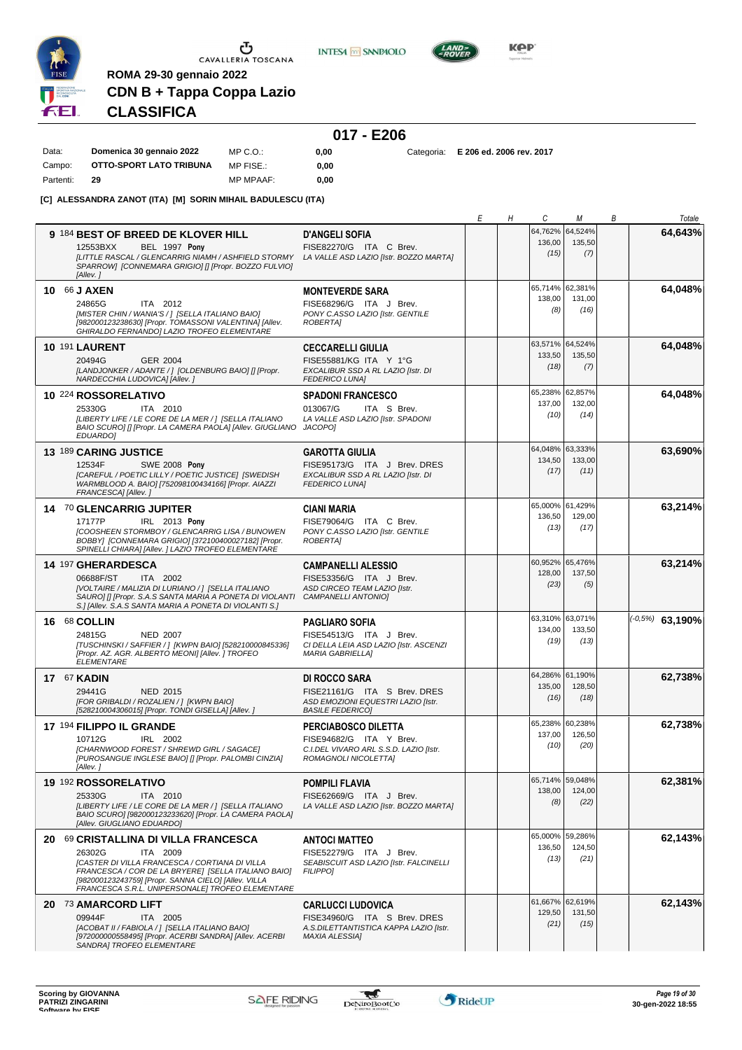

MP FISE.:

**INTESA** M SANPAOLO



**KPP** 

# **CDN B + Tappa Coppa Lazio CLASSIFICA**

**ROMA 29-30 gennaio 2022**

Campo: **OTTO-SPORT LATO TRIBUNA**

|       |                          |              | 017 - E206 |  |
|-------|--------------------------|--------------|------------|--|
| Data: | Domenica 30 gennaio 2022 | $MP C. O.$ : | 0.00       |  |

**0,00**

**0,00** Categoria: **E 206 ed. 2006 rev. 2017**

Partenti: **29** MP MPAAF: **0,00 [C] ALESSANDRA ZANOT (ITA) [M] SORIN MIHAIL BADULESCU (ITA)**

|                                                                                                                    |                                                                        | Е | Н | С               | М       | В | Totale              |
|--------------------------------------------------------------------------------------------------------------------|------------------------------------------------------------------------|---|---|-----------------|---------|---|---------------------|
| 9 184 BEST OF BREED DE KLOVER HILL                                                                                 | <b>D'ANGELI SOFIA</b>                                                  |   |   | 64,762%         | 64,524% |   | 64,643%             |
| BEL 1997 Pony<br>12553BXX                                                                                          | FISE82270/G ITA C Brev.                                                |   |   | 136,00          | 135,50  |   |                     |
| [LITTLE RASCAL / GLENCARRIG NIAMH / ASHFIELD STORMY LA VALLE ASD LAZIO [Istr. BOZZO MARTA]                         |                                                                        |   |   | (15)            | (7)     |   |                     |
| SPARROW] [CONNEMARA GRIGIO] [] [Propr. BOZZO FULVIO]                                                               |                                                                        |   |   |                 |         |   |                     |
| [Allev.]                                                                                                           |                                                                        |   |   |                 |         |   |                     |
| 10 66 J AXEN                                                                                                       | <b>MONTEVERDE SARA</b>                                                 |   |   | 65,714% 62,381% |         |   | 64,048%             |
| 24865G<br>ITA 2012                                                                                                 | FISE68296/G ITA J Brev.                                                |   |   | 138,00          | 131,00  |   |                     |
| [MISTER CHIN / WANIA'S / ] [SELLA ITALIANO BAIO]                                                                   | PONY C.ASSO LAZIO [Istr. GENTILE                                       |   |   | (8)             | (16)    |   |                     |
| [982000123238630] [Propr. TOMASSONI VALENTINA] [Allev.<br>GHIRALDO FERNANDO] LAZIO TROFEO ELEMENTARE               | ROBERTA]                                                               |   |   |                 |         |   |                     |
|                                                                                                                    |                                                                        |   |   | 63,571% 64,524% |         |   | 64,048%             |
| <b>10 191 LAURENT</b>                                                                                              | <b>CECCARELLI GIULIA</b>                                               |   |   | 133,50          | 135,50  |   |                     |
| 20494G<br>GER 2004<br>[LANDJONKER / ADANTE / ] [OLDENBURG BAIO] [] [Propr.                                         | FISE55881/KG ITA Y 1°G                                                 |   |   | (18)            | (7)     |   |                     |
| NARDECCHIA LUDOVICA] [Allev.]                                                                                      | EXCALIBUR SSD A RL LAZIO [Istr. DI<br><b>FEDERICO LUNAI</b>            |   |   |                 |         |   |                     |
| 10 224 ROSSORELATIVO                                                                                               | <b>SPADONI FRANCESCO</b>                                               |   |   | 65,238%         | 62,857% |   | 64.048%             |
|                                                                                                                    |                                                                        |   |   | 137,00          | 132,00  |   |                     |
| 25330G<br>ITA 2010<br>[LIBERTY LIFE / LE CORE DE LA MER / ] [SELLA ITALIANO                                        | 013067/G<br>ITA S Brev.<br>LA VALLE ASD LAZIO [Istr. SPADONI           |   |   | (10)            | (14)    |   |                     |
| BAIO SCURO] [] [Propr. LA CAMERA PAOLA] [Allev. GIUGLIANO                                                          | JACOPO]                                                                |   |   |                 |         |   |                     |
| <b>EDUARDO]</b>                                                                                                    |                                                                        |   |   |                 |         |   |                     |
| 13 189 CARING JUSTICE                                                                                              | <b>GAROTTA GIULIA</b>                                                  |   |   | 64,048% 63,333% |         |   | 63,690%             |
| <b>SWE 2008 Pony</b><br>12534F                                                                                     | FISE95173/G ITA J Brev. DRES                                           |   |   | 134,50          | 133,00  |   |                     |
| [CAREFUL / POETIC LILLY / POETIC JUSTICE] [SWEDISH                                                                 | EXCALIBUR SSD A RL LAZIO [Istr. DI                                     |   |   | (17)            | (11)    |   |                     |
| WARMBLOOD A. BAIO] [752098100434166] [Propr. AIAZZI<br>FRANCESCA] [Allev.]                                         | <b>FEDERICO LUNA]</b>                                                  |   |   |                 |         |   |                     |
|                                                                                                                    |                                                                        |   |   | 65,000% 61,429% |         |   | 63,214%             |
| 14 70 GLENCARRIG JUPITER                                                                                           | <b>CIANI MARIA</b>                                                     |   |   | 136,50          | 129,00  |   |                     |
| IRL 2013 Pony<br>17177P<br>[COOSHEEN STORMBOY / GLENCARRIG LISA / BUNOWEN                                          | FISE79064/G ITA C Brev.<br>PONY C.ASSO LAZIO [Istr. GENTILE            |   |   | (13)            | (17)    |   |                     |
| BOBBY] [CONNEMARA GRIGIO] [372100400027182] [Propr.                                                                | <b>ROBERTAI</b>                                                        |   |   |                 |         |   |                     |
| SPINELLI CHIARA] [Allev. ] LAZIO TROFEO ELEMENTARE                                                                 |                                                                        |   |   |                 |         |   |                     |
| 14 197 GHERARDESCA                                                                                                 | <b>CAMPANELLI ALESSIO</b>                                              |   |   | 60,952% 65,476% |         |   | 63,214%             |
| 06688F/ST<br>ITA 2002                                                                                              | FISE53356/G ITA J Brev.                                                |   |   | 128,00          | 137,50  |   |                     |
| IVOLTAIRE / MALIZIA DI LURIANO / 1 [SELLA ITALIANO                                                                 | ASD CIRCEO TEAM LAZIO [Istr.                                           |   |   | (23)            | (5)     |   |                     |
| SAURO] [] [Propr. S.A.S SANTA MARIA A PONETA DI VIOLANTI<br>S.] [Allev. S.A.S SANTA MARIA A PONETA DI VIOLANTI S.] | CAMPANELLI ANTONIO]                                                    |   |   |                 |         |   |                     |
|                                                                                                                    |                                                                        |   |   | 63,310% 63,071% |         |   |                     |
| 16 68 COLLIN                                                                                                       | <b>PAGLIARO SOFIA</b>                                                  |   |   | 134,00          | 133,50  |   | $(1-0.5\%)$ 63,190% |
| 24815G<br><b>NED 2007</b>                                                                                          | FISE54513/G ITA J Brev.                                                |   |   | (19)            | (13)    |   |                     |
| [TUSCHINSKI / SAFFIER / ] [KWPN BAIO] [528210000845336]<br>[Propr. AZ. AGR. ALBERTO MEONI] [Allev. ] TROFEO        | CI DELLA LEIA ASD LAZIO [Istr. ASCENZI<br><b>MARIA GABRIELLA1</b>      |   |   |                 |         |   |                     |
| <b>ELEMENTARE</b>                                                                                                  |                                                                        |   |   |                 |         |   |                     |
| <b>17 67 KADIN</b>                                                                                                 | DI ROCCO SARA                                                          |   |   | 64,286% 61,190% |         |   | 62,738%             |
| 29441G<br><b>NED 2015</b>                                                                                          | FISE21161/G ITA S Brev. DRES                                           |   |   | 135,00          | 128,50  |   |                     |
| [FOR GRIBALDI / ROZALIEN / 1 [KWPN BAIO]                                                                           | ASD EMOZIONI EQUESTRI LAZIO [Istr.                                     |   |   | (16)            | (18)    |   |                     |
| [528210004306015] [Propr. TONDI GISELLA] [Allev. ]                                                                 | <b>BASILE FEDERICO]</b>                                                |   |   |                 |         |   |                     |
| 17 194 FILIPPO IL GRANDE                                                                                           | PERCIABOSCO DILETTA                                                    |   |   | 65,238% 60,238% |         |   | 62,738%             |
| 10712G<br>IRL 2002                                                                                                 | FISE94682/G ITA Y Brev.                                                |   |   | 137,00          | 126,50  |   |                     |
| [CHARNWOOD FOREST / SHREWD GIRL / SAGACE]                                                                          | C.I.DEL VIVARO ARL S.S.D. LAZIO [Istr.                                 |   |   | (10)            | (20)    |   |                     |
| [PUROSANGUE INGLESE BAIO] [] [Propr. PALOMBI CINZIA]<br>[Allev.]                                                   | ROMAGNOLI NICOLETTA]                                                   |   |   |                 |         |   |                     |
|                                                                                                                    |                                                                        |   |   | 65,714% 59,048% |         |   |                     |
| 19 192 ROSSORELATIVO                                                                                               | <b>POMPILI FLAVIA</b>                                                  |   |   | 138,00          | 124,00  |   | 62,381%             |
| 25330G<br>ITA 2010<br>[LIBERTY LIFE / LE CORE DE LA MER / ] [SELLA ITALIANO                                        | FISE62669/G ITA J Brev.<br>LA VALLE ASD LAZIO [Istr. BOZZO MARTA]      |   |   | (8)             | (22)    |   |                     |
| BAIO SCURO] [982000123233620] [Propr. LA CAMERA PAOLA]                                                             |                                                                        |   |   |                 |         |   |                     |
| [Allev. GIUGLIANO EDUARDO]                                                                                         |                                                                        |   |   |                 |         |   |                     |
| 20 69 CRISTALLINA DI VILLA FRANCESCA                                                                               | <b>ANTOCI MATTEO</b>                                                   |   |   | 65,000% 59,286% |         |   | 62,143%             |
| 26302G<br>ITA 2009                                                                                                 | FISE52279/G ITA J Brev.                                                |   |   | 136,50          | 124,50  |   |                     |
| [CASTER DI VILLA FRANCESCA / CORTIANA DI VILLA                                                                     | SEABISCUIT ASD LAZIO [Istr. FALCINELLI                                 |   |   | (13)            | (21)    |   |                     |
| FRANCESCA / COR DE LA BRYERE] [SELLA ITALIANO BAIO]                                                                | <b>FILIPPO1</b>                                                        |   |   |                 |         |   |                     |
| [982000123243759] [Propr. SANNA CIELO] [Allev. VILLA<br>FRANCESCA S.R.L. UNIPERSONALE] TROFEO ELEMENTARE           |                                                                        |   |   |                 |         |   |                     |
|                                                                                                                    |                                                                        |   |   | 61,667% 62,619% |         |   | 62,143%             |
| 20 73 AMARCORD LIFT                                                                                                | <b>CARLUCCI LUDOVICA</b>                                               |   |   | 129,50          | 131,50  |   |                     |
| 09944F<br>ITA 2005<br>[ACOBAT II / FABIOLA / 1 [SELLA ITALIANO BAIO]                                               | FISE34960/G ITA S Brev. DRES<br>A.S.DILETTANTISTICA KAPPA LAZIO [Istr. |   |   | (21)            | (15)    |   |                     |
| [972000000558495] [Propr. ACERBI SANDRA] [Allev. ACERBI                                                            | <b>MAXIA ALESSIA]</b>                                                  |   |   |                 |         |   |                     |
| SANDRA] TROFEO ELEMENTARE                                                                                          |                                                                        |   |   |                 |         |   |                     |
|                                                                                                                    |                                                                        |   |   |                 |         |   |                     |

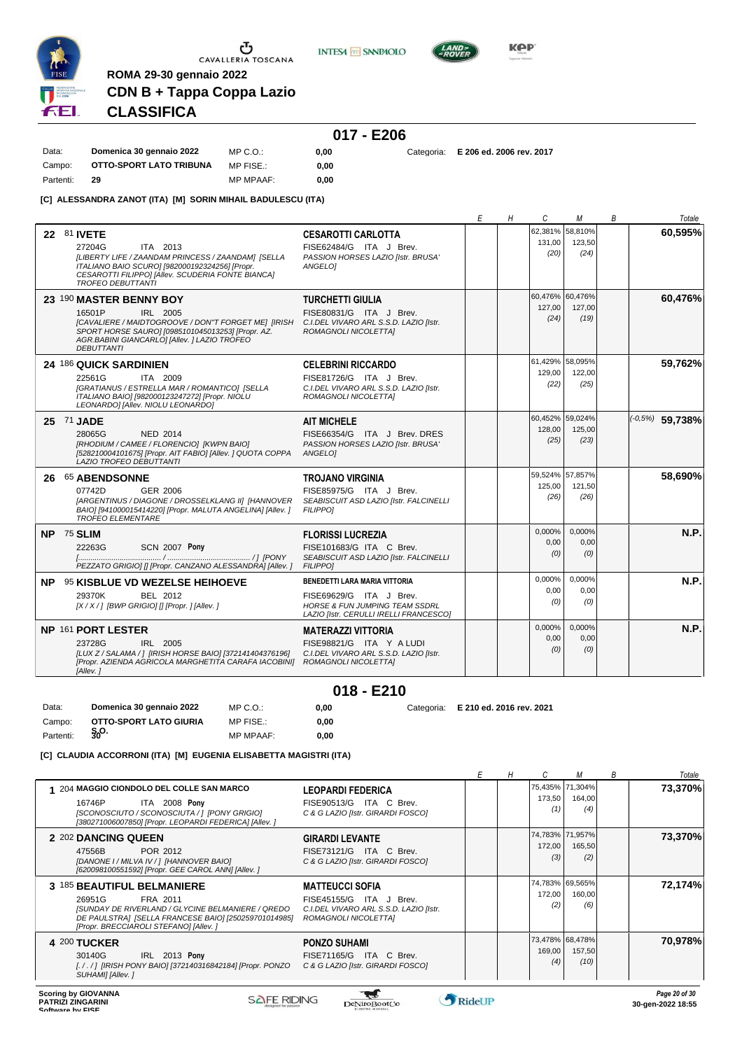

**INTESA** M SANPAOLO



**KPP** 

# **CDN B + Tappa Coppa Lazio CLASSIFICA**

**ROMA 29-30 gennaio 2022**

# **017 - E206**

Data: **Domenica 30 gennaio 2022** Campo: **OTTO-SPORT LATO TRIBUNA** Partenti: **29** MP C.O.: MP FISE.: MP MPAAF: **0,00 0,00**

**0,00** Categoria: **E 206 ed. 2006 rev. 2017**

**[C] ALESSANDRA ZANOT (ITA) [M] SORIN MIHAIL BADULESCU (ITA)**

|                                                                                                                                                                                                                                |                                                                                                                                                 | Е | Η | C                     | М                                 | В | Totale            |
|--------------------------------------------------------------------------------------------------------------------------------------------------------------------------------------------------------------------------------|-------------------------------------------------------------------------------------------------------------------------------------------------|---|---|-----------------------|-----------------------------------|---|-------------------|
| 22 81 IVETE<br>27204G<br>ITA 2013<br>[LIBERTY LIFE / ZAANDAM PRINCESS / ZAANDAM] [SELLA<br>ITALIANO BAIO SCURO] [982000192324256] [Propr.<br>CESAROTTI FILIPPOI [Allev. SCUDERIA FONTE BIANCA]<br><b>TROFEO DEBUTTANTI</b>     | <b>CESAROTTI CARLOTTA</b><br>FISE62484/G ITA J Brev.<br>PASSION HORSES LAZIO [Istr. BRUSA'<br><b>ANGELOI</b>                                    |   |   | 131,00<br>(20)        | 62,381% 58,810%<br>123,50<br>(24) |   | 60.595%           |
| 23 190 MASTER BENNY BOY<br>16501P<br>IRL 2005<br>[CAVALIERE / MAIDTOGROOVE / DON"T FORGET ME] [IRISH<br>SPORT HORSE SAURO] [0985101045013253] [Propr. AZ.<br>AGR.BABINI GIANCARLO] [Allev. ] LAZIO TROFEO<br><b>DEBUTTANTI</b> | <b>TURCHETTI GIULIA</b><br>FISE80831/G ITA J Brev.<br>C.I.DEL VIVARO ARL S.S.D. LAZIO [Istr.<br>ROMAGNOLI NICOLETTA]                            |   |   | 127,00<br>(24)        | 60,476% 60,476%<br>127,00<br>(19) |   | 60,476%           |
| 24 186 QUICK SARDINIEN<br>22561G<br>ITA 2009<br>[GRATIANUS / ESTRELLA MAR / ROMANTICO] [SELLA<br>ITALIANO BAIO] [982000123247272] [Propr. NIOLU<br>LEONARDO] [Allev. NIOLU LEONARDO]                                           | <b>CELEBRINI RICCARDO</b><br>FISE81726/G ITA J Brev.<br>C.I.DEL VIVARO ARL S.S.D. LAZIO Ilstr.<br>ROMAGNOLI NICOLETTA]                          |   |   | 129.00<br>(22)        | 61,429% 58,095%<br>122.00<br>(25) |   | 59,762%           |
| 25 71 JADE<br>28065G<br><b>NED 2014</b><br>[RHODIUM / CAMEE / FLORENCIO] [KWPN BAIO]<br>[528210004101675] [Propr. AIT FABIO] [Allev. ] QUOTA COPPA<br>LAZIO TROFEO DEBUTTANTI                                                  | <b>AIT MICHELE</b><br>FISE66354/G ITA J Brev. DRES<br>PASSION HORSES LAZIO [Istr. BRUSA'<br>ANGELO]                                             |   |   | 128,00<br>(25)        | 60,452% 59,024%<br>125,00<br>(23) |   | $(-0.5%)$ 59,738% |
|                                                                                                                                                                                                                                |                                                                                                                                                 |   |   |                       |                                   |   |                   |
| 26 65 ABENDSONNE<br>07742D<br>GER 2006<br>[ARGENTINUS / DIAGONE / DROSSELKLANG II] [HANNOVER<br>BAIO] [941000015414220] [Propr. MALUTA ANGELINA] [Allev.]<br><b>TROFEO ELEMENTARE</b>                                          | <b>TROJANO VIRGINIA</b><br>FISE85975/G ITA J Brev.<br>SEABISCUIT ASD LAZIO [Istr. FALCINELLI<br><b>FILIPPOI</b>                                 |   |   | 125,00<br>(26)        | 59.524% 57.857%<br>121,50<br>(26) |   | 58,690%           |
| NP 75 SLIM<br><b>SCN 2007 Pony</b><br>22263G<br>PEZZATO GRIGIO] [] [Propr. CANZANO ALESSANDRA] [Allev. ]                                                                                                                       | <b>FLORISSI LUCREZIA</b><br>FISE101683/G ITA C Brev.<br>SEABISCUIT ASD LAZIO [Istr. FALCINELLI<br><b>FILIPPO1</b>                               |   |   | 0,000%<br>0.00<br>(0) | 0,000%<br>0,00<br>(0)             |   | N.P.              |
| NP 95 KISBLUE VD WEZELSE HEIHOEVE<br>29370K<br>BEL 2012<br>[X / X / ] [BWP GRIGIO] [] [Propr. ] [Allev. ]                                                                                                                      | BENEDETTI LARA MARIA VITTORIA<br>FISE69629/G ITA J Brev.<br><b>HORSE &amp; FUN JUMPING TEAM SSDRL</b><br>LAZIO [Istr. CERULLI IRELLI FRANCESCO] |   |   | 0.000%<br>0,00<br>(0) | 0.000%<br>0,00<br>(0)             |   | N.P.              |
| NP 161 PORT LESTER<br>23728G<br>IRL 2005<br>[LUX Z / SALAMA / ] [IRISH HORSE BAIO] [372141404376196]<br>[Propr. AZIENDA AGRICOLA MARGHETITA CARAFA IACOBINI] ROMAGNOLI NICOLETTA]<br>[Allev.]                                  | <b>MATERAZZI VITTORIA</b><br>FISE98821/G ITA Y A LUDI<br>C.I.DEL VIVARO ARL S.S.D. LAZIO [Istr.                                                 |   |   | 0,000%<br>0.00<br>(0) | 0,000%<br>0,00<br>(0)             |   | N.P.              |
|                                                                                                                                                                                                                                | $018 - E210$                                                                                                                                    |   |   |                       |                                   |   |                   |

Campo: **OTTO-SPORT LATO GIURIA**<br>Partenti: \$00. **S.O.** Partenti: **<sup>30</sup>** MP FISE.: MP MPAAF: **0,00 0,00**

**[C] CLAUDIA ACCORRONI (ITA) [M] EUGENIA ELISABETTA MAGISTRI (ITA)**

|                                                                                                                                                                                                                                  |                                                                                           |               | М                                 | B | Totale  |
|----------------------------------------------------------------------------------------------------------------------------------------------------------------------------------------------------------------------------------|-------------------------------------------------------------------------------------------|---------------|-----------------------------------|---|---------|
| 204 MAGGIO CIONDOLO DEL COLLE SAN MARCO<br><b>ITA 2008 Pony</b><br>16746P<br>[SCONOSCIUTO / SCONOSCIUTA / ] [PONY GRIGIO]<br>[380271006007850] [Propr. LEOPARDI FEDERICA] [Allev. ]                                              | <b>LEOPARDI FEDERICA</b><br>FISE90513/G ITA C Brev.<br>C & G LAZIO [Istr. GIRARDI FOSCO]  | 173,50<br>(1) | 75,435% 71,304%<br>164,00<br>(4)  |   | 73,370% |
| 2 202 DANCING QUEEN<br><b>GIRARDI LEVANTE</b><br>POR 2012<br>47556B<br>[DANONE I / MILVA IV / ] [HANNOVER BAIO]<br>[620098100551592] [Propr. GEE CAROL ANN] [Allev. ]                                                            | FISE73121/G ITA C Brev.<br>C & G LAZIO [Istr. GIRARDI FOSCO]                              | 172,00<br>(3) | 74,783% 71,957%<br>165,50<br>(2)  |   | 73,370% |
| 3 185 BEAUTIFUL BELMANIERE<br><b>MATTEUCCI SOFIA</b><br>26951G<br>FRA 2011<br>[SUNDAY DE RIVERLAND / GLYCINE BELMANIERE / QREDO<br>DE PAULSTRAI [SELLA FRANCESE BAIO] [250259701014985]<br>[Propr. BRECCIAROLI STEFANO] [Allev.] | FISE45155/G ITA J Brev.<br>C.I.DEL VIVARO ARL S.S.D. LAZIO [Istr.<br>ROMAGNOLI NICOLETTA] | 172,00<br>(2) | 74,783% 69,565%<br>160,00<br>(6)  |   | 72,174% |
| 4 200 TUCKER<br><b>PONZO SUHAMI</b><br><b>IRL 2013 Pony</b><br>30140G<br>[. / . / ] [IRISH PONY BAIO] [372140316842184] [Propr. PONZO<br>SUHAMI] [Allev. ]                                                                       | FISE71165/G ITA C Brev.<br>C & G LAZIO [Istr. GIRARDI FOSCO]                              | 169,00<br>(4) | 73,478% 68,478%<br>157,50<br>(10) |   | 70.978% |
|                                                                                                                                                                                                                                  | $\sim$                                                                                    |               |                                   |   |         |

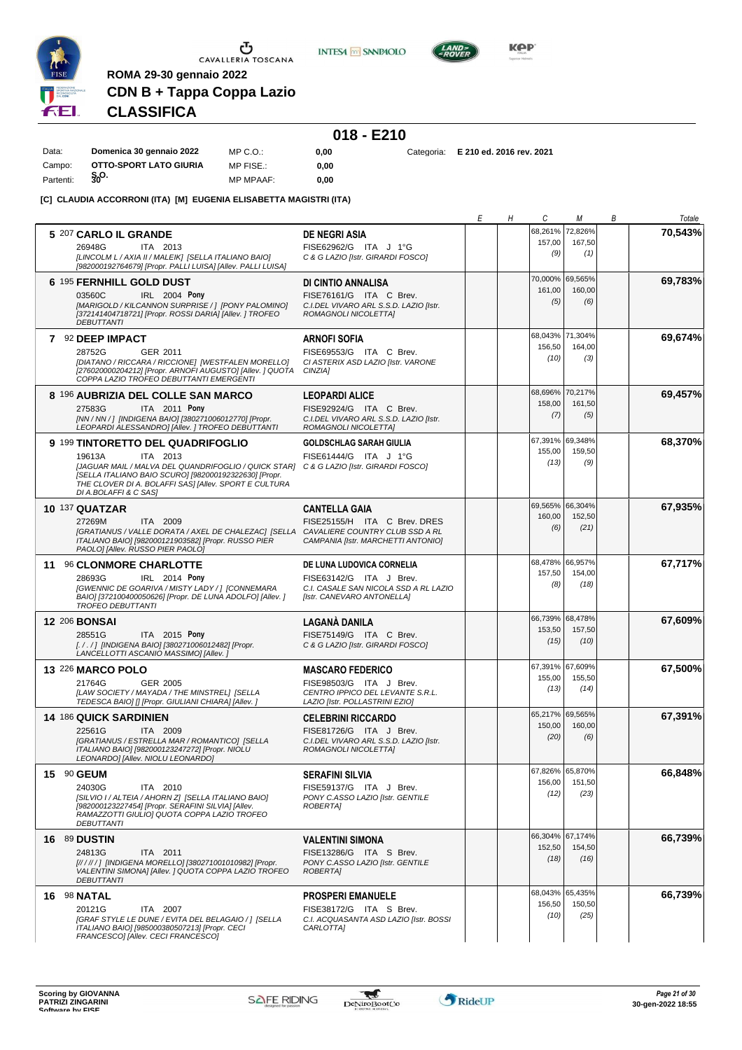

**INTESA** M SANPAOLO



**CDN B + Tappa Coppa Lazio CLASSIFICA**

**ROMA 29-30 gennaio 2022**

# **018 - E210**

| Data:     | Domenica 30 gennaio 2022 | MP C.O.:         | 0.00 | Categoria: E 210 ed. 2016 rev. 2021 |
|-----------|--------------------------|------------------|------|-------------------------------------|
| Campo:    | OTTO-SPORT LATO GIURIA   | MP FISE.:        | 0.00 |                                     |
| Partenti: | $\mathbf{S}_0$ O.        | <b>MP MPAAF:</b> | 0.00 |                                     |

**[C] CLAUDIA ACCORRONI (ITA) [M] EUGENIA ELISABETTA MAGISTRI (ITA)**

|                                                                                                                                                                                                                                   |                                                                                                | Е | Η | C                         | М                         | В | Totale  |
|-----------------------------------------------------------------------------------------------------------------------------------------------------------------------------------------------------------------------------------|------------------------------------------------------------------------------------------------|---|---|---------------------------|---------------------------|---|---------|
| 5 207 CARLO IL GRANDE<br>26948G<br>ITA 2013                                                                                                                                                                                       | <b>DE NEGRI ASIA</b><br>FISE62962/G ITA J 1°G                                                  |   |   | 68,261%<br>157,00         | 72,826%<br>167,50         |   | 70,543% |
| [LINCOLM L / AXIA II / MALEIK] [SELLA ITALIANO BAIO]<br>[982000192764679] [Propr. PALLI LUISA] [Allev. PALLI LUISA]                                                                                                               | C & G LAZIO [Istr. GIRARDI FOSCO]                                                              |   |   | (9)                       | (1)                       |   |         |
| 6 195 FERNHILL GOLD DUST                                                                                                                                                                                                          | DI CINTIO ANNALISA                                                                             |   |   | 70.000%<br>161,00         | 69,565%<br>160,00         |   | 69,783% |
| IRL 2004 Pony<br>03560C<br>[MARIGOLD / KILCANNON SURPRISE / ] [PONY PALOMINO]<br>[372141404718721] [Propr. ROSSI DARIA] [Allev. ] TROFEO<br><b>DEBUTTANTI</b>                                                                     | FISE76161/G ITA C Brev.<br>C.I.DEL VIVARO ARL S.S.D. LAZIO [Istr.<br>ROMAGNOLI NICOLETTA]      |   |   | (5)                       | (6)                       |   |         |
| 7 92 DEEP IMPACT                                                                                                                                                                                                                  | <b>ARNOFI SOFIA</b>                                                                            |   |   | 68,043%<br>156,50         | 71,304%<br>164,00         |   | 69,674% |
| 28752G<br>GER 2011<br>[DIATANO / RICCARA / RICCIONE] [WESTFALEN MORELLO]<br>[276020000204212] [Propr. ARNOFI AUGUSTO] [Allev. ] QUOTA<br>COPPA LAZIO TROFEO DEBUTTANTI EMERGENTI                                                  | FISE69553/G ITA C Brev.<br>CI ASTERIX ASD LAZIO [Istr. VARONE<br>CINZIA]                       |   |   | (10)                      | (3)                       |   |         |
| 8 <sup>196</sup> AUBRIZIA DEL COLLE SAN MARCO                                                                                                                                                                                     | <b>LEOPARDI ALICE</b>                                                                          |   |   | 68,696%<br>158,00         | 70,217%<br>161,50         |   | 69,457% |
| ITA 2011 Pony<br>27583G<br>[NN / NN / ] [INDIGENA BAIO] [380271006012770] [Propr.<br>LEOPARDI ALESSANDRO] [Allev. ] TROFEO DEBUTTANTI                                                                                             | FISE92924/G ITA C Brev.<br>C.I.DEL VIVARO ARL S.S.D. LAZIO [Istr.<br>ROMAGNOLI NICOLETTA]      |   |   | (7)                       | (5)                       |   |         |
| 9 199 TINTORETTO DEL QUADRIFOGLIO<br>ITA 2013<br>19613A                                                                                                                                                                           | <b>GOLDSCHLAG SARAH GIULIA</b><br>FISE61444/G ITA J 1°G                                        |   |   | 67,391% 69,348%<br>155,00 | 159,50                    |   | 68,370% |
| [JAGUAR MAIL / MALVA DEL QUANDRIFOGLIO / QUICK STAR] C & G LAZIO [Istr. GIRARDI FOSCO]<br>[SELLA ITALIANO BAIO SCURO] [982000192322630] [Propr.<br>THE CLOVER DI A. BOLAFFI SASI [Allev. SPORT E CULTURA<br>DI A.BOLAFFI & C SASI |                                                                                                |   |   | (13)                      | (9)                       |   |         |
| <b>10 137 QUATZAR</b>                                                                                                                                                                                                             | <b>CANTELLA GAIA</b>                                                                           |   |   | 69,565%<br>160,00         | 66.304%<br>152,50         |   | 67,935% |
| 27269M<br>ITA 2009<br>[GRATIANUS / VALLE DORATA / AXEL DE CHALEZAC] [SELLA CAVALIERE COUNTRY CLUB SSD A RL<br>ITALIANO BAIO] [982000121903582] [Propr. RUSSO PIER<br>PAOLO  [Allev. RUSSO PIER PAOLO]                             | FISE25155/H ITA C Brev. DRES<br>CAMPANIA [Istr. MARCHETTI ANTONIO]                             |   |   | (6)                       | (21)                      |   |         |
| 11 96 CLONMORE CHARLOTTE                                                                                                                                                                                                          | DE LUNA LUDOVICA CORNELIA                                                                      |   |   | 68,478% 66,957%<br>157,50 | 154,00                    |   | 67,717% |
| 28693G<br>IRL 2014 Pony<br>[GWENNIC DE GOARIVA / MISTY LADY / ] [CONNEMARA<br>BAIO] [372100400050626] [Propr. DE LUNA ADOLFO] [Allev. ]<br><b>TROFEO DEBUTTANTI</b>                                                               | FISE63142/G ITA J Brev.<br>C.I. CASALE SAN NICOLA SSD A RL LAZIO<br>[Istr. CANEVARO ANTONELLA] |   |   | (8)                       | (18)                      |   |         |
| <b>12 206 BONSAI</b>                                                                                                                                                                                                              | <b>LAGANÀ DANILA</b>                                                                           |   |   | 66,739%<br>153,50         | 68,478%<br>157,50         |   | 67,609% |
| 28551G<br>ITA 2015 Pony<br>[. / . / ] [INDIGENA BAIO] [380271006012482] [Propr.<br>LANCELLOTTI ASCANIO MASSIMO] [Allev.]                                                                                                          | FISE75149/G ITA C Brev.<br>C & G LAZIO [Istr. GIRARDI FOSCO]                                   |   |   | (15)                      | (10)                      |   |         |
| <b>13 226 MARCO POLO</b><br>21764G<br>GER 2005                                                                                                                                                                                    | <b>MASCARO FEDERICO</b><br>FISE98503/G ITA J Brev.                                             |   |   | 67,391% 67,609%<br>155,00 | 155,50                    |   | 67,500% |
| [LAW SOCIETY / MAYADA / THE MINSTREL] [SELLA<br>TEDESCA BAIO] [] [Propr. GIULIANI CHIARA] [Allev. ]                                                                                                                               | CENTRO IPPICO DEL LEVANTE S.R.L.<br>LAZIO [Istr. POLLASTRINI EZIO]                             |   |   | (13)                      | (14)                      |   |         |
| <b>14 186 QUICK SARDINIEN</b>                                                                                                                                                                                                     | <b>CELEBRINI RICCARDO</b>                                                                      |   |   | 65,217%<br>150,00         | 69,565%<br>160,00         |   | 67,391% |
| ITA 2009<br>22561G<br>[GRATIANUS / ESTRELLA MAR / ROMANTICO] [SELLA<br>ITALIANO BAIO] [982000123247272] [Propr. NIOLU<br>LEONARDO] [Allev. NIOLU LEONARDO]                                                                        | FISE81726/G ITA J Brev.<br>C.I.DEL VIVARO ARL S.S.D. LAZIO [Istr.<br>ROMAGNOLI NICOLETTA]      |   |   | (20)                      | (6)                       |   |         |
| 15 90 GEUM                                                                                                                                                                                                                        | <b>SERAFINI SILVIA</b>                                                                         |   |   | 67,826% 65,870%<br>156,00 | 151,50                    |   | 66,848% |
| 24030G<br>ITA 2010<br>[SILVIO I / ALTEIA / AHORN Z] [SELLA ITALIANO BAIO]<br>[982000123227454] [Propr. SERAFINI SILVIA] [Allev.<br>RAMAZZOTTI GIULIO] QUOTA COPPA LAZIO TROFEO<br><b>DEBUTTANTI</b>                               | FISE59137/G ITA J Brev.<br>PONY C.ASSO LAZIO [Istr. GENTILE<br><b>ROBERTAI</b>                 |   |   | (12)                      | (23)                      |   |         |
| 16 89 DUSTIN                                                                                                                                                                                                                      | <b>VALENTINI SIMONA</b>                                                                        |   |   | 152,50                    | 66,304% 67,174%<br>154,50 |   | 66,739% |
| 24813G<br>ITA 2011<br>[//////] [INDIGENA MORELLO] [380271001010982] [Propr.<br>VALENTINI SIMONA] [Allev. ] QUOTA COPPA LAZIO TROFEO<br><b>DEBUTTANTI</b>                                                                          | FISE13286/G ITA S Brev.<br>PONY C.ASSO LAZIO [Istr. GENTILE<br><b>ROBERTAI</b>                 |   |   | (18)                      | (16)                      |   |         |
| <b>16 98 NATAL</b>                                                                                                                                                                                                                | <b>PROSPERI EMANUELE</b>                                                                       |   |   | 68,043% 65,435%<br>156,50 | 150,50                    |   | 66,739% |
| 20121G<br>ITA 2007<br>[GRAF STYLE LE DUNE / EVITA DEL BELAGAIO / ] [SELLA<br>ITALIANO BAIO] [985000380507213] [Propr. CECI<br>FRANCESCO] [Allev. CECI FRANCESCO]                                                                  | FISE38172/G ITA S Brev.<br>C.I. ACQUASANTA ASD LAZIO [Istr. BOSSI<br>CARLOTTA]                 |   |   | (10)                      | (25)                      |   |         |

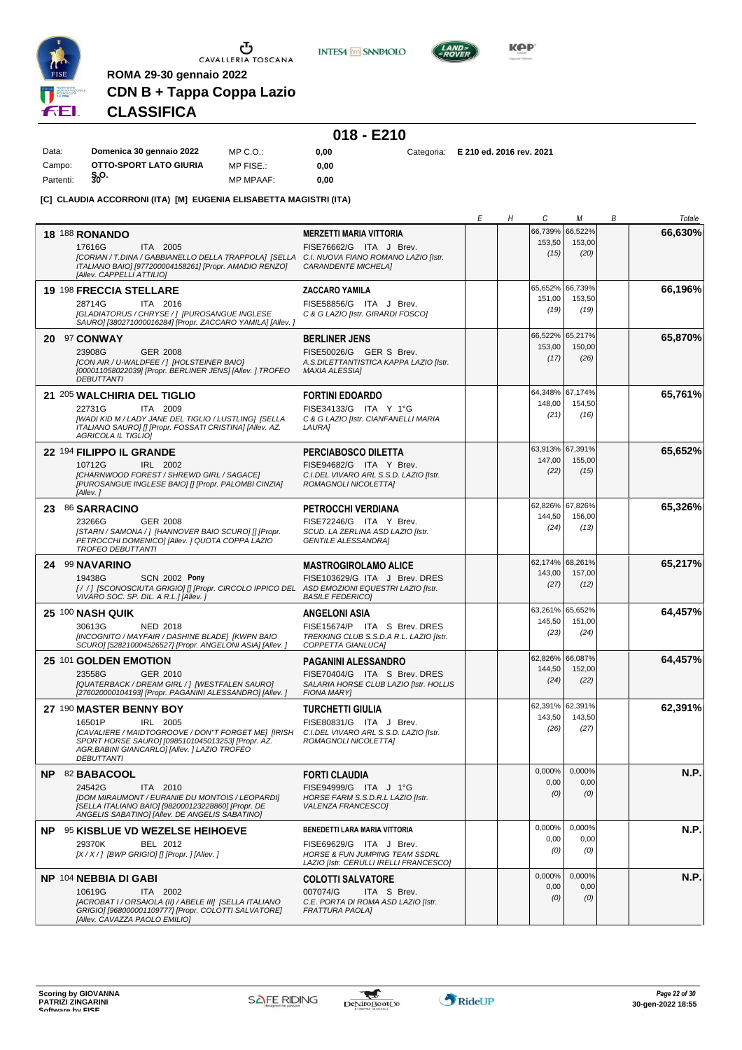

**S.O.** Partenti: **<sup>30</sup>**

 $\begin{array}{c}\n\bullet \\
\bullet \\
\bullet \\
\bullet\n\end{array}$  CAVALLERIA TOSCANA

**INTESA** M SANPAOLO



**KPP** 

# **CLASSIFICA**

**ROMA 29-30 gennaio 2022**

|           |                          |                  | $018 - E210$ |        |  |
|-----------|--------------------------|------------------|--------------|--------|--|
| Data:     | Domenica 30 gennaio 2022 | $MP C. Q$ .      | 0.00         | Catego |  |
| Campo:    | OTTO-SPORT LATO GIURIA   | MP FISE.:        | 0.00         |        |  |
| Partenti: | §ი <sup>0.</sup>         | <b>MP MPAAF:</b> | 0.00         |        |  |

MP MPAAF: **0,00**

**0,00** Categoria: **E 210 ed. 2016 rev. 2021**

**[C] CLAUDIA ACCORRONI (ITA) [M] EUGENIA ELISABETTA MAGISTRI (ITA)**

**CDN B + Tappa Coppa Lazio**

|                                                                                                                                                                                                                                   |                                                                                                                                                 | Е | Η | C                                 | М                         | В | Totale  |
|-----------------------------------------------------------------------------------------------------------------------------------------------------------------------------------------------------------------------------------|-------------------------------------------------------------------------------------------------------------------------------------------------|---|---|-----------------------------------|---------------------------|---|---------|
| <b>18 188 RONANDO</b><br>17616G<br>ITA 2005<br>ICORIAN / T. DINA / GABBIANELLO DELLA TRAPPOLAI ISELLA C.I. NUOVA FIANO ROMANO LAZIO Ilstr.<br>ITALIANO BAIO] [977200004158261] [Propr. AMADIO RENZO]<br>[Allev. CAPPELLI ATTILIO] | <b>MERZETTI MARIA VITTORIA</b><br>FISE76662/G ITA J Brev.<br><b>CARANDENTE MICHELA]</b>                                                         |   |   | 66,739%<br>153,50<br>(15)         | 66,522%<br>153,00<br>(20) |   | 66,630% |
| <b>19 198 FRECCIA STELLARE</b><br>28714G<br>ITA 2016<br>[GLADIATORUS / CHRYSE / ] [PUROSANGUE INGLESE<br>SAURO] [380271000016284] [Propr. ZACCARO YAMILA] [Allev. ]                                                               | <b>ZACCARO YAMILA</b><br>FISE58856/G ITA J Brev.<br>C & G LAZIO [Istr. GIRARDI FOSCO]                                                           |   |   | 65,652%<br>151,00<br>(19)         | 66,739%<br>153,50<br>(19) |   | 66,196% |
| 20 97 CONWAY<br>23908G<br><b>GER 2008</b><br>[CON AIR / U-WALDFEE / 1 [HOLSTEINER BAIO]<br>[000011058022039] [Propr. BERLINER JENS] [Allev. ] TROFEO<br><b>DEBUTTANTI</b>                                                         | <b>BERLINER JENS</b><br>FISE50026/G GER S Brev.<br>A.S.DILETTANTISTICA KAPPA LAZIO [Istr.<br><b>MAXIA ALESSIA]</b>                              |   |   | 66,522%<br>153,00<br>(17)         | 65,217%<br>150,00<br>(26) |   | 65,870% |
| 21 205 WALCHIRIA DEL TIGLIO<br>22731G<br>ITA 2009<br>[WADI KID M / LADY JANE DEL TIGLIO / LUSTLING] [SELLA<br>ITALIANO SAURO] [] [Propr. FOSSATI CRISTINA] [Allev. AZ.<br><b>AGRICOLA IL TIGLIO]</b>                              | <b>FORTINI EDOARDO</b><br>FISE34133/G ITA Y 1°G<br>C & G LAZIO [Istr. CIANFANELLI MARIA<br>LAURA]                                               |   |   | 64,348%<br>148,00<br>(21)         | 67,174%<br>154,50<br>(16) |   | 65,761% |
| 22 <sup>194</sup> FILIPPO IL GRANDE<br>IRL 2002<br>10712G<br>[CHARNWOOD FOREST / SHREWD GIRL / SAGACE]<br>[PUROSANGUE INGLESE BAIO] [] [Propr. PALOMBI CINZIA]<br>[Allev. 1                                                       | PERCIABOSCO DILETTA<br>FISE94682/G ITA Y Brev.<br>C.I.DEL VIVARO ARL S.S.D. LAZIO [Istr.<br>ROMAGNOLI NICOLETTA]                                |   |   | 63,913% 67,391%<br>147,00<br>(22) | 155,00<br>(15)            |   | 65,652% |
| 23 86 SARRACINO<br>GER 2008<br>23266G<br>[STARN / SAMONA / ] [HANNOVER BAIO SCURO] [] [Propr.<br>PETROCCHI DOMENICO] [Allev. ] QUOTA COPPA LAZIO<br><b>TROFEO DEBUTTANTI</b>                                                      | <b>PETROCCHI VERDIANA</b><br>FISE72246/G ITA Y Brev.<br>SCUD. LA ZERLINA ASD LAZIO [Istr.<br><b>GENTILE ALESSANDRA]</b>                         |   |   | 62,826%<br>144,50<br>(24)         | 67,826%<br>156,00<br>(13) |   | 65,326% |
| 24 99 NAVARINO<br>19438G<br><b>SCN 2002 Pony</b><br>[//] [SCONOSCIUTA GRIGIO] [] [Propr. CIRCOLO IPPICO DEL ASD EMOZIONI EQUESTRI LAZIO [Istr.<br>VIVARO SOC. SP. DIL. A R.L.] [Allev.]                                           | <b>MASTROGIROLAMO ALICE</b><br>FISE103629/G ITA J Brev. DRES<br><b>BASILE FEDERICO]</b>                                                         |   |   | 62,174% 68,261%<br>143,00<br>(27) | 157,00<br>(12)            |   | 65,217% |
| <b>25 100 NASH QUIK</b><br>30613G<br>NED 2018<br>[INCOGNITO / MAYFAIR / DASHINE BLADE] [KWPN BAIO<br>SCURO] [528210004526527] [Propr. ANGELONI ASIA] [Allev.]                                                                     | <b>ANGELONI ASIA</b><br>FISE15674/P ITA S Brev. DRES<br>TREKKING CLUB S.S.D.A R.L. LAZIO [Istr.<br>COPPETTA GIANLUCA]                           |   |   | 63,261%<br>145,50<br>(23)         | 65,652%<br>151,00<br>(24) |   | 64,457% |
| 25 101 GOLDEN EMOTION<br>23558G<br>GER 2010<br>[QUATERBACK / DREAM GIRL / ] [WESTFALEN SAURO]<br>[276020000104193] [Propr. PAGANINI ALESSANDRO] [Allev.]                                                                          | <b>PAGANINI ALESSANDRO</b><br>FISE70404/G ITA S Brev. DRES<br>SALARIA HORSE CLUB LAZIO [Istr. HOLLIS<br><b>FIONA MARY]</b>                      |   |   | 62,826%<br>144,50<br>(24)         | 66,087%<br>152,00<br>(22) |   | 64,457% |
| 27 190 MASTER BENNY BOY<br>16501P<br>IRL 2005<br>[CAVALIERE / MAIDTOGROOVE / DON"T FORGET ME] [IRISH<br>SPORT HORSE SAURO] [0985101045013253] [Propr. AZ.<br>AGR.BABINI GIANCARLO] [Allev. ] LAZIO TROFEO<br><b>DEBUTTANTI</b>    | <b>TURCHETTI GIULIA</b><br>FISE80831/G ITA J Brev.<br>C.I.DEL VIVARO ARL S.S.D. LAZIO [Istr.<br>ROMAGNOLI NICOLETTA]                            |   |   | 62,391%<br>143,50<br>(26)         | 62,391%<br>143,50<br>(27) |   | 62,391% |
| NP 82 BABACOOL<br>24542G<br>ITA 2010<br>[DOM MIRAUMONT / EURANIE DU MONTOIS / LEOPARDI]<br>[SELLA ITALIANO BAIO] [982000123228860] [Propr. DE<br>ANGELIS SABATINO] [Allev. DE ANGELIS SABATINO]                                   | <b>FORTI CLAUDIA</b><br>FISE94999/G ITA J 1°G<br>HORSE FARM S.S.D.R.L LAZIO [Istr.<br>VALENZA FRANCESCO]                                        |   |   | 0,000%<br>0,00<br>(0)             | 0,000%<br>0,00<br>(0)     |   | N.P.    |
| <b>NP 95 KISBLUE VD WEZELSE HEIHOEVE</b><br>29370K<br>BEL 2012<br>$[X/X/$ ] [BWP GRIGIO] [] [Propr. ] [Allev. ]                                                                                                                   | BENEDETTI LARA MARIA VITTORIA<br>FISE69629/G ITA J Brev.<br><b>HORSE &amp; FUN JUMPING TEAM SSDRL</b><br>LAZIO [Istr. CERULLI IRELLI FRANCESCO] |   |   | 0,000%<br>0,00<br>(0)             | 0,000%<br>0,00<br>(0)     |   | N.P.    |
| NP 104 NEBBIA DI GABI<br>10619G<br>ITA 2002<br>[ACROBAT I / ORSAIOLA (II) / ABELE III] [SELLA ITALIANO<br>GRIGIO] [968000001109777] [Propr. COLOTTI SALVATORE]<br>[Allev. CAVAZZA PAOLO EMILIO]                                   | <b>COLOTTI SALVATORE</b><br>007074/G<br>ITA S Brev.<br>C.E. PORTA DI ROMA ASD LAZIO [Istr.<br><b>FRATTURA PAOLA]</b>                            |   |   | 0,000%<br>0,00<br>(0)             | 0,000%<br>0,00<br>(0)     |   | N.P.    |

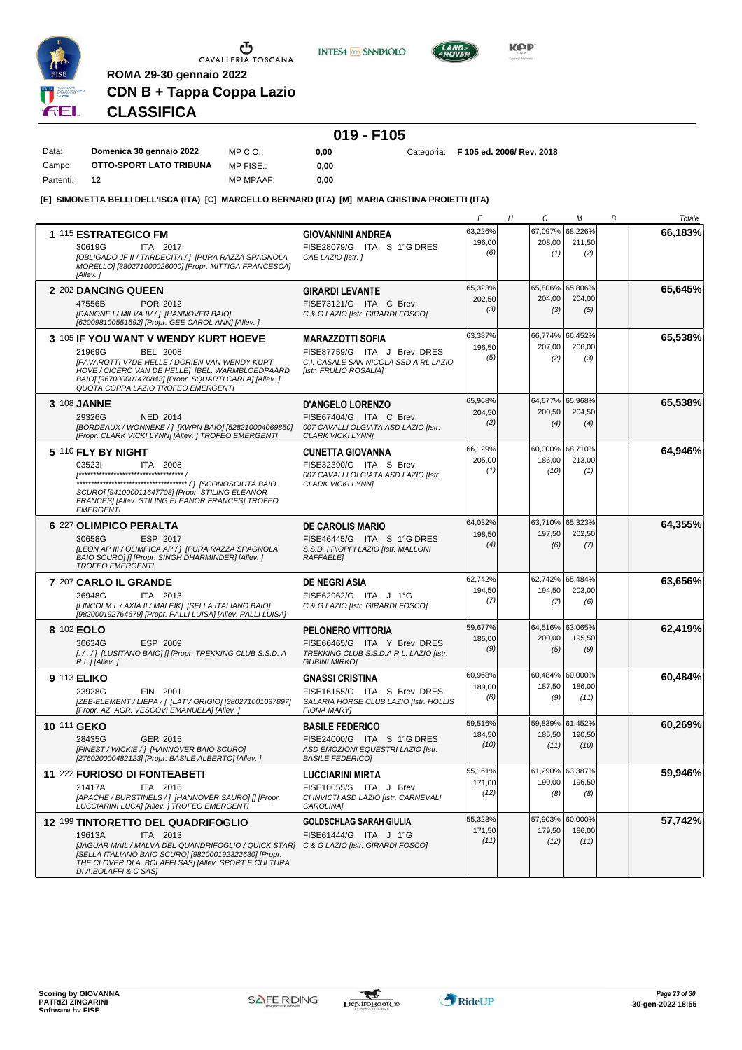

Data: Campo: Partenti: **12**  $\begin{array}{c}\n\bullet \\
\bullet \\
\bullet \\
\bullet\n\end{array}$  CAVALLERIA TOSCANA

**INTESA** M SANPAOLO



**KPP** 

# **CLASSIFICA**

**ROMA 29-30 gennaio 2022**

**CDN B + Tappa Coppa Lazio**

| Domenica 30 gennaio 2022 | MP C.O.:  | 0.00 |  | Categoria: F 105 ed. 2006/ Rev. 2018 |
|--------------------------|-----------|------|--|--------------------------------------|
| OTTO-SPORT LATO TRIBUNA  | MP FISE.: | 0.00 |  |                                      |

MP MPAAF: **0,00**

**[E] SIMONETTA BELLI DELL'ISCA (ITA) [C] MARCELLO BERNARD (ITA) [M] MARIA CRISTINA PROIETTI (ITA)**

|                                                                                                                                                                                                                                                                                               |                                                                                                                             | Е                         | C<br>Η                    | М                                 | В | Totale  |
|-----------------------------------------------------------------------------------------------------------------------------------------------------------------------------------------------------------------------------------------------------------------------------------------------|-----------------------------------------------------------------------------------------------------------------------------|---------------------------|---------------------------|-----------------------------------|---|---------|
| 1 115 ESTRATEGICO FM<br>30619G<br>ITA 2017<br>[OBLIGADO JF II / TARDECITA / ] [PURA RAZZA SPAGNOLA<br>MORELLO] [380271000026000] [Propr. MITTIGA FRANCESCA]<br>[Allev.]                                                                                                                       | <b>GIOVANNINI ANDREA</b><br>FISE28079/G ITA S 1°G DRES<br>CAE LAZIO [Istr.]                                                 | 63,226%<br>196,00<br>(6)  | 67,097%<br>208,00<br>(1)  | 68,226%<br>211,50<br>(2)          |   | 66,183% |
| 2 202 DANCING QUEEN<br>47556B<br>POR 2012<br>[DANONE I / MILVA IV / ] [HANNOVER BAIO]<br>[620098100551592] [Propr. GEE CAROL ANN] [Allev. ]                                                                                                                                                   | <b>GIRARDI LEVANTE</b><br>FISE73121/G ITA C Brev.<br>C & G LAZIO [Istr. GIRARDI FOSCO]                                      | 65,323%<br>202,50<br>(3)  | 65,806%<br>204,00<br>(3)  | 65,806%<br>204,00<br>(5)          |   | 65.645% |
| 3 105 IF YOU WANT V WENDY KURT HOEVE<br>21969G<br><b>BEL 2008</b><br>[PAVAROTTI V7DE HELLE / DORIEN VAN WENDY KURT<br>HOVE / CICERO VAN DE HELLE] [BEL. WARMBLOEDPAARD<br>BAIO] [967000001470843] [Propr. SQUARTI CARLA] [Allev.]<br>QUOTA COPPA LAZIO TROFEO EMERGENTI                       | <b>MARAZZOTTI SOFIA</b><br>FISE87759/G ITA J Brev. DRES<br>C.I. CASALE SAN NICOLA SSD A RL LAZIO<br>[Istr. FRULIO ROSALIA]  | 63,387%<br>196,50<br>(5)  | 66,774%<br>207,00<br>(2)  | 66,452%<br>206,00<br>(3)          |   | 65,538% |
| 3 108 JANNE<br>29326G<br>NED 2014<br>[BORDEAUX / WONNEKE / ] [KWPN BAIO] [528210004069850]<br>[Propr. CLARK VICKI LYNN] [Allev. ] TROFEO EMERGENTI                                                                                                                                            | <b>D'ANGELO LORENZO</b><br>FISE67404/G ITA C Brev.<br>007 CAVALLI OLGIATA ASD LAZIO [Istr.<br><b>CLARK VICKI LYNNI</b>      | 65,968%<br>204,50<br>(2)  | 64,677%<br>200,50<br>(4)  | 65,968%<br>204,50<br>(4)          |   | 65,538% |
| 5 110 FLY BY NIGHT<br>035231<br>ITA 2008<br>SCURO] [941000011647708] [Propr. STILING ELEANOR<br>FRANCES] [Allev. STILING ELEANOR FRANCES] TROFEO<br><b>EMERGENTI</b>                                                                                                                          | <b>CUNETTA GIOVANNA</b><br>FISE32390/G ITA S Brev.<br>007 CAVALLI OLGIATA ASD LAZIO [Istr.<br><b>CLARK VICKI LYNNI</b>      | 66,129%<br>205,00<br>(1)  | 186,00<br>(10)            | 60,000% 68,710%<br>213,00<br>(1)  |   | 64,946% |
| 6 227 OLIMPICO PERALTA<br>ESP 2017<br>30658G<br>[LEON AP III / OLIMPICA AP / ] [PURA RAZZA SPAGNOLA<br>BAIO SCUROI [] [Propr. SINGH DHARMINDER] [Allev. ]<br><b>TROFEO EMERGENTI</b>                                                                                                          | <b>DE CAROLIS MARIO</b><br>FISE46445/G ITA S 1°G DRES<br>S.S.D. I PIOPPI LAZIO [Istr. MALLONI<br><b>RAFFAELE</b>            | 64,032%<br>198,50<br>(4)  | 63,710%<br>197,50<br>(6)  | 65,323%<br>202,50<br>(7)          |   | 64,355% |
| 7 207 CARLO IL GRANDE<br>ITA 2013<br>26948G<br>[LINCOLM L / AXIA II / MALEIK] [SELLA ITALIANO BAIO]<br>[982000192764679] [Propr. PALLI LUISA] [Allev. PALLI LUISA]                                                                                                                            | <b>DE NEGRI ASIA</b><br>FISE62962/G ITA J 1°G<br>C & G LAZIO [Istr. GIRARDI FOSCO]                                          | 62,742%<br>194,50<br>(7)  | 62,742%<br>194,50<br>(7)  | 65,484%<br>203,00<br>(6)          |   | 63,656% |
| 8 102 EOLO<br>ESP 2009<br>30634G<br>[././] [LUSITANO BAIO] [] [Propr. TREKKING CLUB S.S.D. A<br>$R.L.$ ] [Allev.]                                                                                                                                                                             | <b>PELONERO VITTORIA</b><br>FISE66465/G ITA Y Brev. DRES<br>TREKKING CLUB S.S.D.A R.L. LAZIO [Istr.<br><b>GUBINI MIRKO]</b> | 59,677%<br>185,00<br>(9)  | 64,516%<br>200,00<br>(5)  | 63,065%<br>195,50<br>(9)          |   | 62,419% |
| 9 113 ELIKO<br>23928G<br>FIN 2001<br>[ZEB-ELEMENT / LIEPA / ] [LATV GRIGIO] [380271001037897]<br>[Propr. AZ. AGR. VESCOVI EMANUELA] [Allev.]                                                                                                                                                  | <b>GNASSI CRISTINA</b><br>FISE16155/G ITA S Brev. DRES<br>SALARIA HORSE CLUB LAZIO [Istr. HOLLIS<br><b>FIONA MARY]</b>      | 60,968%<br>189,00<br>(8)  | 60,484%<br>187,50<br>(9)  | 60,000%<br>186,00<br>(11)         |   | 60,484% |
| 10 111 GEKO<br>28435G<br>GER 2015<br>[FINEST / WICKIE / ] [HANNOVER BAIO SCURO]<br>[276020000482123] [Propr. BASILE ALBERTO] [Allev.]                                                                                                                                                         | <b>BASILE FEDERICO</b><br>FISE24000/G ITA S 1°G DRES<br>ASD EMOZIONI EQUESTRI LAZIO [Istr.<br><b>BASILE FEDERICO1</b>       | 59,516%<br>184,50<br>(10) | 59,839%<br>185,50<br>(11) | 61,452%<br>190,50<br>(10)         |   | 60.269% |
| 11 222 FURIOSO DI FONTEABETI<br>21417A<br>ITA 2016<br>[APACHE / BURSTINELS / ] [HANNOVER SAURO] [] [Propr.<br>LUCCIARINI LUCAI [Allev. ] TROFEO EMERGENTI                                                                                                                                     | <b>LUCCIARINI MIRTA</b><br>FISE10055/S ITA J Brev.<br>CI INVICTI ASD LAZIO [Istr. CARNEVALI<br>CAROLINA]                    | 55.161%<br>171,00<br>(12) | 190,00<br>(8)             | 61,290% 63,387%<br>196,50<br>(8)  |   | 59,946% |
| 12 199 TINTORETTO DEL QUADRIFOGLIO<br>19613A<br>ITA 2013<br>[JAGUAR MAIL / MALVA DEL QUANDRIFOGLIO / QUICK STAR] C & G LAZIO [Istr. GIRARDI FOSCO]<br>[SELLA ITALIANO BAIO SCURO] [982000192322630] [Propr.<br>THE CLOVER DI A. BOLAFFI SAS] [Allev. SPORT E CULTURA<br>DI A.BOLAFFI & C SAS] | <b>GOLDSCHLAG SARAH GIULIA</b><br>FISE61444/G ITA J 1°G                                                                     | 55,323%<br>171,50<br>(11) | 179,50<br>(12)            | 57,903% 60,000%<br>186,00<br>(11) |   | 57,742% |

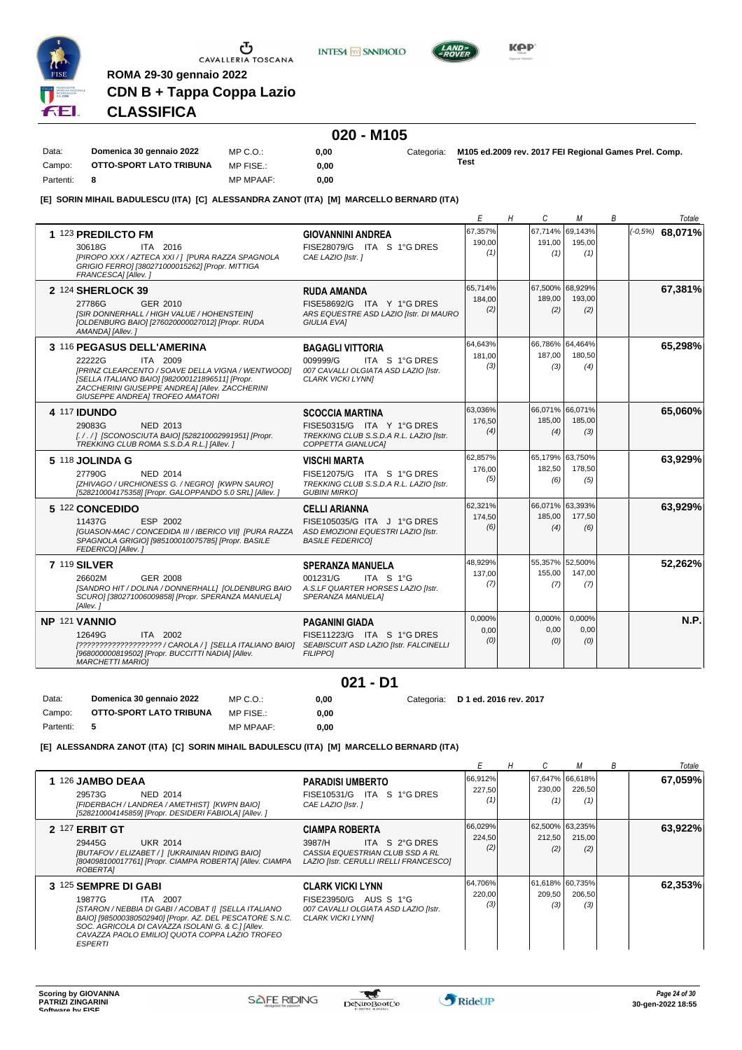

**INTESA** M SANPAOLO



**KPP** 

# **CLASSIFICA**

**ROMA 29-30 gennaio 2022**

**CDN B + Tappa Coppa Lazio**

#### **020 - M105**

Data: **Domenica 30 gennaio 2022** Campo: **OTTO-SPORT LATO TRIBUNA** Partenti: **8** MP C.O.: MP FISE.: MP MPAAF: **0,00 0,00 0,00** Categoria: **M105 ed.2009 rev. 2017 FEI Regional Games Prel. Comp. Test**

**[E] SORIN MIHAIL BADULESCU (ITA) [C] ALESSANDRA ZANOT (ITA) [M] MARCELLO BERNARD (ITA)**

|                                                                                                                                                                                                                                               |                                                                                                                           | Е                        | Η | C                                | М                        | В | Totale            |
|-----------------------------------------------------------------------------------------------------------------------------------------------------------------------------------------------------------------------------------------------|---------------------------------------------------------------------------------------------------------------------------|--------------------------|---|----------------------------------|--------------------------|---|-------------------|
| 1 123 PREDILCTO FM<br>30618G<br>ITA 2016<br>[PIROPO XXX / AZTECA XXI / 1 [PURA RAZZA SPAGNOLA<br>GRIGIO FERRO] [380271000015262] [Propr. MITTIGA<br>FRANCESCAI [Allev.]                                                                       | <b>GIOVANNINI ANDREA</b><br>FISE28079/G ITA S 1°G DRES<br>CAE LAZIO [Istr.]                                               | 67,357%<br>190,00<br>(1) |   | 67,714%<br>191.00<br>(1)         | 69.143%<br>195.00<br>(1) |   | $(-0.5%)$ 68,071% |
| 2 124 SHERLOCK 39<br>27786G<br>GER 2010<br>[SIR DONNERHALL / HIGH VALUE / HOHENSTEIN]<br>[OLDENBURG BAIO] [276020000027012] [Propr. RUDA<br>AMANDA] [Allev.]                                                                                  | <b>RUDA AMANDA</b><br>FISE58692/G ITA Y 1°G DRES<br>ARS EQUESTRE ASD LAZIO [Istr. DI MAURO<br><b>GIULIA EVAI</b>          | 65,714%<br>184,00<br>(2) |   | 67,500%<br>189.00<br>(2)         | 68,929%<br>193.00<br>(2) |   | 67,381%           |
| 3 116 PEGASUS DELL'AMERINA<br>22222G<br>ITA 2009<br>[PRINZ CLEARCENTO / SOAVE DELLA VIGNA / WENTWOOD]<br>[SELLA ITALIANO BAIO] [982000121896511] [Propr.<br>ZACCHERINI GIUSEPPE ANDREA] [Allev. ZACCHERINI<br>GIUSEPPE ANDREA] TROFEO AMATORI | <b>BAGAGLI VITTORIA</b><br>009999/G<br>ITA S 1°G DRES<br>007 CAVALLI OLGIATA ASD LAZIO [Istr.<br><b>CLARK VICKI LYNNI</b> | 64,643%<br>181.00<br>(3) |   | 66,786% 64,464%<br>187,00<br>(3) | 180.50<br>(4)            |   | 65,298%           |
| <b>4 117 IDUNDO</b><br>29083G<br>NED 2013<br>[././] [SCONOSCIUTA BAIO] [528210002991951] [Propr.<br>TREKKING CLUB ROMA S.S.D.A R.L.] [Allev.]                                                                                                 | <b>SCOCCIA MARTINA</b><br>FISE50315/G ITA Y 1°G DRES<br>TREKKING CLUB S.S.D.A R.L. LAZIO [Istr.<br>COPPETTA GIANLUCA]     | 63.036%<br>176,50<br>(4) |   | 66.071% 66.071%<br>185,00<br>(4) | 185,00<br>(3)            |   | 65,060%           |
| 5 118 JOLINDA G<br>27790G<br><b>NED 2014</b><br>[ZHIVAGO / URCHIONESS G. / NEGRO] [KWPN SAURO]<br>[528210004175358] [Propr. GALOPPANDO 5.0 SRL] [Allev.]                                                                                      | <b>VISCHI MARTA</b><br>FISE12075/G ITA S 1°G DRES<br>TREKKING CLUB S.S.D.A R.L. LAZIO [Istr.<br><b>GUBINI MIRKOI</b>      | 62,857%<br>176,00<br>(5) |   | 65,179% 63,750%<br>182.50<br>(6) | 178.50<br>(5)            |   | 63,929%           |
| 5 122 CONCEDIDO<br>11437G<br>ESP 2002<br>[GUASON-MAC / CONCEDIDA III / IBERICO VII] [PURA RAZZA<br>SPAGNOLA GRIGIO] [985100010075785] [Propr. BASILE<br>FEDERICO] [Allev.]                                                                    | <b>CELLI ARIANNA</b><br>FISE105035/G ITA J 1°G DRES<br>ASD EMOZIONI EQUESTRI LAZIO [Istr.<br><b>BASILE FEDERICO1</b>      | 62,321%<br>174,50<br>(6) |   | 66,071% 63,393%<br>185,00<br>(4) | 177.50<br>(6)            |   | 63,929%           |
| <b>7 119 SILVER</b><br>26602M<br>GER 2008<br>[SANDRO HIT / DOLINA / DONNERHALL] [OLDENBURG BAIO<br>SCURO] [380271006009858] [Propr. SPERANZA MANUELA]<br>[Allev.]                                                                             | <b>SPERANZA MANUELA</b><br>ITA S 1°G<br>001231/G<br>A.S.LF QUARTER HORSES LAZIO [Istr.<br>SPERANZA MANUELA]               | 48,929%<br>137,00<br>(7) |   | 55,357% 52,500%<br>155.00<br>(7) | 147.00<br>(7)            |   | 52,262%           |
| NP 121 VANNIO<br>12649G<br>ITA 2002<br>[????????????????????? / CAROLA / ] [SELLA ITALIANO BAIO] SEABISCUIT ASD LAZIO [Istr. FALCINELLI<br>[968000000819502] [Propr. BUCCITTI NADIA] [Allev.<br><b>MARCHETTI MARIOI</b>                       | <b>PAGANINI GIADA</b><br>FISE11223/G ITA S 1°G DRES<br><b>FILIPPO1</b>                                                    | 0.000%<br>0.00<br>(0)    |   | 0,000%<br>0,00<br>(0)            | 0.000%<br>0,00<br>(0)    |   | N.P.              |

### **021 - D1**

Data: **Domenica 30 gennaio 2022** Campo: **OTTO-SPORT LATO TRIBUNA** Partenti: **5** MP C.O.: MP FISE.: MP MPAAF: **0,00 0,00 0,00** Categoria: **D 1 ed. 2016 rev. 2017**

**[E] ALESSANDRA ZANOT (ITA) [C] SORIN MIHAIL BADULESCU (ITA) [M] MARCELLO BERNARD (ITA)**

|                                                                                                                                                                                                                                                                                         |                                                                                                                                |                          |                                  |                                  | В | Totale  |
|-----------------------------------------------------------------------------------------------------------------------------------------------------------------------------------------------------------------------------------------------------------------------------------------|--------------------------------------------------------------------------------------------------------------------------------|--------------------------|----------------------------------|----------------------------------|---|---------|
| 1 126 JAMBO DEAA<br>NED 2014<br>29573G<br>[FIDERBACH / LANDREA / AMETHIST] [KWPN BAIO]<br>[528210004145859] [Propr. DESIDERI FABIOLA] [Allev. ]                                                                                                                                         | <b>PARADISI UMBERTO</b><br>FISE10531/G ITA S 1°G DRES<br>CAE LAZIO [Istr.]                                                     | 66,912%<br>227,50        | 230,00<br>(1)                    | 67,647% 66,618%<br>226,50<br>(1) |   | 67,059% |
| <b>2 127 ERBIT GT</b><br>29445G<br><b>UKR 2014</b><br>[BUTAFOV / ELIZABET / ] [UKRAINIAN RIDING BAIO]<br>[804098100017761] [Propr. CIAMPA ROBERTA] [Allev. CIAMPA<br>ROBERTAI                                                                                                           | <b>CIAMPA ROBERTA</b><br>ITA S 2°G DRES<br>3987/H<br>CASSIA EQUESTRIAN CLUB SSD A RL<br>LAZIO [Istr. CERULLI IRELLI FRANCESCO] | 66,029%<br>224,50<br>(2) | 62,500% 63,235%<br>212,50<br>(2) | 215,00<br>(2)                    |   | 63,922% |
| 3 125 SEMPRE DI GABI<br>19877G<br>ITA 2007<br>[STARON / NEBBIA DI GABI / ACOBAT I] [SELLA ITALIANO<br>BAIO] [985000380502940] [Propr. AZ. DEL PESCATORE S.N.C.<br>SOC. AGRICOLA DI CAVAZZA ISOLANI G. & C.] [Allev.<br>CAVAZZA PAOLO EMILIO] QUOTA COPPA LAZIO TROFEO<br><b>ESPERTI</b> | <b>CLARK VICKI LYNN</b><br>FISE23950/G AUS S 1°G<br>007 CAVALLI OLGIATA ASD LAZIO [Istr.<br><b>CLARK VICKI LYNNI</b>           | 64,706%<br>220,00<br>(3) | 61,618% 60,735%<br>209,50<br>(3) | 206,50<br>(3)                    |   | 62,353% |

 $\tau$ 

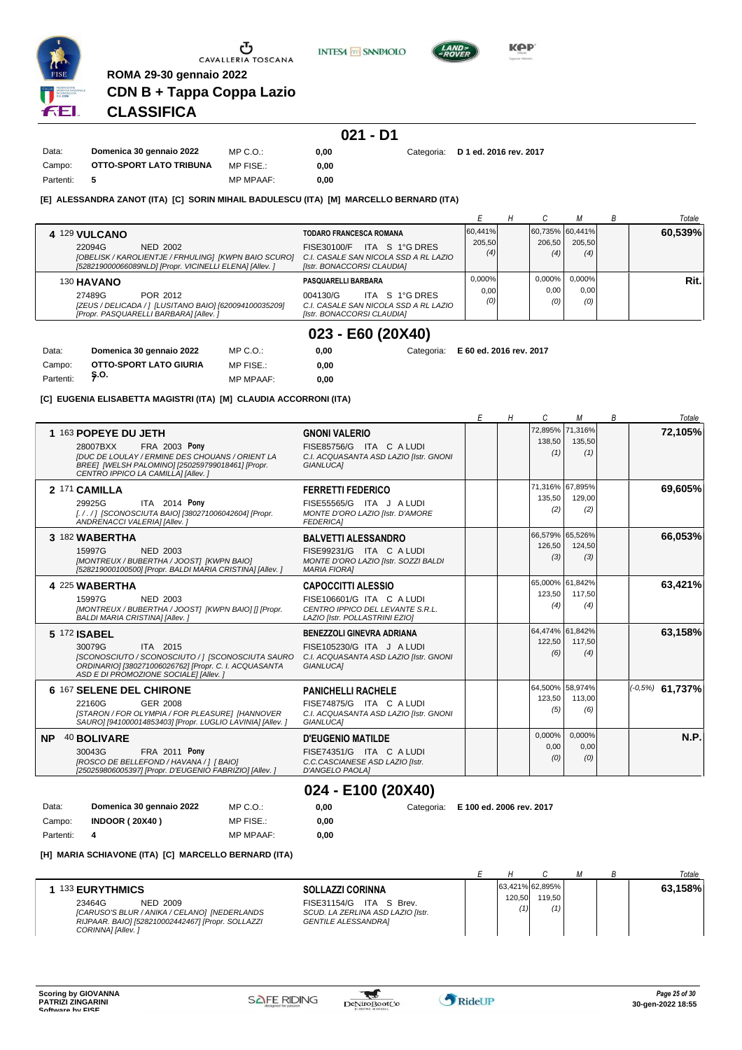

**INTESA** M SANPAOLO



**Kep** 

# **CLASSIFICA**

**ROMA 29-30 gennaio 2022**

**CDN B + Tappa Coppa Lazio**

|           |                          |                  |      | $021 - D1$ |                                   |
|-----------|--------------------------|------------------|------|------------|-----------------------------------|
| Data:     | Domenica 30 gennaio 2022 | $MP C. Q$ .      | 0.00 |            | Categoria: D 1 ed. 2016 rev. 2017 |
| Campo:    | OTTO-SPORT LATO TRIBUNA  | MP FISE.:        | 0.00 |            |                                   |
| Partenti: | -5                       | <b>MP MPAAF:</b> | 0.00 |            |                                   |

#### **[E] ALESSANDRA ZANOT (ITA) [C] SORIN MIHAIL BADULESCU (ITA) [M] MARCELLO BERNARD (ITA)**

|                                                                                                                 |                                                                     |         |                 |           | Totale  |
|-----------------------------------------------------------------------------------------------------------------|---------------------------------------------------------------------|---------|-----------------|-----------|---------|
| 4 129 VULCANO                                                                                                   | TODARO FRANCESCA ROMANA                                             | 60.441% | 60,735% 60,441% |           | 60,539% |
| 22094G<br>NED 2002                                                                                              | ITA S 1°G DRES<br>FISE30100/F                                       | 205.50  | 206.50          | 205.50    |         |
| [OBELISK / KAROLIENTJE / FRHULING] [KWPN BAIO SCURO]<br>[528219000066089NLD] [Propr. VICINELLI ELENA] [Allev. ] | C.I. CASALE SAN NICOLA SSD A RL LAZIO<br>[Istr. BONACCORSI CLAUDIA] | (4)     | (4)             | (4)       |         |
| 130 HAVANO                                                                                                      | PASQUARELLI BARBARA                                                 | 0,000%  | $0.000\%$       | $0.000\%$ | Rit.    |
| 27489G<br>POR 2012                                                                                              | ITA S 1°G DRES<br>004130/G                                          | 0.00    | 0.00            | 0,00      |         |
| [ZEUS / DELICADA / ] [LUSITANO BAIO] [620094100035209]                                                          | C.I. CASALE SAN NICOLA SSD A RL LAZIO                               | (0)     | (0)             | (0)       |         |
| [Propr. PASQUARELLI BARBARA] [Allev.]                                                                           | [Istr. BONACCORSI CLAUDIA]                                          |         |                 |           |         |
|                                                                                                                 |                                                                     |         |                 |           |         |

### **023 - E60 (20X40)**

| Data:     | Domenica 30 gennaio 2022 | MP C.O.:         | 0.00 |  | Categoria: E 60 ed. 2016 rev. 2017 |
|-----------|--------------------------|------------------|------|--|------------------------------------|
| Campo:    | OTTO-SPORT LATO GIURIA   | MP FISE.:        | 0.00 |  |                                    |
| Partenti: | — Ş.O.                   | <b>MP MPAAF:</b> | 0.00 |  |                                    |

**[C] EUGENIA ELISABETTA MAGISTRI (ITA) [M] CLAUDIA ACCORRONI (ITA)**

|           |                                                                                                                                                                                                               |                                                                                                                              | Е | H | C                                | М                                | B | Totale             |
|-----------|---------------------------------------------------------------------------------------------------------------------------------------------------------------------------------------------------------------|------------------------------------------------------------------------------------------------------------------------------|---|---|----------------------------------|----------------------------------|---|--------------------|
|           | 1 163 POPEYE DU JETH<br>28007BXX<br><b>FRA 2003 Pony</b><br><b>IDUC DE LOULAY / ERMINE DES CHOUANS / ORIENT LA</b><br>BREE] [WELSH PALOMINO] [250259799018461] [Propr.<br>CENTRO IPPICO LA CAMILLA] [Allev. ] | <b>GNONI VALERIO</b><br>FISE85756/G ITA C A LUDI<br>C.I. ACQUASANTA ASD LAZIO [Istr. GNONI<br><b>GIANLUCAI</b>               |   |   | 72,895% 71,316%<br>138,50<br>(1) | 135,50<br>(1)                    |   | 72,105%            |
|           | 2 171 CAMILLA<br>ITA 2014 Pony<br>29925G<br>[././] [SCONOSCIUTA BAIO] [380271006042604] [Propr.<br>ANDRENACCI VALERIA] [Allev.]                                                                               | <b>FERRETTI FEDERICO</b><br>FISE55565/G ITA J A LUDI<br>MONTE D'ORO LAZIO [Istr. D'AMORE<br><b>FEDERICA1</b>                 |   |   | 135,50<br>(2)                    | 71,316% 67,895%<br>129,00<br>(2) |   | 69,605%            |
|           | 3 182 WABERTHA<br><b>NED 2003</b><br>15997G<br>[MONTREUX / BUBERTHA / JOOST] [KWPN BAIO]<br>[528219000100500] [Propr. BALDI MARIA CRISTINA] [Allev.]                                                          | <b>BALVETTI ALESSANDRO</b><br>FISE99231/G ITA C A LUDI<br>MONTE D'ORO LAZIO [Istr. SOZZI BALDI<br><b>MARIA FIORA1</b>        |   |   | 66,579% 65,526%<br>126,50<br>(3) | 124,50<br>(3)                    |   | 66,053%            |
|           | 4 225 WABERTHA<br>15997G<br><b>NED 2003</b><br>[MONTREUX / BUBERTHA / JOOST] [KWPN BAIO] [] [Propr.<br><b>BALDI MARIA CRISTINA] [Allev. ]</b>                                                                 | <b>CAPOCCITTI ALESSIO</b><br>FISE106601/G ITA C A LUDI<br>CENTRO IPPICO DEL LEVANTE S.R.L.<br>LAZIO [Istr. POLLASTRINI EZIO] |   |   | 65,000% 61,842%<br>123,50<br>(4) | 117.50<br>(4)                    |   | 63,421%            |
|           | 5 172 ISABEL<br>ITA 2015<br>30079G<br>[SCONOSCIUTO / SCONOSCIUTO / ] [SCONOSCIUTA SAURO<br>ORDINARIO] [380271006026762] [Propr. C. I. ACQUASANTA<br>ASD E DI PROMOZIONE SOCIALE] [Allev. ]                    | <b>BENEZZOLI GINEVRA ADRIANA</b><br>FISE105230/G ITA J A LUDI<br>C.I. ACQUASANTA ASD LAZIO [Istr. GNONI<br>GIANLUCA1         |   |   | 64,474% 61,842%<br>122,50<br>(6) | 117,50<br>(4)                    |   | 63,158%            |
|           | 6 167 SELENE DEL CHIRONE<br>22160G<br>GER 2008<br>[STARON / FOR OLYMPIA / FOR PLEASURE] [HANNOVER]<br>SAURO] [941000014853403] [Propr. LUGLIO LAVINIA] [Allev. ]                                              | <b>PANICHELLI RACHELE</b><br>FISE74875/G ITA C A LUDI<br>C.I. ACQUASANTA ASD LAZIO [Istr. GNONI<br><b>GIANLUCAI</b>          |   |   | 64,500% 58,974%<br>123,50<br>(5) | 113,00<br>(6)                    |   | $(10.5\%)$ 61,737% |
| <b>NP</b> | 40 BOLIVARE<br><b>FRA 2011 Pony</b><br>30043G<br>[ROSCO DE BELLEFOND / HAVANA / ] [ BAIO]<br>[250259806005397] [Propr. D'EUGENIO FABRIZIO] [Allev. ]                                                          | <b>D'EUGENIO MATILDE</b><br>FISE74351/G ITA C A LUDI<br>C.C.CASCIANESE ASD LAZIO [Istr.<br>D'ANGELO PAOLA]                   |   |   | $0,000\%$<br>0,00<br>(0)         | 0,000%<br>0,00<br>(0)            |   | N.P.               |
|           |                                                                                                                                                                                                               |                                                                                                                              |   |   |                                  |                                  |   |                    |

### **024 - E100 (20X40)**

| Data:     | Domenica 30 gennaio 2022 | $MP C. Q$ .      | 0.00 |  | Categoria: E 100 ed. 2006 rev. 2017 |
|-----------|--------------------------|------------------|------|--|-------------------------------------|
| Campo:    | <b>INDOOR (20X40)</b>    | MP FISE.:        | 0.00 |  |                                     |
| Partenti: | - 4                      | <b>MP MPAAF:</b> | 0.00 |  |                                     |

#### **[H] MARIA SCHIAVONE (ITA) [C] MARCELLO BERNARD (ITA)**

|                                                                                                                                                                                                                                                                                                |               |                                  |  | Totale  |
|------------------------------------------------------------------------------------------------------------------------------------------------------------------------------------------------------------------------------------------------------------------------------------------------|---------------|----------------------------------|--|---------|
| <b>133 EURYTHMICS</b><br><b>SOLLAZZI CORINNA</b><br>FISE31154/G ITA S Brev.<br>23464G<br>NED 2009<br>[CARUSO'S BLUR / ANIKA / CELANO] [NEDERLANDS<br>SCUD. LA ZERLINA ASD LAZIO [Istr.<br>RIJPAAR. BAIO] [528210002442467] [Propr. SOLLAZZI<br><b>GENTILE ALESSANDRAI</b><br>CORINNA] [Allev.] | 120.50<br>(1) | 63,421% 62,895%<br>119.50<br>(1) |  | 63.158% |

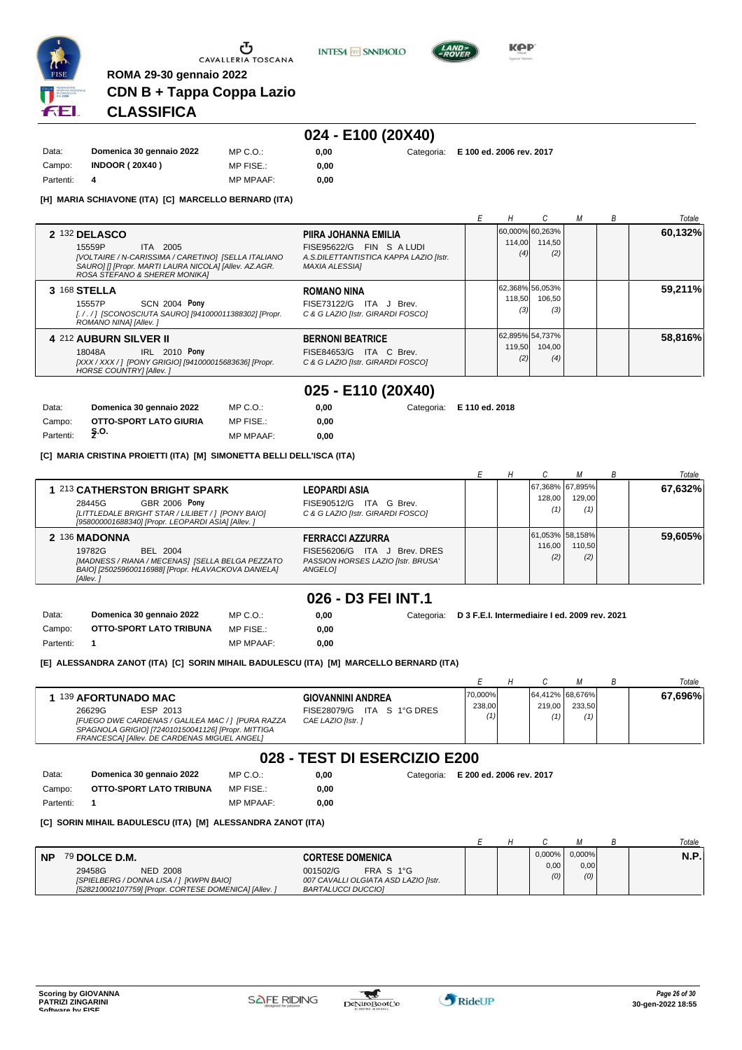





**KOP** 

### **CDN B + Tappa Coppa Lazio CLASSIFICA**

**ROMA 29-30 gennaio 2022**

# **024 - E100 (20X40)**

| Data:     | Domenica 30 gennaio 2022 | MP C. O.         | 0.00 |
|-----------|--------------------------|------------------|------|
| Campo:    | <b>INDOOR (20X40)</b>    | MP FISE.:        | 0.00 |
| Partenti: |                          | <b>MP MPAAF:</b> | 0.00 |

**0,00 0,00** Categoria: **E 100 ed. 2006 rev. 2017**

**[H] MARIA SCHIAVONE (ITA) [C] MARCELLO BERNARD (ITA)**

|                                                                                                                                                                                                                                                                                                             |               |                                  |  | Totale  |
|-------------------------------------------------------------------------------------------------------------------------------------------------------------------------------------------------------------------------------------------------------------------------------------------------------------|---------------|----------------------------------|--|---------|
| 2 132 DELASCO<br>PIIRA JOHANNA EMILIA<br>FISE95622/G FIN S A LUDI<br>15559P<br>ITA 2005<br>[VOLTAIRE / N-CARISSIMA / CARETINO] [SELLA ITALIANO<br>A.S.DILETTANTISTICA KAPPA LAZIO [Istr.<br>SAUROI II [Propr. MARTI LAURA NICOLA] [Allev. AZ.AGR.<br><b>MAXIA ALESSIAI</b><br>ROSA STEFANO & SHERER MONIKA] | 114,00<br>(4) | 60,000% 60,263%<br>114,50<br>(2) |  | 60,132% |
| 3 168 STELLA<br><b>ROMANO NINA</b><br><b>SCN 2004 Pony</b><br>FISE73122/G ITA J Brev.<br>15557P<br>[././] [SCONOSCIUTA SAURO] [941000011388302] [Propr.<br>C & G LAZIO [Istr. GIRARDI FOSCO]<br>ROMANO NINAI [Allev. ]                                                                                      | 118.50<br>(3) | 62,368% 56,053%<br>106.50<br>(3) |  | 59,211% |
| <b>4 212 AUBURN SILVER II</b><br><b>BERNONI BEATRICE</b><br><b>IRL 2010 Pony</b><br>FISE84653/G ITA C Brev.<br>18048A<br>[XXX / XXX / ] [PONY GRIGIO] [941000015683636] [Propr.<br>C & G LAZIO IIstr. GIRARDI FOSCOI<br><b>HORSE COUNTRY] [Allev. ]</b>                                                     | 119.50<br>(2) | 62,895% 54,737%<br>104.00<br>(4) |  | 58,816% |

**025 - E110 (20X40)**

| Data:     | Domenica 30 gennaio 2022 | MP C.O.:         | 0.00 | Categoria: E 110 ed. 2018 |
|-----------|--------------------------|------------------|------|---------------------------|
| Campo:    | OTTO-SPORT LATO GIURIA   | MP FISE.:        | 0.00 |                           |
| Partenti: | Ş.O.                     | <b>MP MPAAF:</b> | 0.00 |                           |

#### **[C] MARIA CRISTINA PROIETTI (ITA) [M] SIMONETTA BELLI DELL'ISCA (ITA)**

|                                                                                                                                                                            |                                                                                                                       |  |                                    |               | Totale  |
|----------------------------------------------------------------------------------------------------------------------------------------------------------------------------|-----------------------------------------------------------------------------------------------------------------------|--|------------------------------------|---------------|---------|
| 1 213 CATHERSTON BRIGHT SPARK<br><b>GBR 2006 Pony</b><br>28445G<br>[LITTLEDALE BRIGHT STAR / LILIBET / 1 [PONY BAIO]<br>[958000001688340] [Propr. LEOPARDI ASIA] [Allev. ] | LEOPARDI ASIA<br>ITA G Brev.<br>FISE90512/G<br>C & G LAZIO [Istr. GIRARDI FOSCO]                                      |  | 67,368% 67,895%<br>128.00<br>(1)   | 129.00<br>(1) | 67.632% |
| 2 136 MADONNA<br>19782G<br>BEL 2004<br>[MADNESS / RIANA / MECENAS] [SELLA BELGA PEZZATO<br>BAIO] [250259600116988] [Propr. HLAVACKOVA DANIELA]<br>[Allev.]                 | <b>FERRACCI AZZURRA</b><br>J Brev. DRES<br>ITA<br>FISE56206/G<br>PASSION HORSES LAZIO [Istr. BRUSA'<br><b>ANGELOI</b> |  | [61,053% 58,158%]<br>116.00<br>(2) | 110.50<br>(2) | 59.605% |

### **026 - D3 FEI INT.1**

0.00 **0,00**

| Data:     | Domenica 30 gennaio 2022 | MP C. O.         | 0.00 |
|-----------|--------------------------|------------------|------|
| Campo:    | OTTO-SPORT LATO TRIBUNA  | MP FISE.:        | 0.00 |
| Partenti: |                          | <b>MP MPAAF:</b> | 0.00 |

**[E] ALESSANDRA ZANOT (ITA) [C] SORIN MIHAIL BADULESCU (ITA) [M] MARCELLO BERNARD (ITA)**

|                                                                                                                                                                                                     |                                                                              |                   |               |                                  | Totale  |
|-----------------------------------------------------------------------------------------------------------------------------------------------------------------------------------------------------|------------------------------------------------------------------------------|-------------------|---------------|----------------------------------|---------|
| 139 AFORTUNADO MAC<br>26629G<br>ESP 2013<br>[FUEGO DWE CARDENAS / GALILEA MAC / ] [PURA RAZZA<br>SPAGNOLA GRIGIO] [724010150041126] [Propr. MITTIGA<br>FRANCESCAI [Allev. DE CARDENAS MIGUEL ANGEL] | <b>GIOVANNINI ANDREA</b><br>FISE28079/G ITA S 1°G DRES<br>CAE LAZIO IIstr. 1 | 70,000%<br>238,00 | 219.00<br>(1) | 64.412% 68.676%<br>233.50<br>(1) | 67.696% |

### **028 - TEST DI ESERCIZIO E200**

| Data:     | Domenica 30 gennaio 2022 | MP C. O.         |
|-----------|--------------------------|------------------|
| Campo:    | OTTO-SPORT LATO TRIBUNA  | MP FISE.:        |
| Partenti: |                          | <b>MP MPAAF:</b> |

**0,00** Categoria: **E 200 ed. 2006 rev. 2017**

**0,00** Categoria: **D 3 F.E.I. Intermediaire I ed. 2009 rev. 2021**

#### **[C] SORIN MIHAIL BADULESCU (ITA) [M] ALESSANDRA ZANOT (ITA)**

|           |                                                                                                                               |                                                                                     |  |             |             | Totale |
|-----------|-------------------------------------------------------------------------------------------------------------------------------|-------------------------------------------------------------------------------------|--|-------------|-------------|--------|
| <b>NP</b> | 79 DOLCE D.M.                                                                                                                 | <b>CORTESE DOMENICA</b>                                                             |  | $0.000\%$   | $0.000\%$   | N.P.   |
|           | 29458G<br><b>NED 2008</b><br>[SPIELBERG / DONNA LISA / 1 [KWPN BAIO]<br>[528210002107759] [Propr. CORTESE DOMENICA] [Allev. ] | 001502/G<br>FRA S 1°G<br>007 CAVALLI OLGIATA ASD LAZIO [Istr.<br>BARTALUCCI DUCCIOI |  | 0.00<br>(0) | 0,00<br>(0) |        |

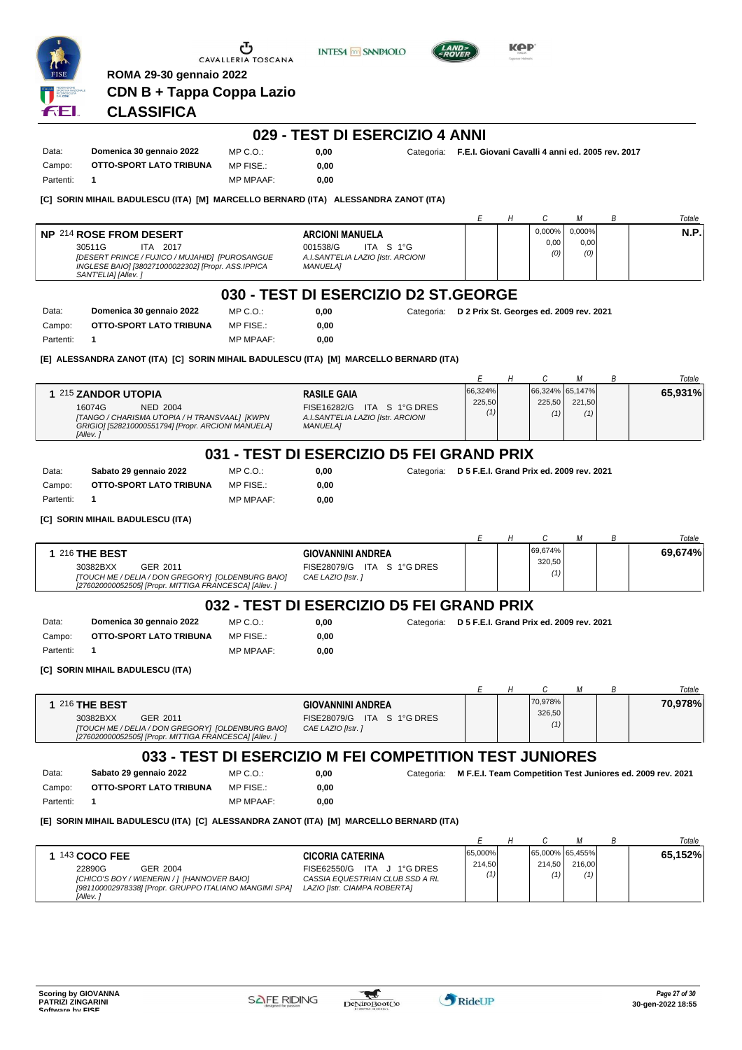|           | <b>ROMA 29-30 gennaio 2022</b>                                                                                              | Ⴠ<br>CAVALLERIA TOSCANA | <b>INTESA M SANPAOLO</b>                                         |            |                                                             | KAP |               |               |   |                                                                       |
|-----------|-----------------------------------------------------------------------------------------------------------------------------|-------------------------|------------------------------------------------------------------|------------|-------------------------------------------------------------|-----|---------------|---------------|---|-----------------------------------------------------------------------|
|           | CDN B + Tappa Coppa Lazio                                                                                                   |                         |                                                                  |            |                                                             |     |               |               |   |                                                                       |
| £ЕІ       | <b>CLASSIFICA</b>                                                                                                           |                         |                                                                  |            |                                                             |     |               |               |   |                                                                       |
|           |                                                                                                                             |                         | 029 - TEST DI ESERCIZIO 4 ANNI                                   |            |                                                             |     |               |               |   |                                                                       |
| Data:     | Domenica 30 gennaio 2022                                                                                                    | $MP C. O.$ :            | 0,00                                                             |            | Categoria: F.E.I. Giovani Cavalli 4 anni ed. 2005 rev. 2017 |     |               |               |   |                                                                       |
| Campo:    | OTTO-SPORT LATO TRIBUNA                                                                                                     | MP FISE.:               | 0,00                                                             |            |                                                             |     |               |               |   |                                                                       |
| Partenti: | 1                                                                                                                           | <b>MP MPAAF:</b>        | 0,00                                                             |            |                                                             |     |               |               |   |                                                                       |
|           | [C] SORIN MIHAIL BADULESCU (ITA) [M] MARCELLO BERNARD (ITA) ALESSANDRA ZANOT (ITA)                                          |                         |                                                                  |            |                                                             |     |               |               |   |                                                                       |
|           |                                                                                                                             |                         |                                                                  |            | Е                                                           | Н   | С             | М             | В | Totale                                                                |
|           | <b>NP 214 ROSE FROM DESERT</b>                                                                                              |                         | <b>ARCIONI MANUELA</b>                                           |            |                                                             |     | 0,000%        | 0,000%        |   | N.P.                                                                  |
|           | 30511G<br>ITA 2017                                                                                                          |                         | 001538/G<br>ITA S 1°G                                            |            |                                                             |     | 0,00<br>(0)   | 0,00<br>(0)   |   |                                                                       |
|           | [DESERT PRINCE / FUJICO / MUJAHID] [PUROSANGUE<br>INGLESE BAIO] [380271000022302] [Propr. ASS.IPPICA<br>SANT'ELIA] [Allev.] |                         | A.I.SANT'ELIA LAZIO [Istr. ARCIONI<br><b>MANUELA]</b>            |            |                                                             |     |               |               |   |                                                                       |
|           |                                                                                                                             |                         | 030 - TEST DI ESERCIZIO D2 ST.GEORGE                             |            |                                                             |     |               |               |   |                                                                       |
| Data:     | Domenica 30 gennaio 2022                                                                                                    | MP C.O.:                | 0,00                                                             |            | Categoria: D 2 Prix St. Georges ed. 2009 rev. 2021          |     |               |               |   |                                                                       |
| Campo:    | OTTO-SPORT LATO TRIBUNA                                                                                                     | MP FISE.:               | 0,00                                                             |            |                                                             |     |               |               |   |                                                                       |
| Partenti: | 1                                                                                                                           | <b>MP MPAAF:</b>        | 0,00                                                             |            |                                                             |     |               |               |   |                                                                       |
|           | [E]  ALESSANDRA ZANOT (ITA)  [C]  SORIN MIHAIL BADULESCU (ITA)  [M]  MARCELLO BERNARD (ITA)                                 |                         |                                                                  |            |                                                             |     |               |               |   |                                                                       |
|           |                                                                                                                             |                         |                                                                  |            | Е                                                           | Η   | С             | М             | В | Totale                                                                |
|           | 1 215 ZANDOR UTOPIA                                                                                                         |                         | <b>RASILE GAIA</b>                                               |            | 66,324%                                                     |     | 66,324%       | 65,147%       |   | 65,931%                                                               |
|           | 16074G<br><b>NED 2004</b><br>[TANGO / CHARISMA UTOPIA / H TRANSVAAL] [KWPN                                                  |                         | FISE16282/G ITA S 1°G DRES<br>A.I.SANT'ELIA LAZIO [Istr. ARCIONI |            | 225,50<br>(1)                                               |     | 225,50<br>(1) | 221,50<br>(1) |   |                                                                       |
|           | GRIGIO] [528210000551794] [Propr. ARCIONI MANUELA]<br>[Allev.]                                                              |                         | <b>MANUELA]</b>                                                  |            |                                                             |     |               |               |   |                                                                       |
|           |                                                                                                                             |                         | 031 - TEST DI ESERCIZIO D5 FEI GRAND PRIX                        |            |                                                             |     |               |               |   |                                                                       |
| Data:     | Sabato 29 gennaio 2022                                                                                                      | MP C. O.                | 0,00                                                             | Categoria: | D 5 F.E.I. Grand Prix ed. 2009 rev. 2021                    |     |               |               |   |                                                                       |
| Campo:    | OTTO-SPORT LATO TRIBUNA                                                                                                     | MP FISE.:               | 0,00                                                             |            |                                                             |     |               |               |   |                                                                       |
| Partenti: | 1                                                                                                                           | <b>MP MPAAF:</b>        | 0,00                                                             |            |                                                             |     |               |               |   |                                                                       |
|           | [C] SORIN MIHAIL BADULESCU (ITA)                                                                                            |                         |                                                                  |            |                                                             |     |               |               |   |                                                                       |
|           |                                                                                                                             |                         |                                                                  |            | Е                                                           | Н   | С             | М             | В | Totale                                                                |
|           | 1 216 THE BEST                                                                                                              |                         | <b>GIOVANNINI ANDREA</b>                                         |            |                                                             |     | 69.674%       |               |   | 69,674%                                                               |
|           | 30382BXX<br>GER 2011                                                                                                        |                         | FISE28079/G ITA S 1°G DRES                                       |            |                                                             |     | 320,50<br>(1) |               |   |                                                                       |
|           | [TOUCH ME / DELIA / DON GREGORY] [OLDENBURG BAIO]<br>[276020000052505] [Propr. MITTIGA FRANCESCA] [Allev. ]                 |                         | CAE LAZIO [Istr.]                                                |            |                                                             |     |               |               |   |                                                                       |
|           |                                                                                                                             |                         | 032 - TEST DI ESERCIZIO D5 FEI GRAND PRIX                        |            |                                                             |     |               |               |   |                                                                       |
| Data:     | Domenica 30 gennaio 2022                                                                                                    | $MP C. O.$ :            | 0,00                                                             |            | Categoria: D 5 F.E.I. Grand Prix ed. 2009 rev. 2021         |     |               |               |   |                                                                       |
| Campo:    | OTTO-SPORT LATO TRIBUNA                                                                                                     | MP FISE.:               | 0,00                                                             |            |                                                             |     |               |               |   |                                                                       |
| Partenti: | 1                                                                                                                           | <b>MP MPAAF:</b>        | 0,00                                                             |            |                                                             |     |               |               |   |                                                                       |
|           | [C] SORIN MIHAIL BADULESCU (ITA)                                                                                            |                         |                                                                  |            |                                                             |     |               |               |   |                                                                       |
|           |                                                                                                                             |                         |                                                                  |            | Е                                                           | Н   | С             | М             | В | Totale                                                                |
|           | 1 216 THE BEST                                                                                                              |                         | <b>GIOVANNINI ANDREA</b>                                         |            |                                                             |     | 70,978%       |               |   | 70,978%                                                               |
|           | 30382BXX<br>GER 2011                                                                                                        |                         | FISE28079/G ITA S 1°G DRES                                       |            |                                                             |     | 326,50<br>(1) |               |   |                                                                       |
|           | [TOUCH ME / DELIA / DON GREGORY] [OLDENBURG BAIO]<br>[276020000052505] [Propr. MITTIGA FRANCESCA] [Allev. ]                 |                         | CAE LAZIO [Istr.]                                                |            |                                                             |     |               |               |   |                                                                       |
|           |                                                                                                                             |                         | 033 - TEST DI ESERCIZIO M FEI COMPETITION TEST JUNIORES          |            |                                                             |     |               |               |   |                                                                       |
| Data:     | Sabato 29 gennaio 2022                                                                                                      | $MP C. O.$ :            | 0,00                                                             |            |                                                             |     |               |               |   | Categoria: M F.E.I. Team Competition Test Juniores ed. 2009 rev. 2021 |
| Campo:    | OTTO-SPORT LATO TRIBUNA                                                                                                     | MP FISE.:               | 0,00                                                             |            |                                                             |     |               |               |   |                                                                       |
| Partenti: | 1                                                                                                                           | <b>MP MPAAF:</b>        | 0,00                                                             |            |                                                             |     |               |               |   |                                                                       |
|           | [E] SORIN MIHAIL BADULESCU (ITA) [C] ALESSANDRA ZANOT (ITA) [M] MARCELLO BERNARD (ITA)                                      |                         |                                                                  |            |                                                             |     |               |               |   |                                                                       |
|           |                                                                                                                             |                         |                                                                  |            | Е                                                           | Η   | С             | М             | В | Totale                                                                |
|           | 1 143 COCO FEE                                                                                                              |                         | <b>CICORIA CATERINA</b>                                          |            | 65,000%                                                     |     | 65,000%       | 65,455%       |   | 65,152%                                                               |
|           | 22890G<br>GER 2004                                                                                                          |                         | FISE62550/G ITA J 1°G DRES                                       |            | 214,50<br>(1)                                               |     | 214,50<br>(1) | 216,00<br>(1) |   |                                                                       |
|           | [CHICO'S BOY / WIENERIN / ] [HANNOVER BAIO]<br>[981100002978338] [Propr. GRUPPO ITALIANO MANGIMI SPA]<br>[Allev.]           |                         | CASSIA EQUESTRIAN CLUB SSD A RL<br>LAZIO [Istr. CIAMPA ROBERTA]  |            |                                                             |     |               |               |   |                                                                       |

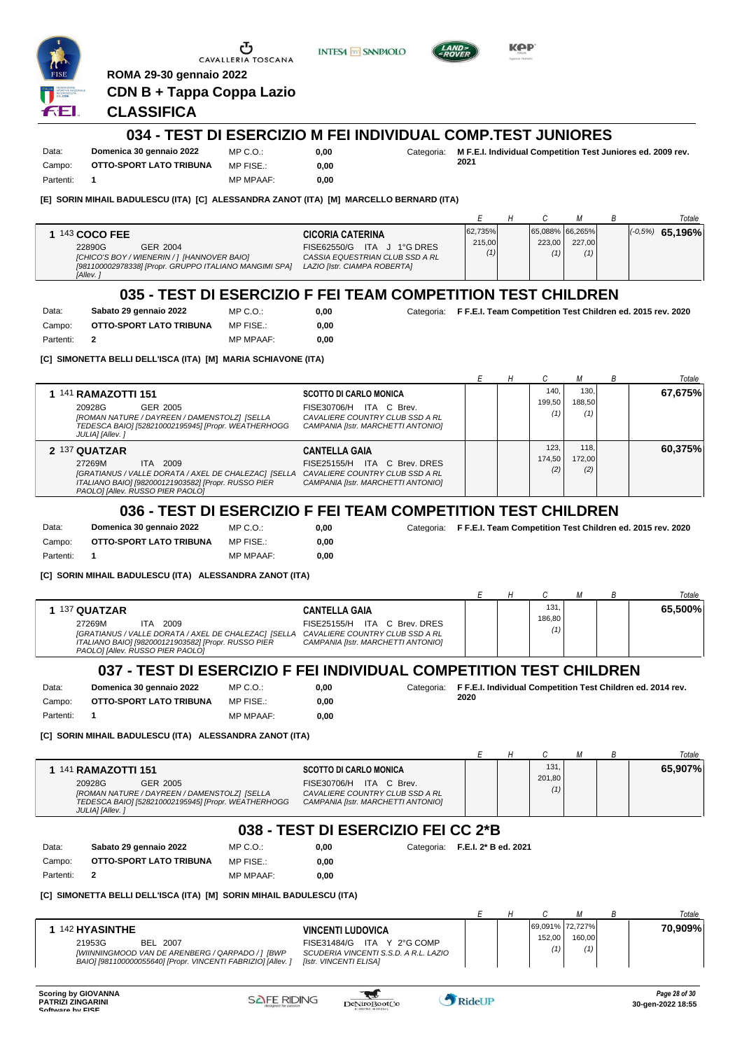

Partenti: **2**

CAVALLERIA TOSCANA

**INTESA** M SANPAOLO



KOP

**0,00** Categoria: **F F.E.I. Team Competition Test Children ed. 2015 rev. 2020**

# **CLASSIFICA**

**ROMA 29-30 gennaio 2022**

**CDN B + Tappa Coppa Lazio**

#### **034 - TEST DI ESERCIZIO M FEI INDIVIDUAL COMP.TEST JUNIORES**

Data: **Domenica 30 gennaio 2022** Campo: **OTTO-SPORT LATO TRIBUNA** Partenti: **1**

 $MP C. O.$ MP FISE.: MP MPAAF: **0,00**

**0,00**

**0,00** Categoria: **M F.E.I. Individual Competition Test Juniores ed. 2009 rev. 2021**

**[E] SORIN MIHAIL BADULESCU (ITA) [C] ALESSANDRA ZANOT (ITA) [M] MARCELLO BERNARD (ITA)**

|                                                                                                                                         |                                                                                               |               |                 |               |  | Totale              |
|-----------------------------------------------------------------------------------------------------------------------------------------|-----------------------------------------------------------------------------------------------|---------------|-----------------|---------------|--|---------------------|
| <b>143 COCO FEE</b>                                                                                                                     | <b>CICORIA CATERINA</b>                                                                       | 62,735%       | 65,088% 66,265% |               |  | $ (-0.5\%)$ 65,196% |
| 22890G<br>GER 2004<br>[CHICO'S BOY / WIENERIN / 1 [HANNOVER BAIO]<br>[981100002978338] [Propr. GRUPPO ITALIANO MANGIMI SPA]<br>[Allev.] | FISE62550/G ITA J 1°G DRES<br>CASSIA EQUESTRIAN CLUB SSD A RL<br>LAZIO [Istr. CIAMPA ROBERTA] | 215,00<br>(1) | 223.00<br>'1)   | 227.00<br>(1) |  |                     |

### **035 - TEST DI ESERCIZIO F FEI TEAM COMPETITION TEST CHILDREN**

Data: **Sabato 29 gennaio 2022** Campo: **OTTO-SPORT LATO TRIBUNA**

MP C.O.:

MP FISE.: MP MPAAF: **0,00 0,00**

**[C] SIMONETTA BELLI DELL'ISCA (ITA) [M] MARIA SCHIAVONE (ITA)**

|                                                                                                                                                                                            |                                                                                                                                      |  |                       |                                   | B | Totale  |
|--------------------------------------------------------------------------------------------------------------------------------------------------------------------------------------------|--------------------------------------------------------------------------------------------------------------------------------------|--|-----------------------|-----------------------------------|---|---------|
| 1 141 RAMAZOTTI 151<br>20928G<br>GER 2005<br>[ROMAN NATURE / DAYREEN / DAMENSTOLZ] [SELLA<br>TEDESCA BAIO] [528210002195945] [Propr. WEATHERHOGG<br>JULIA] [Allev.]                        | <b>SCOTTO DI CARLO MONICA</b><br>ITA C Brev.<br>FISE30706/H<br>CAVALIERE COUNTRY CLUB SSD A RL<br>CAMPANIA [Istr. MARCHETTI ANTONIO] |  | 140.<br>199.50<br>(1) | 130 <sub>1</sub><br>188.50<br>(1) |   | 67,675% |
| 2 137 QUATZAR<br>2009<br>27269M<br>ITA.<br>[GRATIANUS / VALLE DORATA / AXEL DE CHALEZAC] [SELLA<br>ITALIANO BAIO] [982000121903582] [Propr. RUSSO PIER<br>PAOLOI [Allev. RUSSO PIER PAOLO] | <b>CANTELLA GAIA</b><br>ITA C Brev. DRES<br>FISE25155/H<br>CAVALIERE COUNTRY CLUB SSD A RL<br>CAMPANIA [Istr. MARCHETTI ANTONIO]     |  | 123.<br>174.50<br>(2) | 118.1<br>172.00<br>(2)            |   | 60,375% |

### **036 - TEST DI ESERCIZIO F FEI TEAM COMPETITION TEST CHILDREN**

 $0,00$ **0,00**

| Data:     | Domenica 30 gennaio 2022 | $MP C. Q$ .:     |
|-----------|--------------------------|------------------|
| Campo:    | OTTO-SPORT LATO TRIBUNA  | MP FISE.:        |
| Partenti: |                          | <b>MP MPAAF:</b> |

**0,00** Categoria: **F F.E.I. Team Competition Test Children ed. 2015 rev. 2020**

**[C] SORIN MIHAIL BADULESCU (ITA) ALESSANDRA ZANOT (ITA)**

|           |                                                                                                                                                                                          |                  |                                     |                                                                                              |                                                             |  |                      |  | В | Totale  |
|-----------|------------------------------------------------------------------------------------------------------------------------------------------------------------------------------------------|------------------|-------------------------------------|----------------------------------------------------------------------------------------------|-------------------------------------------------------------|--|----------------------|--|---|---------|
|           | 137 QUATZAR<br>ITA.<br>2009<br>27269M<br>[GRATIANUS / VALLE DORATA / AXEL DE CHALEZAC] [SELLA<br>ITALIANO BAIO] [982000121903582] [Propr. RUSSO PIER<br>PAOLOI [Allev. RUSSO PIER PAOLO] |                  | <b>CANTELLA GAIA</b><br>FISE25155/H | ITA<br>C Brev. DRES<br>CAVALIERE COUNTRY CLUB SSD A RL<br>CAMPANIA [Istr. MARCHETTI ANTONIO] |                                                             |  | 131<br>186,80<br>(1) |  |   | 65,500% |
|           | 037 - TEST DI ESERCIZIO F FEI INDIVIDUAL COMPETITION TEST CHILDREN                                                                                                                       |                  |                                     |                                                                                              |                                                             |  |                      |  |   |         |
| Data:     | Domenica 30 gennaio 2022                                                                                                                                                                 | $MP C. Q$ .:     | 0.00                                | Categoria:                                                                                   | F F.E.I. Individual Competition Test Children ed. 2014 rev. |  |                      |  |   |         |
| Campo:    | OTTO-SPORT LATO TRIBUNA                                                                                                                                                                  | MP FISE.:        | 0,00                                |                                                                                              | 2020                                                        |  |                      |  |   |         |
| Partenti: |                                                                                                                                                                                          | <b>MP MPAAF:</b> | 0,00                                |                                                                                              |                                                             |  |                      |  |   |         |

**[C] SORIN MIHAIL BADULESCU (ITA) ALESSANDRA ZANOT (ITA)**

|                                                                                                                                                                                                      |                                                                                                  |  |                       |  |  | Totale  |  |  |
|------------------------------------------------------------------------------------------------------------------------------------------------------------------------------------------------------|--------------------------------------------------------------------------------------------------|--|-----------------------|--|--|---------|--|--|
| <b>SCOTTO DI CARLO MONICA</b><br>1 141 RAMAZOTTI 151<br>20928G<br>GER 2005<br>[ROMAN NATURE / DAYREEN / DAMENSTOLZ] [SELLA<br>TEDESCA BAIO] [528210002195945] [Propr. WEATHERHOGG<br>JULIA] [Allev.] | FISE30706/H ITA C Brev.<br>CAVALIERE COUNTRY CLUB SSD A RL<br>CAMPANIA [Istr. MARCHETTI ANTONIO] |  | 131.<br>201.80<br>(1) |  |  | 65,907% |  |  |
| $0.29$ TEST DI ESEDPITIO EEI PP $3*D$                                                                                                                                                                |                                                                                                  |  |                       |  |  |         |  |  |

#### **038 - TEST DI ESERCIZIO FEI CC 2\*B** Data: **Sabato 29 gennaio 2022** MP C.O.: **0,00** Categoria: **F.E.I. 2\* B ed. 2021**

0,00 **0,00**

| Campo:    | OTTO-SPORT LATO TRIBUNA | MP FISE.:        |
|-----------|-------------------------|------------------|
| Partenti: |                         | <b>MP MPAAF:</b> |

#### **[C] SIMONETTA BELLI DELL'ISCA (ITA) [M] SORIN MIHAIL BADULESCU (ITA)**

|                                                                                                                                                                                                                                                                                             |  |               |                           | Totale  |
|---------------------------------------------------------------------------------------------------------------------------------------------------------------------------------------------------------------------------------------------------------------------------------------------|--|---------------|---------------------------|---------|
| <b>142 HYASINTHE</b><br><b>VINCENTI LUDOVICA</b><br>FISE31484/G ITA Y 2°G COMP<br>21953G<br>BEL 2007<br>[WIINNINGMOOD VAN DE ARENBERG / QARPADO / ] [BWP<br>SCUDERIA VINCENTI S.S.D. A R.L. LAZIO<br>BAIO] [981100000055640] [Propr. VINCENTI FABRIZIO] [Allev. ]<br>[Istr. VINCENTI ELISA] |  | 152,00<br>(1) | 69,091% 72,727%<br>160.00 | 70.909% |

w

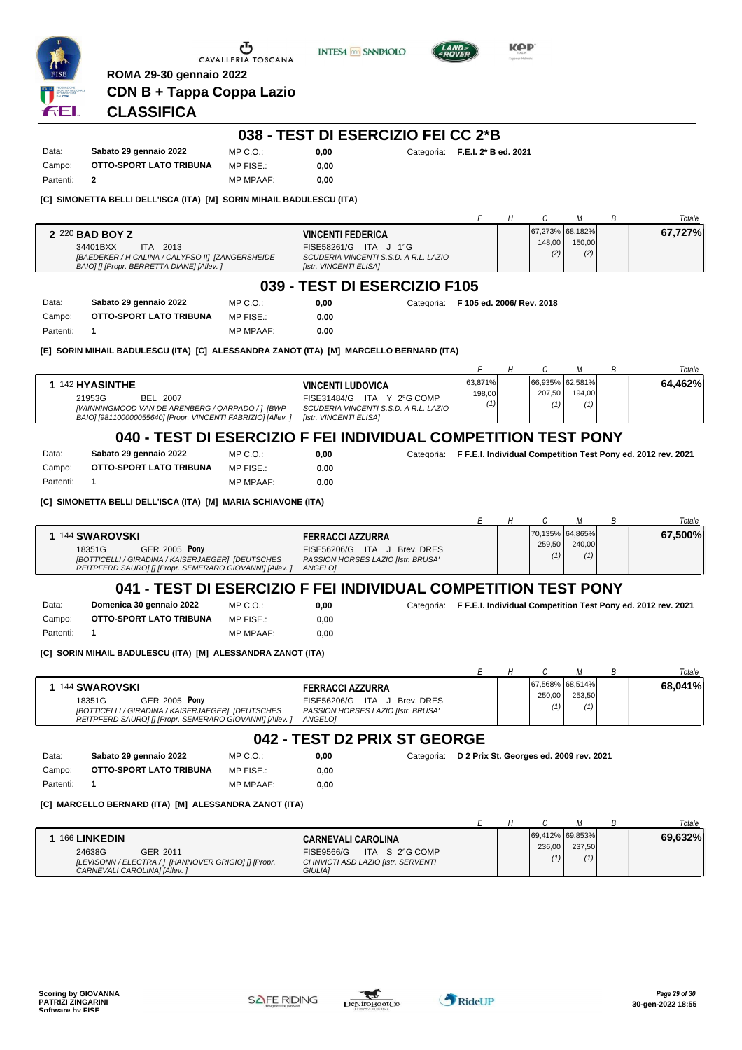

3 E I

CAVALLERIA TOSCANA





**0,00** Categoria: **F.E.I. 2\* B ed. 2021**

KOP

# **CLASSIFICA**

|  | 038 - TEST DI ESERCIZIO FEI CC 2*B |  |  |
|--|------------------------------------|--|--|
|--|------------------------------------|--|--|

| Data:     | Sabato 29 gennaio 2022  | MP C. O.         | 0.00 |
|-----------|-------------------------|------------------|------|
| Campo:    | OTTO-SPORT LATO TRIBUNA | MP FISE.:        | 0.00 |
| Partenti: |                         | <b>MP MPAAF:</b> | 0.00 |

**[C] SIMONETTA BELLI DELL'ISCA (ITA) [M] SORIN MIHAIL BADULESCU (ITA)**

|           |                                                                                                                                                  |                  |                                                                                                                      |                | E                         | Н | C             |                                  | В | Totale  |
|-----------|--------------------------------------------------------------------------------------------------------------------------------------------------|------------------|----------------------------------------------------------------------------------------------------------------------|----------------|---------------------------|---|---------------|----------------------------------|---|---------|
|           | 2 220 BAD BOY Z<br><b>ITA 2013</b><br>34401BXX<br>[BAEDEKER / H CALINA / CALYPSO II] [ZANGERSHEIDE<br>BAIO] [] [Propr. BERRETTA DIANE] [Allev. ] |                  | <b>VINCENTI FEDERICA</b><br>FISE58261/G ITA J 1°G<br>SCUDERIA VINCENTI S.S.D. A R.L. LAZIO<br>[Istr. VINCENTI ELISA] |                |                           |   | 148,00<br>(2) | 67,273% 68,182%<br>150,00<br>(2) |   | 67,727% |
|           |                                                                                                                                                  |                  | 039 - TEST DI ESERCIZIO F105                                                                                         |                |                           |   |               |                                  |   |         |
| Data:     | Sabato 29 gennaio 2022                                                                                                                           | MP C.O.:         | 0.00                                                                                                                 | Categoria:     | F 105 ed. 2006/ Rev. 2018 |   |               |                                  |   |         |
| Campo:    | OTTO-SPORT LATO TRIBUNA                                                                                                                          | MP FISE.:        | 0,00                                                                                                                 |                |                           |   |               |                                  |   |         |
| Partenti: |                                                                                                                                                  | <b>MP MPAAF:</b> | 0,00                                                                                                                 |                |                           |   |               |                                  |   |         |
|           | [E] SORIN MIHAIL BADULESCU (ITA) [C] ALESSANDRA ZANOT (ITA) [M] MARCELLO BERNARD (ITA)                                                           |                  |                                                                                                                      |                | E                         | H | C             | М                                | В | Totale  |
|           | <b>142 HYASINTHE</b>                                                                                                                             |                  | <b>VINCENTI LUDOVICA</b>                                                                                             |                | 63,871%                   |   |               | 66,935% 62,581%                  |   | 64,462% |
|           | 21953G<br>BEL 2007                                                                                                                               |                  | FISE31484/G                                                                                                          | ITA Y 2°G COMP | 198,00                    |   | 207,50        | 194,00                           |   |         |
|           | [WIINNINGMOOD VAN DE ARENBERG / QARPADO / 1 [BWP<br>BAIO] [981100000055640] [Propr. VINCENTI FABRIZIO] [Allev.]                                  |                  | SCUDERIA VINCENTI S.S.D. A R.L. LAZIO<br>[Istr. VINCENTI ELISA]                                                      |                | (1)                       |   | (1)           | (1)                              |   |         |

# **040 - TEST DI ESERCIZIO F FEI INDIVIDUAL COMPETITION TEST PONY**

Data: **Sabato 29 gennaio 2022** Campo: **OTTO-SPORT LATO TRIBUNA** Partenti: **1** MP C.O.:

- **0,00 0,00** Categoria: **F F.E.I. Individual Competition Test Pony ed. 2012 rev. 2021**
- 

MP FISE.: MP MPAAF: **0,00**

**[C] SIMONETTA BELLI DELL'ISCA (ITA) [M] MARIA SCHIAVONE (ITA)**

| <b>144 SWAROVSKI</b><br><b>FERRACCI AZZURRA</b>                                                                                                                                                                                            |                                    |               | Totale  |
|--------------------------------------------------------------------------------------------------------------------------------------------------------------------------------------------------------------------------------------------|------------------------------------|---------------|---------|
| 18351G<br><b>GER 2005 Pony</b><br>FISE56206/G ITA<br>J Brev. DRES<br>PASSION HORSES LAZIO [Istr. BRUSA'<br>[BOTTICELLI / GIRADINA / KAISERJAEGER] [DEUTSCHES<br>REITPFERD SAURO] [] [Propr. SEMERARO GIOVANNI] [Allev. ]<br><b>ANGELOI</b> | [70,135% 64,865%]<br>259.50<br>(1) | 240.00<br>(1) | 67,500% |

#### **041 - TEST DI ESERCIZIO F FEI INDIVIDUAL COMPETITION TEST PONY**

**0,00**

Data: **Domenica 30 gennaio 2022** Campo: **OTTO-SPORT LATO TRIBUNA** Partenti: **1** MP C.O.: MP FISE.: MP MPAAF: **0,00**

**0,00** Categoria: **F F.E.I. Individual Competition Test Pony ed. 2012 rev. 2021**

**[C] SORIN MIHAIL BADULESCU (ITA) [M] ALESSANDRA ZANOT (ITA)**

|                                                                                                                                                                  |                                                                                                          |  |                           |               | Totale  |
|------------------------------------------------------------------------------------------------------------------------------------------------------------------|----------------------------------------------------------------------------------------------------------|--|---------------------------|---------------|---------|
| <b>144 SWAROVSKI</b><br>GER 2005 Pony<br>18351G<br>[BOTTICELLI / GIRADINA / KAISERJAEGER] [DEUTSCHES<br>REITPFERD SAURO] [] [Propr. SEMERARO GIOVANNI] [Allev. ] | <b>FERRACCI AZZURRA</b><br>FISE56206/G ITA J Brev. DRES<br>PASSION HORSES LAZIO [Istr. BRUSA'<br>ANGELOI |  | 67,568% 68,514%<br>250.00 | 253.50<br>(1) | 68,041% |

### **042 - TEST D2 PRIX ST GEORGE**

**0,00**

Data: **Sabato 29 gennaio 2022** Campo: **OTTO-SPORT LATO TRIBUNA** Partenti: **1** MP C.O.: MP FISE.: MP MPAAF: **0,00**

**0,00** Categoria: **D 2 Prix St. Georges ed. 2009 rev. 2021**

**[C] MARCELLO BERNARD (ITA) [M] ALESSANDRA ZANOT (ITA)**

|                                                                                                                             |                                                                                                                     |  |                                  |               | Totale  |
|-----------------------------------------------------------------------------------------------------------------------------|---------------------------------------------------------------------------------------------------------------------|--|----------------------------------|---------------|---------|
| 166 LINKEDIN<br>24638G<br>GER 2011<br>[LEVISONN / ELECTRA / ] [HANNOVER GRIGIO] [] [Propr.<br>CARNEVALI CAROLINA] [Allev. ] | <b>CARNEVALI CAROLINA</b><br>ITA S 2°G COMP<br>FISE9566/G<br>CI INVICTI ASD LAZIO [Istr. SERVENTI<br><b>GIULIA1</b> |  | 69.412% 69.853%<br>236.00<br>(1) | 237.50<br>(1) | 69,632% |